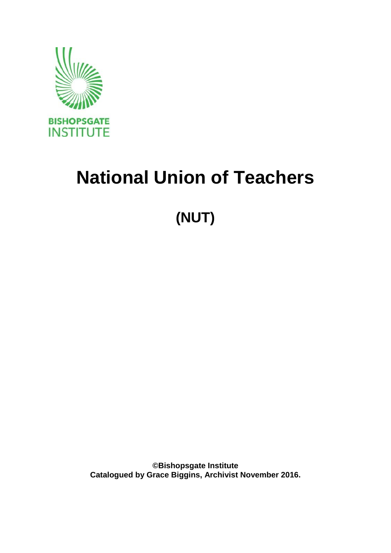

# **National Union of Teachers**

# **(NUT)**

**©Bishopsgate Institute Catalogued by Grace Biggins, Archivist November 2016.**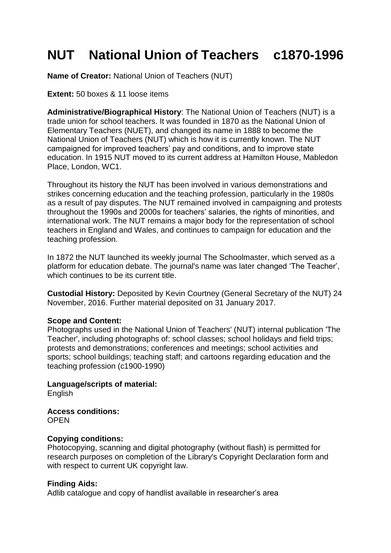# **NUT National Union of Teachers c1870-1996**

**Name of Creator:** National Union of Teachers (NUT)

**Extent:** 50 boxes & 11 loose items

**Administrative/Biographical History**: The National Union of Teachers (NUT) is a trade union for school teachers. It was founded in 1870 as the National Union of Elementary Teachers (NUET), and changed its name in 1888 to become the National Union of Teachers (NUT) which is how it is currently known. The NUT campaigned for improved teachers' pay and conditions, and to improve state education. In 1915 NUT moved to its current address at Hamilton House, Mabledon Place, London, WC1.

Throughout its history the NUT has been involved in various demonstrations and strikes concerning education and the teaching profession, particularly in the 1980s as a result of pay disputes. The NUT remained involved in campaigning and protests throughout the 1990s and 2000s for teachers' salaries, the rights of minorities, and international work. The NUT remains a major body for the representation of school teachers in England and Wales, and continues to campaign for education and the teaching profession.

In 1872 the NUT launched its weekly journal The Schoolmaster, which served as a platform for education debate. The journal's name was later changed 'The Teacher', which continues to be its current title.

**Custodial History:** Deposited by Kevin Courtney (General Secretary of the NUT) 24 November, 2016. Further material deposited on 31 January 2017.

#### **Scope and Content:**

Photographs used in the National Union of Teachers' (NUT) internal publication 'The Teacher', including photographs of: school classes; school holidays and field trips; protests and demonstrations; conferences and meetings; school activities and sports; school buildings; teaching staff; and cartoons regarding education and the teaching profession (c1900-1990)

**Language/scripts of material:** English

**Access conditions: OPEN** 

#### **Copying conditions:**

Photocopying, scanning and digital photography (without flash) is permitted for research purposes on completion of the Library's Copyright Declaration form and with respect to current UK copyright law.

#### **Finding Aids:**

Adlib catalogue and copy of handlist available in researcher's area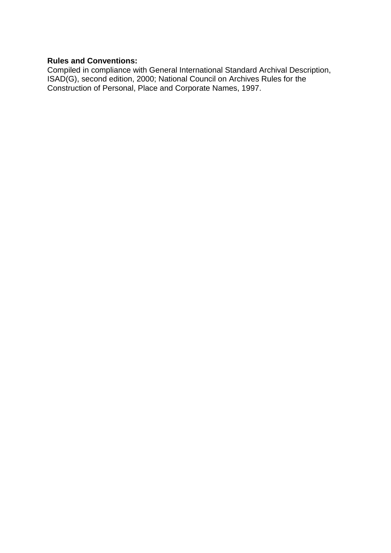#### **Rules and Conventions:**

Compiled in compliance with General International Standard Archival Description, ISAD(G), second edition, 2000; National Council on Archives Rules for the Construction of Personal, Place and Corporate Names, 1997.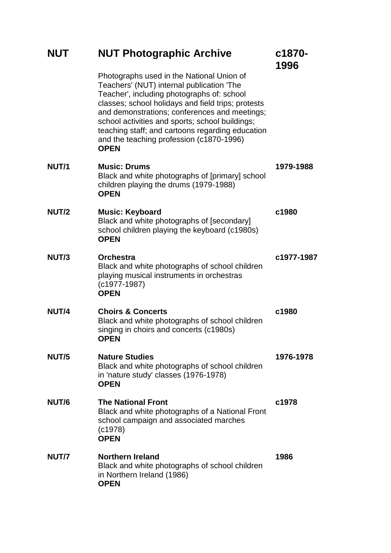| <b>NUT</b>   | <b>NUT Photographic Archive</b>                                                                                                                                                                                                                                                                                                                                                                               | c1870-<br>1996 |
|--------------|---------------------------------------------------------------------------------------------------------------------------------------------------------------------------------------------------------------------------------------------------------------------------------------------------------------------------------------------------------------------------------------------------------------|----------------|
|              | Photographs used in the National Union of<br>Teachers' (NUT) internal publication 'The<br>Teacher', including photographs of: school<br>classes; school holidays and field trips; protests<br>and demonstrations; conferences and meetings;<br>school activities and sports; school buildings;<br>teaching staff; and cartoons regarding education<br>and the teaching profession (c1870-1996)<br><b>OPEN</b> |                |
| <b>NUT/1</b> | <b>Music: Drums</b><br>Black and white photographs of [primary] school<br>children playing the drums (1979-1988)<br><b>OPEN</b>                                                                                                                                                                                                                                                                               | 1979-1988      |
| <b>NUT/2</b> | <b>Music: Keyboard</b><br>Black and white photographs of [secondary]<br>school children playing the keyboard (c1980s)<br><b>OPEN</b>                                                                                                                                                                                                                                                                          | c1980          |
| NUT/3        | <b>Orchestra</b><br>Black and white photographs of school children<br>playing musical instruments in orchestras<br>$(c1977-1987)$<br><b>OPEN</b>                                                                                                                                                                                                                                                              | c1977-1987     |
| NUT/4        | <b>Choirs &amp; Concerts</b><br>Black and white photographs of school children<br>singing in choirs and concerts (c1980s)<br><b>OPEN</b>                                                                                                                                                                                                                                                                      | c1980          |
| NUT/5        | <b>Nature Studies</b><br>Black and white photographs of school children<br>in 'nature study' classes (1976-1978)<br><b>OPEN</b>                                                                                                                                                                                                                                                                               | 1976-1978      |
| NUT/6        | <b>The National Front</b><br>Black and white photographs of a National Front<br>school campaign and associated marches<br>(c1978)<br><b>OPEN</b>                                                                                                                                                                                                                                                              | c1978          |
| NUT/7        | <b>Northern Ireland</b><br>Black and white photographs of school children<br>in Northern Ireland (1986)<br><b>OPEN</b>                                                                                                                                                                                                                                                                                        | 1986           |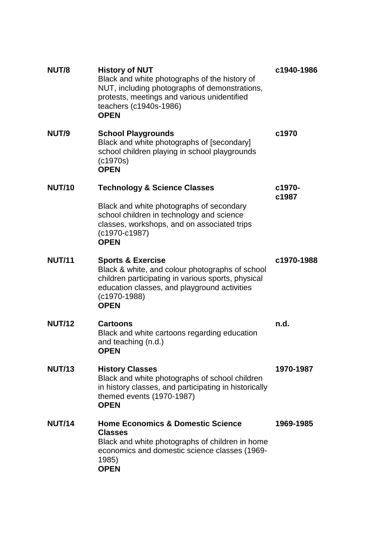| NUT/8         | <b>History of NUT</b><br>Black and white photographs of the history of<br>NUT, including photographs of demonstrations,<br>protests, meetings and various unidentified<br>teachers (c1940s-1986)<br><b>OPEN</b>        | c1940-1986      |
|---------------|------------------------------------------------------------------------------------------------------------------------------------------------------------------------------------------------------------------------|-----------------|
| NUT/9         | <b>School Playgrounds</b><br>Black and white photographs of [secondary]<br>school children playing in school playgrounds<br>(c1970s)<br><b>OPEN</b>                                                                    | c1970           |
| <b>NUT/10</b> | <b>Technology &amp; Science Classes</b>                                                                                                                                                                                | c1970-<br>c1987 |
|               | Black and white photographs of secondary<br>school children in technology and science<br>classes, workshops, and on associated trips<br>$(c1970-c1987)$<br><b>OPEN</b>                                                 |                 |
| <b>NUT/11</b> | <b>Sports &amp; Exercise</b><br>Black & white, and colour photographs of school<br>children participating in various sports, physical<br>education classes, and playground activities<br>$(c1970-1988)$<br><b>OPEN</b> | c1970-1988      |
| <b>NUT/12</b> | <b>Cartoons</b><br>Black and white cartoons regarding education<br>and teaching (n.d.)<br><b>OPEN</b>                                                                                                                  | n.d.            |
| <b>NUT/13</b> | <b>History Classes</b><br>Black and white photographs of school children<br>in history classes, and participating in historically<br>themed events (1970-1987)<br><b>OPEN</b>                                          | 1970-1987       |
| <b>NUT/14</b> | <b>Home Economics &amp; Domestic Science</b><br><b>Classes</b><br>Black and white photographs of children in home<br>economics and domestic science classes (1969-<br>1985)<br><b>OPEN</b>                             | 1969-1985       |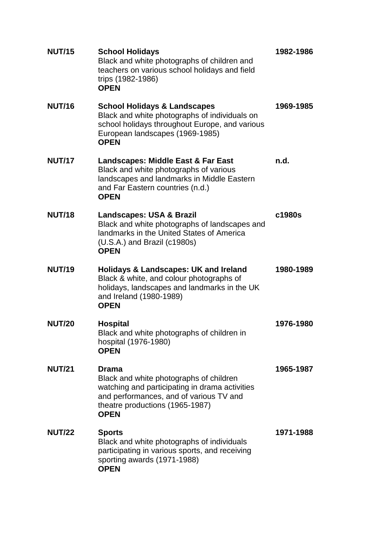| <b>NUT/15</b> | <b>School Holidays</b><br>Black and white photographs of children and<br>teachers on various school holidays and field<br>trips (1982-1986)<br><b>OPEN</b>                                      | 1982-1986 |
|---------------|-------------------------------------------------------------------------------------------------------------------------------------------------------------------------------------------------|-----------|
| <b>NUT/16</b> | <b>School Holidays &amp; Landscapes</b><br>Black and white photographs of individuals on<br>school holidays throughout Europe, and various<br>European landscapes (1969-1985)<br><b>OPEN</b>    | 1969-1985 |
| <b>NUT/17</b> | Landscapes: Middle East & Far East<br>Black and white photographs of various<br>landscapes and landmarks in Middle Eastern<br>and Far Eastern countries (n.d.)<br><b>OPEN</b>                   | n.d.      |
| <b>NUT/18</b> | <b>Landscapes: USA &amp; Brazil</b><br>Black and white photographs of landscapes and<br>landmarks in the United States of America<br>$(U.S.A.)$ and Brazil $(c1980s)$<br><b>OPEN</b>            | c1980s    |
| <b>NUT/19</b> | <b>Holidays &amp; Landscapes: UK and Ireland</b><br>Black & white, and colour photographs of<br>holidays, landscapes and landmarks in the UK<br>and Ireland (1980-1989)<br><b>OPEN</b>          | 1980-1989 |
| <b>NUT/20</b> | <b>Hospital</b><br>Black and white photographs of children in<br>hospital (1976-1980)<br><b>OPEN</b>                                                                                            | 1976-1980 |
| <b>NUT/21</b> | Drama<br>Black and white photographs of children<br>watching and participating in drama activities<br>and performances, and of various TV and<br>theatre productions (1965-1987)<br><b>OPEN</b> | 1965-1987 |
| <b>NUT/22</b> | <b>Sports</b><br>Black and white photographs of individuals<br>participating in various sports, and receiving<br>sporting awards (1971-1988)<br><b>OPEN</b>                                     | 1971-1988 |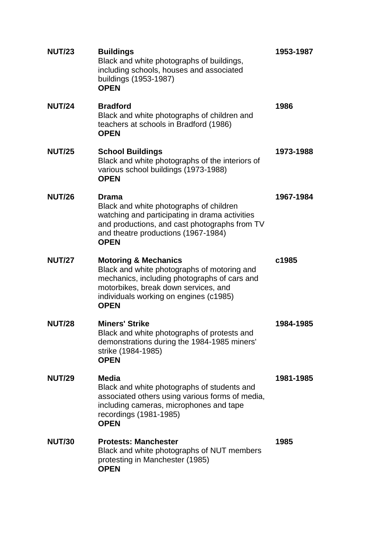| <b>NUT/23</b> | <b>Buildings</b><br>Black and white photographs of buildings,<br>including schools, houses and associated<br>buildings (1953-1987)<br><b>OPEN</b>                                                                               | 1953-1987 |
|---------------|---------------------------------------------------------------------------------------------------------------------------------------------------------------------------------------------------------------------------------|-----------|
| <b>NUT/24</b> | <b>Bradford</b><br>Black and white photographs of children and<br>teachers at schools in Bradford (1986)<br><b>OPEN</b>                                                                                                         | 1986      |
| <b>NUT/25</b> | <b>School Buildings</b><br>Black and white photographs of the interiors of<br>various school buildings (1973-1988)<br><b>OPEN</b>                                                                                               | 1973-1988 |
| <b>NUT/26</b> | <b>Drama</b><br>Black and white photographs of children<br>watching and participating in drama activities<br>and productions, and cast photographs from TV<br>and theatre productions (1967-1984)<br><b>OPEN</b>                | 1967-1984 |
| <b>NUT/27</b> | <b>Motoring &amp; Mechanics</b><br>Black and white photographs of motoring and<br>mechanics, including photographs of cars and<br>motorbikes, break down services, and<br>individuals working on engines (c1985)<br><b>OPEN</b> | c1985     |
| <b>NUT/28</b> | <b>Miners' Strike</b><br>Black and white photographs of protests and<br>demonstrations during the 1984-1985 miners'<br>strike (1984-1985)<br><b>OPEN</b>                                                                        | 1984-1985 |
| <b>NUT/29</b> | <b>Media</b><br>Black and white photographs of students and<br>associated others using various forms of media,<br>including cameras, microphones and tape<br>recordings (1981-1985)<br><b>OPEN</b>                              | 1981-1985 |
| <b>NUT/30</b> | <b>Protests: Manchester</b><br>Black and white photographs of NUT members<br>protesting in Manchester (1985)<br><b>OPEN</b>                                                                                                     | 1985      |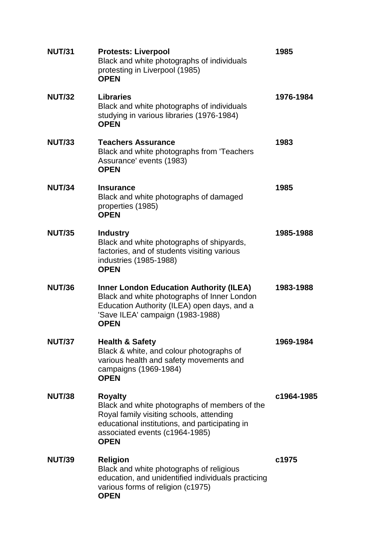| <b>NUT/31</b> | <b>Protests: Liverpool</b><br>Black and white photographs of individuals<br>protesting in Liverpool (1985)<br><b>OPEN</b>                                                                                      | 1985       |
|---------------|----------------------------------------------------------------------------------------------------------------------------------------------------------------------------------------------------------------|------------|
| <b>NUT/32</b> | <b>Libraries</b><br>Black and white photographs of individuals<br>studying in various libraries (1976-1984)<br><b>OPEN</b>                                                                                     | 1976-1984  |
| <b>NUT/33</b> | <b>Teachers Assurance</b><br>Black and white photographs from 'Teachers<br>Assurance' events (1983)<br><b>OPEN</b>                                                                                             | 1983       |
| <b>NUT/34</b> | <b>Insurance</b><br>Black and white photographs of damaged<br>properties (1985)<br><b>OPEN</b>                                                                                                                 | 1985       |
| <b>NUT/35</b> | <b>Industry</b><br>Black and white photographs of shipyards,<br>factories, and of students visiting various<br>industries (1985-1988)<br><b>OPEN</b>                                                           | 1985-1988  |
| <b>NUT/36</b> | <b>Inner London Education Authority (ILEA)</b><br>Black and white photographs of Inner London<br>Education Authority (ILEA) open days, and a<br>'Save ILEA' campaign (1983-1988)<br><b>OPEN</b>                | 1983-1988  |
| <b>NUT/37</b> | <b>Health &amp; Safety</b><br>Black & white, and colour photographs of<br>various health and safety movements and<br>campaigns (1969-1984)<br><b>OPEN</b>                                                      | 1969-1984  |
| <b>NUT/38</b> | <b>Royalty</b><br>Black and white photographs of members of the<br>Royal family visiting schools, attending<br>educational institutions, and participating in<br>associated events (c1964-1985)<br><b>OPEN</b> | c1964-1985 |
| <b>NUT/39</b> | <b>Religion</b><br>Black and white photographs of religious<br>education, and unidentified individuals practicing<br>various forms of religion (c1975)<br><b>OPEN</b>                                          | c1975      |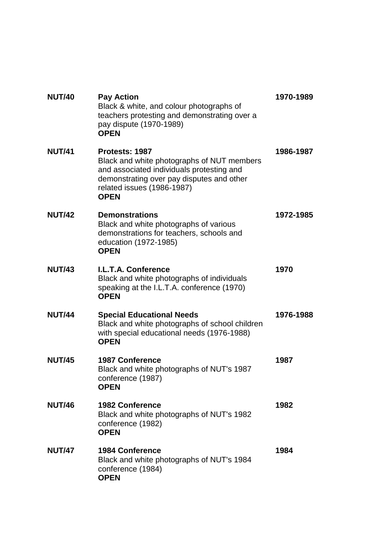| <b>NUT/40</b> | <b>Pay Action</b><br>Black & white, and colour photographs of<br>teachers protesting and demonstrating over a<br>pay dispute (1970-1989)<br><b>OPEN</b>                                             | 1970-1989 |
|---------------|-----------------------------------------------------------------------------------------------------------------------------------------------------------------------------------------------------|-----------|
| <b>NUT/41</b> | Protests: 1987<br>Black and white photographs of NUT members<br>and associated individuals protesting and<br>demonstrating over pay disputes and other<br>related issues (1986-1987)<br><b>OPEN</b> | 1986-1987 |
| <b>NUT/42</b> | <b>Demonstrations</b><br>Black and white photographs of various<br>demonstrations for teachers, schools and<br>education (1972-1985)<br><b>OPEN</b>                                                 | 1972-1985 |
| <b>NUT/43</b> | I.L.T.A. Conference<br>Black and white photographs of individuals<br>speaking at the I.L.T.A. conference (1970)<br><b>OPEN</b>                                                                      | 1970      |
| <b>NUT/44</b> | <b>Special Educational Needs</b><br>Black and white photographs of school children<br>with special educational needs (1976-1988)<br><b>OPEN</b>                                                     | 1976-1988 |
| <b>NUT/45</b> | <b>1987 Conference</b><br>Black and white photographs of NUT's 1987<br>conference (1987)<br><b>OPEN</b>                                                                                             | 1987      |
| <b>NUT/46</b> | <b>1982 Conference</b><br>Black and white photographs of NUT's 1982<br>conference (1982)<br><b>OPEN</b>                                                                                             | 1982      |
| <b>NUT/47</b> | <b>1984 Conference</b><br>Black and white photographs of NUT's 1984<br>conference (1984)<br><b>OPEN</b>                                                                                             | 1984      |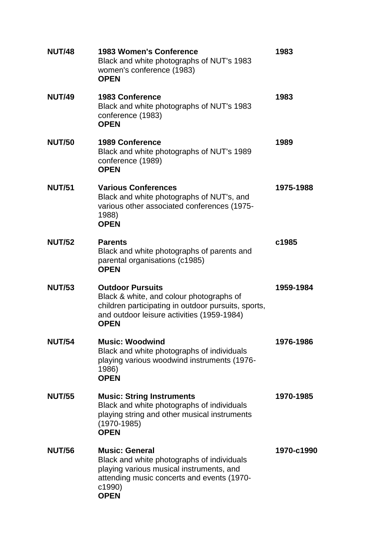| <b>NUT/48</b> | <b>1983 Women's Conference</b><br>Black and white photographs of NUT's 1983<br>women's conference (1983)<br><b>OPEN</b>                                                                 | 1983       |
|---------------|-----------------------------------------------------------------------------------------------------------------------------------------------------------------------------------------|------------|
| <b>NUT/49</b> | <b>1983 Conference</b><br>Black and white photographs of NUT's 1983<br>conference (1983)<br><b>OPEN</b>                                                                                 | 1983       |
| <b>NUT/50</b> | <b>1989 Conference</b><br>Black and white photographs of NUT's 1989<br>conference (1989)<br><b>OPEN</b>                                                                                 | 1989       |
| <b>NUT/51</b> | <b>Various Conferences</b><br>Black and white photographs of NUT's, and<br>various other associated conferences (1975-<br>1988)<br><b>OPEN</b>                                          | 1975-1988  |
| <b>NUT/52</b> | <b>Parents</b><br>Black and white photographs of parents and<br>parental organisations (c1985)<br><b>OPEN</b>                                                                           | c1985      |
| <b>NUT/53</b> | <b>Outdoor Pursuits</b><br>Black & white, and colour photographs of<br>children participating in outdoor pursuits, sports,<br>and outdoor leisure activities (1959-1984)<br><b>OPEN</b> | 1959-1984  |
| <b>NUT/54</b> | <b>Music: Woodwind</b><br>Black and white photographs of individuals<br>playing various woodwind instruments (1976-<br>1986)<br><b>OPEN</b>                                             | 1976-1986  |
| <b>NUT/55</b> | <b>Music: String Instruments</b><br>Black and white photographs of individuals<br>playing string and other musical instruments<br>$(1970 - 1985)$<br><b>OPEN</b>                        | 1970-1985  |
| <b>NUT/56</b> | <b>Music: General</b><br>Black and white photographs of individuals<br>playing various musical instruments, and<br>attending music concerts and events (1970-<br>c1990)<br><b>OPEN</b>  | 1970-c1990 |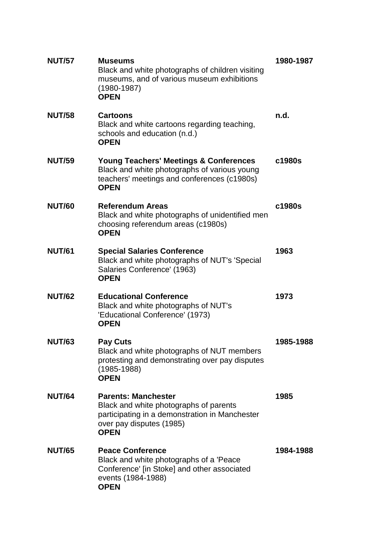| <b>NUT/57</b> | <b>Museums</b><br>Black and white photographs of children visiting<br>museums, and of various museum exhibitions<br>$(1980 - 1987)$<br><b>OPEN</b>                | 1980-1987 |
|---------------|-------------------------------------------------------------------------------------------------------------------------------------------------------------------|-----------|
| <b>NUT/58</b> | <b>Cartoons</b><br>Black and white cartoons regarding teaching,<br>schools and education (n.d.)<br><b>OPEN</b>                                                    | n.d.      |
| <b>NUT/59</b> | <b>Young Teachers' Meetings &amp; Conferences</b><br>Black and white photographs of various young<br>teachers' meetings and conferences (c1980s)<br><b>OPEN</b>   | c1980s    |
| <b>NUT/60</b> | <b>Referendum Areas</b><br>Black and white photographs of unidentified men<br>choosing referendum areas (c1980s)<br><b>OPEN</b>                                   | c1980s    |
| <b>NUT/61</b> | <b>Special Salaries Conference</b><br>Black and white photographs of NUT's 'Special<br>Salaries Conference' (1963)<br><b>OPEN</b>                                 | 1963      |
| <b>NUT/62</b> | <b>Educational Conference</b><br>Black and white photographs of NUT's<br>'Educational Conference' (1973)<br><b>OPEN</b>                                           | 1973      |
| <b>NUT/63</b> | <b>Pay Cuts</b><br>Black and white photographs of NUT members<br>protesting and demonstrating over pay disputes<br>$(1985 - 1988)$<br><b>OPEN</b>                 | 1985-1988 |
| <b>NUT/64</b> | <b>Parents: Manchester</b><br>Black and white photographs of parents<br>participating in a demonstration in Manchester<br>over pay disputes (1985)<br><b>OPEN</b> | 1985      |
| <b>NUT/65</b> | <b>Peace Conference</b><br>Black and white photographs of a 'Peace<br>Conference' [in Stoke] and other associated<br>events (1984-1988)<br><b>OPEN</b>            | 1984-1988 |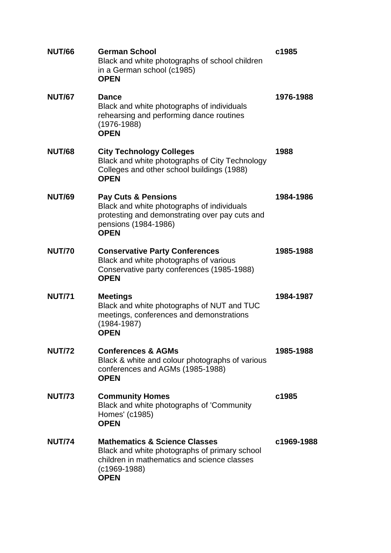| <b>NUT/66</b> | <b>German School</b><br>Black and white photographs of school children<br>in a German school (c1985)<br><b>OPEN</b>                                                       | c1985      |
|---------------|---------------------------------------------------------------------------------------------------------------------------------------------------------------------------|------------|
| <b>NUT/67</b> | <b>Dance</b><br>Black and white photographs of individuals<br>rehearsing and performing dance routines<br>$(1976 - 1988)$<br><b>OPEN</b>                                  | 1976-1988  |
| <b>NUT/68</b> | <b>City Technology Colleges</b><br>Black and white photographs of City Technology<br>Colleges and other school buildings (1988)<br><b>OPEN</b>                            | 1988       |
| <b>NUT/69</b> | <b>Pay Cuts &amp; Pensions</b><br>Black and white photographs of individuals<br>protesting and demonstrating over pay cuts and<br>pensions (1984-1986)<br><b>OPEN</b>     | 1984-1986  |
| <b>NUT/70</b> | <b>Conservative Party Conferences</b><br>Black and white photographs of various<br>Conservative party conferences (1985-1988)<br><b>OPEN</b>                              | 1985-1988  |
| <b>NUT/71</b> | <b>Meetings</b><br>Black and white photographs of NUT and TUC<br>meetings, conferences and demonstrations<br>(1984-1987)<br><b>OPEN</b>                                   | 1984-1987  |
| <b>NUT/72</b> | <b>Conferences &amp; AGMs</b><br>Black & white and colour photographs of various<br>conferences and AGMs (1985-1988)<br><b>OPEN</b>                                       | 1985-1988  |
| <b>NUT/73</b> | <b>Community Homes</b><br>Black and white photographs of 'Community<br>Homes' (c1985)<br><b>OPEN</b>                                                                      | c1985      |
| <b>NUT/74</b> | <b>Mathematics &amp; Science Classes</b><br>Black and white photographs of primary school<br>children in mathematics and science classes<br>$(c1969-1988)$<br><b>OPEN</b> | c1969-1988 |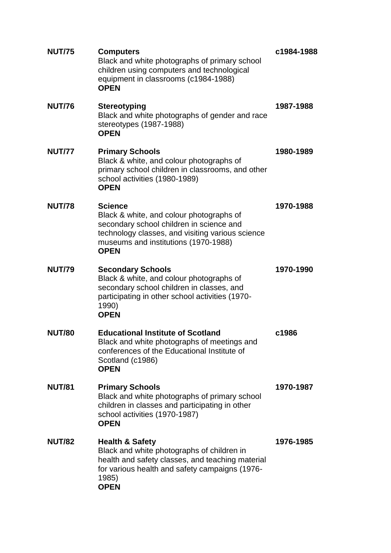| <b>NUT/75</b> | <b>Computers</b><br>Black and white photographs of primary school<br>children using computers and technological<br>equipment in classrooms (c1984-1988)<br><b>OPEN</b>                                            | c1984-1988 |
|---------------|-------------------------------------------------------------------------------------------------------------------------------------------------------------------------------------------------------------------|------------|
| <b>NUT/76</b> | <b>Stereotyping</b><br>Black and white photographs of gender and race<br>stereotypes (1987-1988)<br><b>OPEN</b>                                                                                                   | 1987-1988  |
| <b>NUT/77</b> | <b>Primary Schools</b><br>Black & white, and colour photographs of<br>primary school children in classrooms, and other<br>school activities (1980-1989)<br><b>OPEN</b>                                            | 1980-1989  |
| <b>NUT/78</b> | <b>Science</b><br>Black & white, and colour photographs of<br>secondary school children in science and<br>technology classes, and visiting various science<br>museums and institutions (1970-1988)<br><b>OPEN</b> | 1970-1988  |
| <b>NUT/79</b> | <b>Secondary Schools</b><br>Black & white, and colour photographs of<br>secondary school children in classes, and<br>participating in other school activities (1970-<br>1990)<br><b>OPEN</b>                      | 1970-1990  |
| <b>NUT/80</b> | <b>Educational Institute of Scotland</b><br>Black and white photographs of meetings and<br>conferences of the Educational Institute of<br>Scotland (c1986)<br><b>OPEN</b>                                         | c1986      |
| <b>NUT/81</b> | <b>Primary Schools</b><br>Black and white photographs of primary school<br>children in classes and participating in other<br>school activities (1970-1987)<br><b>OPEN</b>                                         | 1970-1987  |
| <b>NUT/82</b> | <b>Health &amp; Safety</b><br>Black and white photographs of children in<br>health and safety classes, and teaching material<br>for various health and safety campaigns (1976-<br>1985)<br><b>OPEN</b>            | 1976-1985  |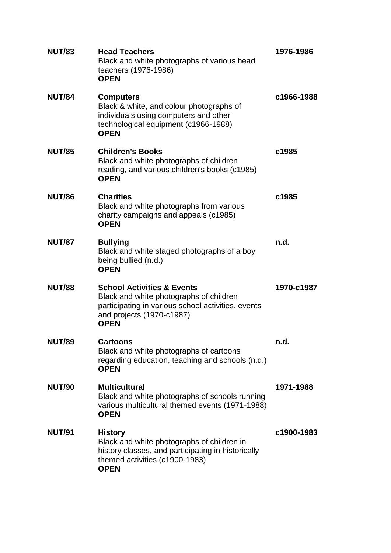| <b>NUT/83</b> | <b>Head Teachers</b><br>Black and white photographs of various head<br>teachers (1976-1986)<br><b>OPEN</b>                                                                         | 1976-1986  |
|---------------|------------------------------------------------------------------------------------------------------------------------------------------------------------------------------------|------------|
| <b>NUT/84</b> | <b>Computers</b><br>Black & white, and colour photographs of<br>individuals using computers and other<br>technological equipment (c1966-1988)<br><b>OPEN</b>                       | c1966-1988 |
| <b>NUT/85</b> | <b>Children's Books</b><br>Black and white photographs of children<br>reading, and various children's books (c1985)<br><b>OPEN</b>                                                 | c1985      |
| <b>NUT/86</b> | <b>Charities</b><br>Black and white photographs from various<br>charity campaigns and appeals (c1985)<br><b>OPEN</b>                                                               | c1985      |
| <b>NUT/87</b> | <b>Bullying</b><br>Black and white staged photographs of a boy<br>being bullied (n.d.)<br><b>OPEN</b>                                                                              | n.d.       |
| <b>NUT/88</b> | <b>School Activities &amp; Events</b><br>Black and white photographs of children<br>participating in various school activities, events<br>and projects (1970-c1987)<br><b>OPEN</b> | 1970-c1987 |
| <b>NUT/89</b> | <b>Cartoons</b><br>Black and white photographs of cartoons<br>regarding education, teaching and schools (n.d.)<br><b>OPEN</b>                                                      | n.d.       |
| <b>NUT/90</b> | <b>Multicultural</b><br>Black and white photographs of schools running<br>various multicultural themed events (1971-1988)<br><b>OPEN</b>                                           | 1971-1988  |
| <b>NUT/91</b> | <b>History</b><br>Black and white photographs of children in<br>history classes, and participating in historically<br>themed activities (c1900-1983)<br><b>OPEN</b>                | c1900-1983 |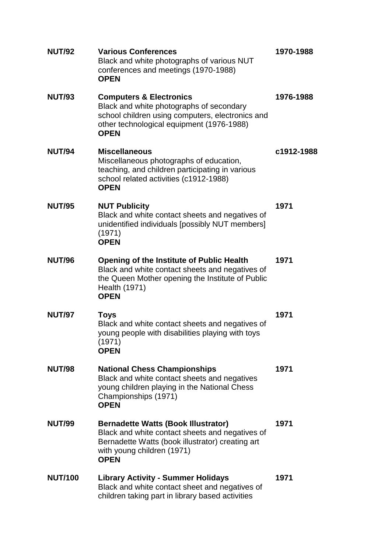| <b>NUT/92</b>  | <b>Various Conferences</b><br>Black and white photographs of various NUT<br>conferences and meetings (1970-1988)<br><b>OPEN</b>                                                                | 1970-1988  |
|----------------|------------------------------------------------------------------------------------------------------------------------------------------------------------------------------------------------|------------|
| <b>NUT/93</b>  | <b>Computers &amp; Electronics</b><br>Black and white photographs of secondary<br>school children using computers, electronics and<br>other technological equipment (1976-1988)<br><b>OPEN</b> | 1976-1988  |
| <b>NUT/94</b>  | <b>Miscellaneous</b><br>Miscellaneous photographs of education,<br>teaching, and children participating in various<br>school related activities (c1912-1988)<br><b>OPEN</b>                    | c1912-1988 |
| <b>NUT/95</b>  | <b>NUT Publicity</b><br>Black and white contact sheets and negatives of<br>unidentified individuals [possibly NUT members]<br>(1971)<br><b>OPEN</b>                                            | 1971       |
| <b>NUT/96</b>  | <b>Opening of the Institute of Public Health</b><br>Black and white contact sheets and negatives of<br>the Queen Mother opening the Institute of Public<br>Health (1971)<br><b>OPEN</b>        | 1971       |
| <b>NUT/97</b>  | <b>Toys</b><br>Black and white contact sheets and negatives of<br>young people with disabilities playing with toys<br>(1971)<br><b>OPEN</b>                                                    | 1971       |
| <b>NUT/98</b>  | <b>National Chess Championships</b><br>Black and white contact sheets and negatives<br>young children playing in the National Chess<br>Championships (1971)<br><b>OPEN</b>                     | 1971       |
| <b>NUT/99</b>  | <b>Bernadette Watts (Book Illustrator)</b><br>Black and white contact sheets and negatives of<br>Bernadette Watts (book illustrator) creating art<br>with young children (1971)<br><b>OPEN</b> | 1971       |
| <b>NUT/100</b> | <b>Library Activity - Summer Holidays</b><br>Black and white contact sheet and negatives of<br>children taking part in library based activities                                                | 1971       |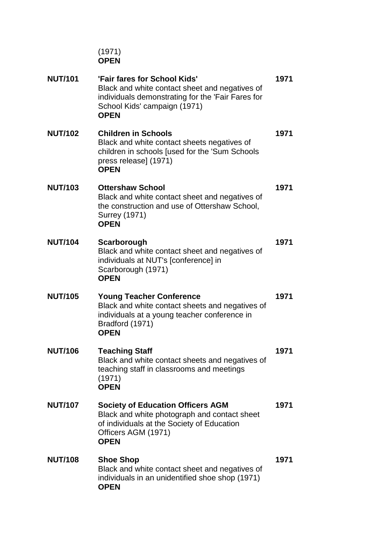|                | (1971)<br><b>OPEN</b>                                                                                                                                                              |      |
|----------------|------------------------------------------------------------------------------------------------------------------------------------------------------------------------------------|------|
| <b>NUT/101</b> | 'Fair fares for School Kids'<br>Black and white contact sheet and negatives of<br>individuals demonstrating for the 'Fair Fares for<br>School Kids' campaign (1971)<br><b>OPEN</b> | 1971 |
| <b>NUT/102</b> | <b>Children in Schools</b><br>Black and white contact sheets negatives of<br>children in schools [used for the 'Sum Schools<br>press release] (1971)<br><b>OPEN</b>                | 1971 |
| <b>NUT/103</b> | <b>Ottershaw School</b><br>Black and white contact sheet and negatives of<br>the construction and use of Ottershaw School,<br>Surrey (1971)<br><b>OPEN</b>                         | 1971 |
| <b>NUT/104</b> | Scarborough<br>Black and white contact sheet and negatives of<br>individuals at NUT's [conference] in<br>Scarborough (1971)<br><b>OPEN</b>                                         | 1971 |
| <b>NUT/105</b> | <b>Young Teacher Conference</b><br>Black and white contact sheets and negatives of<br>individuals at a young teacher conference in<br>Bradford (1971)<br><b>OPEN</b>               | 1971 |
| <b>NUT/106</b> | <b>Teaching Staff</b><br>Black and white contact sheets and negatives of<br>teaching staff in classrooms and meetings<br>(1971)<br><b>OPEN</b>                                     | 1971 |
| <b>NUT/107</b> | <b>Society of Education Officers AGM</b><br>Black and white photograph and contact sheet<br>of individuals at the Society of Education<br>Officers AGM (1971)<br><b>OPEN</b>       | 1971 |
| <b>NUT/108</b> | <b>Shoe Shop</b><br>Black and white contact sheet and negatives of<br>individuals in an unidentified shoe shop (1971)<br><b>OPEN</b>                                               | 1971 |
|                |                                                                                                                                                                                    |      |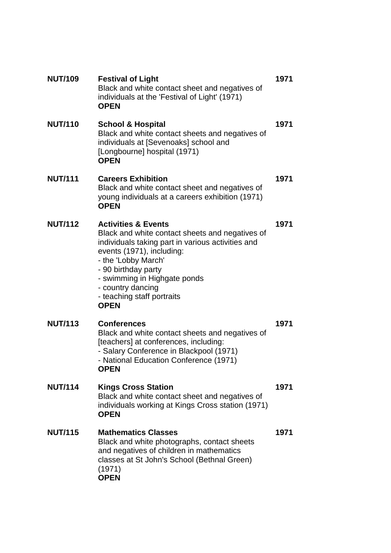| <b>NUT/109</b> | <b>Festival of Light</b><br>Black and white contact sheet and negatives of<br>individuals at the 'Festival of Light' (1971)<br><b>OPEN</b>                                                                                                                                                                          | 1971 |
|----------------|---------------------------------------------------------------------------------------------------------------------------------------------------------------------------------------------------------------------------------------------------------------------------------------------------------------------|------|
| <b>NUT/110</b> | <b>School &amp; Hospital</b><br>Black and white contact sheets and negatives of<br>individuals at [Sevenoaks] school and<br>[Longbourne] hospital (1971)<br><b>OPEN</b>                                                                                                                                             | 1971 |
| <b>NUT/111</b> | <b>Careers Exhibition</b><br>Black and white contact sheet and negatives of<br>young individuals at a careers exhibition (1971)<br><b>OPEN</b>                                                                                                                                                                      | 1971 |
| <b>NUT/112</b> | <b>Activities &amp; Events</b><br>Black and white contact sheets and negatives of<br>individuals taking part in various activities and<br>events (1971), including:<br>- the 'Lobby March'<br>- 90 birthday party<br>- swimming in Highgate ponds<br>- country dancing<br>- teaching staff portraits<br><b>OPEN</b> | 1971 |
| <b>NUT/113</b> | <b>Conferences</b><br>Black and white contact sheets and negatives of<br>[teachers] at conferences, including:<br>- Salary Conference in Blackpool (1971)<br>- National Education Conference (1971)<br><b>OPEN</b>                                                                                                  | 1971 |
| <b>NUT/114</b> | <b>Kings Cross Station</b><br>Black and white contact sheet and negatives of<br>individuals working at Kings Cross station (1971)<br><b>OPEN</b>                                                                                                                                                                    | 1971 |
| <b>NUT/115</b> | <b>Mathematics Classes</b><br>Black and white photographs, contact sheets<br>and negatives of children in mathematics<br>classes at St John's School (Bethnal Green)<br>(1971)<br><b>OPEN</b>                                                                                                                       | 1971 |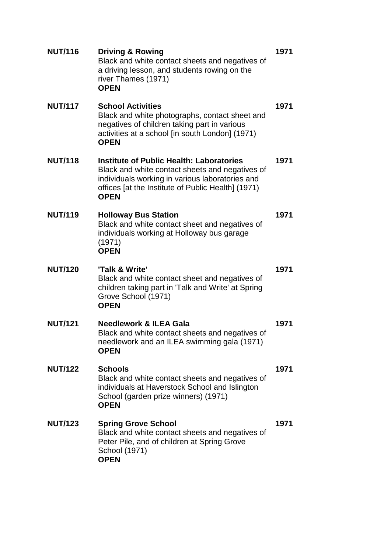| <b>Driving &amp; Rowing</b><br>Black and white contact sheets and negatives of<br>a driving lesson, and students rowing on the<br>river Thames (1971)<br><b>OPEN</b>                                                       | 1971 |
|----------------------------------------------------------------------------------------------------------------------------------------------------------------------------------------------------------------------------|------|
| <b>School Activities</b><br>Black and white photographs, contact sheet and<br>negatives of children taking part in various<br>activities at a school [in south London] (1971)<br><b>OPEN</b>                               | 1971 |
| <b>Institute of Public Health: Laboratories</b><br>Black and white contact sheets and negatives of<br>individuals working in various laboratories and<br>offices [at the Institute of Public Health] (1971)<br><b>OPEN</b> | 1971 |
| <b>Holloway Bus Station</b><br>Black and white contact sheet and negatives of<br>individuals working at Holloway bus garage<br>(1971)<br><b>OPEN</b>                                                                       | 1971 |
|                                                                                                                                                                                                                            |      |
| 'Talk & Write'<br>Black and white contact sheet and negatives of<br>children taking part in 'Talk and Write' at Spring<br>Grove School (1971)<br><b>OPEN</b>                                                               | 1971 |
| <b>Needlework &amp; ILEA Gala</b><br>Black and white contact sheets and negatives of<br>needlework and an ILEA swimming gala (1971)<br><b>OPEN</b>                                                                         | 1971 |
| <b>Schools</b><br>Black and white contact sheets and negatives of<br>individuals at Haverstock School and Islington<br>School (garden prize winners) (1971)<br><b>OPEN</b>                                                 | 1971 |
|                                                                                                                                                                                                                            |      |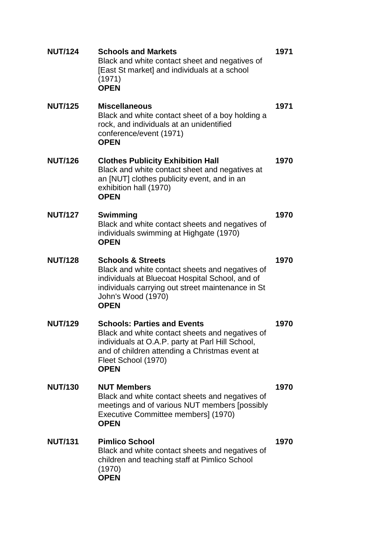| <b>NUT/124</b> | <b>Schools and Markets</b><br>Black and white contact sheet and negatives of<br>[East St market] and individuals at a school<br>(1971)<br><b>OPEN</b>                                                                             | 1971 |
|----------------|-----------------------------------------------------------------------------------------------------------------------------------------------------------------------------------------------------------------------------------|------|
| <b>NUT/125</b> | <b>Miscellaneous</b><br>Black and white contact sheet of a boy holding a<br>rock, and individuals at an unidentified<br>conference/event (1971)<br><b>OPEN</b>                                                                    | 1971 |
| <b>NUT/126</b> | <b>Clothes Publicity Exhibition Hall</b><br>Black and white contact sheet and negatives at<br>an [NUT] clothes publicity event, and in an<br>exhibition hall (1970)<br><b>OPEN</b>                                                | 1970 |
| <b>NUT/127</b> | Swimming<br>Black and white contact sheets and negatives of<br>individuals swimming at Highgate (1970)<br><b>OPEN</b>                                                                                                             | 1970 |
| <b>NUT/128</b> | <b>Schools &amp; Streets</b><br>Black and white contact sheets and negatives of<br>individuals at Bluecoat Hospital School, and of<br>individuals carrying out street maintenance in St<br>John's Wood (1970)<br><b>OPEN</b>      | 1970 |
| <b>NUT/129</b> | <b>Schools: Parties and Events</b><br>Black and white contact sheets and negatives of<br>individuals at O.A.P. party at Parl Hill School,<br>and of children attending a Christmas event at<br>Fleet School (1970)<br><b>OPEN</b> | 1970 |
| <b>NUT/130</b> | <b>NUT Members</b><br>Black and white contact sheets and negatives of<br>meetings and of various NUT members [possibly<br>Executive Committee members] (1970)<br><b>OPEN</b>                                                      | 1970 |
| <b>NUT/131</b> | <b>Pimlico School</b><br>Black and white contact sheets and negatives of<br>children and teaching staff at Pimlico School<br>(1970)<br><b>OPEN</b>                                                                                | 1970 |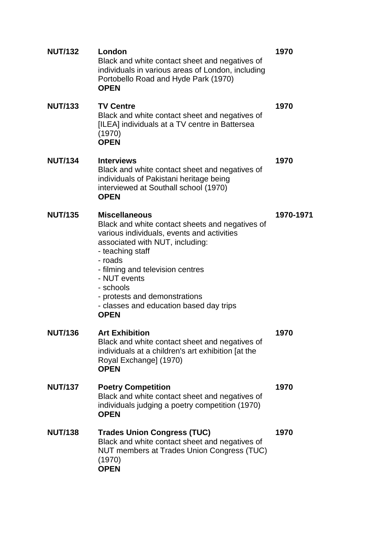| <b>NUT/132</b> | London<br>Black and white contact sheet and negatives of<br>individuals in various areas of London, including<br>Portobello Road and Hyde Park (1970)<br><b>OPEN</b>                                                                                                                                                                                | 1970      |
|----------------|-----------------------------------------------------------------------------------------------------------------------------------------------------------------------------------------------------------------------------------------------------------------------------------------------------------------------------------------------------|-----------|
| <b>NUT/133</b> | <b>TV Centre</b><br>Black and white contact sheet and negatives of<br>[ILEA] individuals at a TV centre in Battersea<br>(1970)<br><b>OPEN</b>                                                                                                                                                                                                       | 1970      |
| <b>NUT/134</b> | <b>Interviews</b><br>Black and white contact sheet and negatives of<br>individuals of Pakistani heritage being<br>interviewed at Southall school (1970)<br><b>OPEN</b>                                                                                                                                                                              | 1970      |
| <b>NUT/135</b> | <b>Miscellaneous</b><br>Black and white contact sheets and negatives of<br>various individuals, events and activities<br>associated with NUT, including:<br>- teaching staff<br>- roads<br>- filming and television centres<br>- NUT events<br>- schools<br>- protests and demonstrations<br>- classes and education based day trips<br><b>OPEN</b> | 1970-1971 |
| <b>NUT/136</b> | <b>Art Exhibition</b><br>Black and white contact sheet and negatives of<br>individuals at a children's art exhibition [at the<br>Royal Exchange] (1970)<br><b>OPEN</b>                                                                                                                                                                              | 1970      |
| <b>NUT/137</b> | <b>Poetry Competition</b><br>Black and white contact sheet and negatives of<br>individuals judging a poetry competition (1970)<br><b>OPEN</b>                                                                                                                                                                                                       | 1970      |
| <b>NUT/138</b> | <b>Trades Union Congress (TUC)</b><br>Black and white contact sheet and negatives of<br>NUT members at Trades Union Congress (TUC)<br>(1970)<br><b>OPEN</b>                                                                                                                                                                                         | 1970      |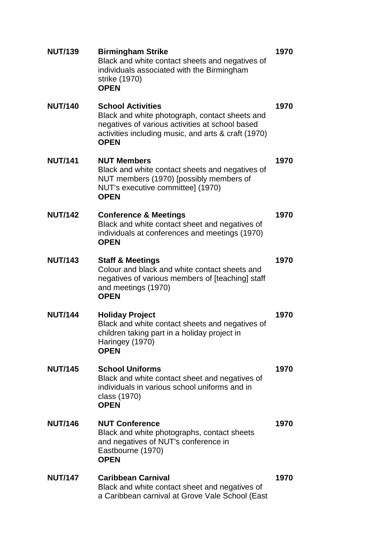| <b>NUT/139</b> | <b>Birmingham Strike</b><br>Black and white contact sheets and negatives of<br>individuals associated with the Birmingham<br>strike (1970)<br><b>OPEN</b>                                           | 1970 |
|----------------|-----------------------------------------------------------------------------------------------------------------------------------------------------------------------------------------------------|------|
| <b>NUT/140</b> | <b>School Activities</b><br>Black and white photograph, contact sheets and<br>negatives of various activities at school based<br>activities including music, and arts & craft (1970)<br><b>OPEN</b> | 1970 |
| <b>NUT/141</b> | <b>NUT Members</b><br>Black and white contact sheets and negatives of<br>NUT members (1970) [possibly members of<br>NUT's executive committee] (1970)<br><b>OPEN</b>                                | 1970 |
| <b>NUT/142</b> | <b>Conference &amp; Meetings</b><br>Black and white contact sheet and negatives of<br>individuals at conferences and meetings (1970)<br><b>OPEN</b>                                                 | 1970 |
| <b>NUT/143</b> | <b>Staff &amp; Meetings</b><br>Colour and black and white contact sheets and<br>negatives of various members of [teaching] staff<br>and meetings (1970)<br><b>OPEN</b>                              | 1970 |
| <b>NUT/144</b> | <b>Holiday Project</b><br>Black and white contact sheets and negatives of<br>children taking part in a holiday project in<br>Haringey (1970)<br><b>OPEN</b>                                         | 1970 |
| <b>NUT/145</b> | <b>School Uniforms</b><br>Black and white contact sheet and negatives of<br>individuals in various school uniforms and in<br>class (1970)<br><b>OPEN</b>                                            | 1970 |
| <b>NUT/146</b> | <b>NUT Conference</b><br>Black and white photographs, contact sheets<br>and negatives of NUT's conference in<br>Eastbourne (1970)<br><b>OPEN</b>                                                    | 1970 |
| <b>NUT/147</b> | <b>Caribbean Carnival</b><br>Black and white contact sheet and negatives of<br>a Caribbean carnival at Grove Vale School (East                                                                      | 1970 |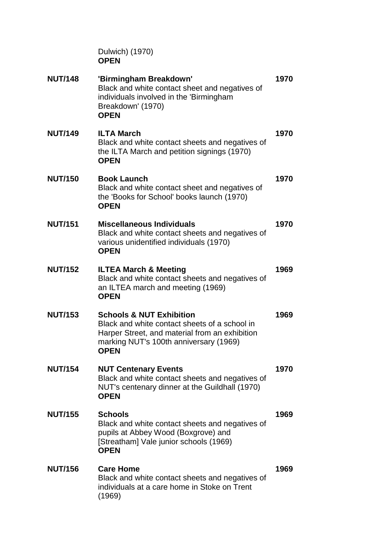Dulwich) (1970) **OPEN**

| <b>NUT/148</b> | 'Birmingham Breakdown'<br>Black and white contact sheet and negatives of<br>individuals involved in the 'Birmingham<br>Breakdown' (1970)<br><b>OPEN</b>                                         | 1970 |
|----------------|-------------------------------------------------------------------------------------------------------------------------------------------------------------------------------------------------|------|
| <b>NUT/149</b> | <b>ILTA March</b><br>Black and white contact sheets and negatives of<br>the ILTA March and petition signings (1970)<br><b>OPEN</b>                                                              | 1970 |
| <b>NUT/150</b> | <b>Book Launch</b><br>Black and white contact sheet and negatives of<br>the 'Books for School' books launch (1970)<br><b>OPEN</b>                                                               | 1970 |
| <b>NUT/151</b> | <b>Miscellaneous Individuals</b><br>Black and white contact sheets and negatives of<br>various unidentified individuals (1970)<br><b>OPEN</b>                                                   | 1970 |
| <b>NUT/152</b> | <b>ILTEA March &amp; Meeting</b><br>Black and white contact sheets and negatives of<br>an ILTEA march and meeting (1969)<br><b>OPEN</b>                                                         | 1969 |
| <b>NUT/153</b> | <b>Schools &amp; NUT Exhibition</b><br>Black and white contact sheets of a school in<br>Harper Street, and material from an exhibition<br>marking NUT's 100th anniversary (1969)<br><b>OPEN</b> | 1969 |
| <b>NUT/154</b> | <b>NUT Centenary Events</b><br>Black and white contact sheets and negatives of<br>NUT's centenary dinner at the Guildhall (1970)<br><b>OPEN</b>                                                 | 1970 |
| <b>NUT/155</b> | <b>Schools</b><br>Black and white contact sheets and negatives of<br>pupils at Abbey Wood (Boxgrove) and<br>[Streatham] Vale junior schools (1969)<br><b>OPEN</b>                               | 1969 |
| <b>NUT/156</b> | <b>Care Home</b><br>Black and white contact sheets and negatives of<br>individuals at a care home in Stoke on Trent<br>(1969)                                                                   | 1969 |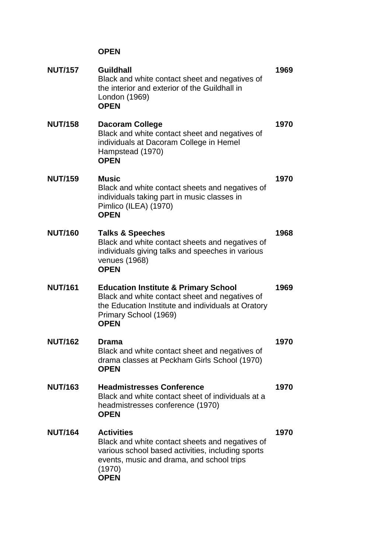| <b>NUT/157</b> | <b>Guildhall</b><br>Black and white contact sheet and negatives of<br>the interior and exterior of the Guildhall in<br>London (1969)<br><b>OPEN</b>                                             | 1969 |
|----------------|-------------------------------------------------------------------------------------------------------------------------------------------------------------------------------------------------|------|
| <b>NUT/158</b> | <b>Dacoram College</b><br>Black and white contact sheet and negatives of<br>individuals at Dacoram College in Hemel<br>Hampstead (1970)<br><b>OPEN</b>                                          | 1970 |
| <b>NUT/159</b> | <b>Music</b><br>Black and white contact sheets and negatives of<br>individuals taking part in music classes in<br>Pimlico (ILEA) (1970)<br><b>OPEN</b>                                          | 1970 |
| <b>NUT/160</b> | <b>Talks &amp; Speeches</b><br>Black and white contact sheets and negatives of<br>individuals giving talks and speeches in various<br>venues (1968)<br><b>OPEN</b>                              | 1968 |
| <b>NUT/161</b> | <b>Education Institute &amp; Primary School</b><br>Black and white contact sheet and negatives of<br>the Education Institute and individuals at Oratory<br>Primary School (1969)<br><b>OPEN</b> | 1969 |
| <b>NUT/162</b> | <b>Drama</b><br>Black and white contact sheet and negatives of<br>drama classes at Peckham Girls School (1970)<br><b>OPEN</b>                                                                   | 1970 |
| <b>NUT/163</b> | <b>Headmistresses Conference</b><br>Black and white contact sheet of individuals at a<br>headmistresses conference (1970)<br><b>OPEN</b>                                                        | 1970 |
| <b>NUT/164</b> | <b>Activities</b><br>Black and white contact sheets and negatives of<br>various school based activities, including sports<br>events, music and drama, and school trips<br>(1970)<br><b>OPEN</b> | 1970 |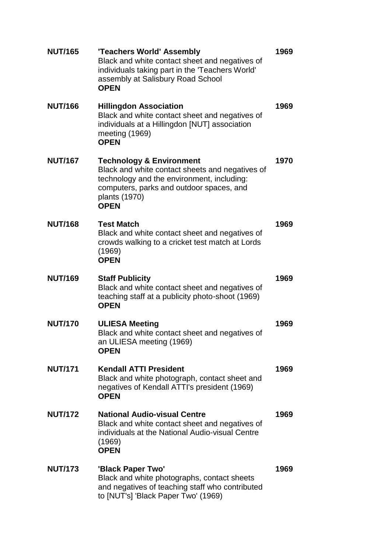| <b>NUT/165</b> | 'Teachers World' Assembly<br>Black and white contact sheet and negatives of<br>individuals taking part in the 'Teachers World'<br>assembly at Salisbury Road School<br><b>OPEN</b>                               | 1969 |
|----------------|------------------------------------------------------------------------------------------------------------------------------------------------------------------------------------------------------------------|------|
| <b>NUT/166</b> | <b>Hillingdon Association</b><br>Black and white contact sheet and negatives of<br>individuals at a Hillingdon [NUT] association<br>meeting (1969)<br><b>OPEN</b>                                                | 1969 |
| <b>NUT/167</b> | <b>Technology &amp; Environment</b><br>Black and white contact sheets and negatives of<br>technology and the environment, including:<br>computers, parks and outdoor spaces, and<br>plants (1970)<br><b>OPEN</b> | 1970 |
| <b>NUT/168</b> | <b>Test Match</b><br>Black and white contact sheet and negatives of<br>crowds walking to a cricket test match at Lords<br>(1969)<br><b>OPEN</b>                                                                  | 1969 |
| <b>NUT/169</b> | <b>Staff Publicity</b><br>Black and white contact sheet and negatives of<br>teaching staff at a publicity photo-shoot (1969)<br><b>OPEN</b>                                                                      | 1969 |
| <b>NUT/170</b> | <b>ULIESA Meeting</b><br>Black and white contact sheet and negatives of<br>an ULIESA meeting (1969)<br><b>OPEN</b>                                                                                               | 1969 |
| <b>NUT/171</b> | <b>Kendall ATTI President</b><br>Black and white photograph, contact sheet and<br>negatives of Kendall ATTI's president (1969)<br><b>OPEN</b>                                                                    | 1969 |
| <b>NUT/172</b> | <b>National Audio-visual Centre</b><br>Black and white contact sheet and negatives of<br>individuals at the National Audio-visual Centre<br>(1969)<br><b>OPEN</b>                                                | 1969 |
| <b>NUT/173</b> | 'Black Paper Two'<br>Black and white photographs, contact sheets<br>and negatives of teaching staff who contributed<br>to [NUT's] 'Black Paper Two' (1969)                                                       | 1969 |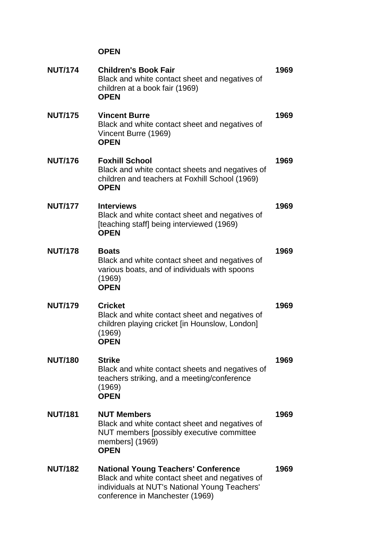| <b>NUT/174</b> | <b>Children's Book Fair</b><br>Black and white contact sheet and negatives of<br>children at a book fair (1969)<br><b>OPEN</b>                                                   | 1969 |
|----------------|----------------------------------------------------------------------------------------------------------------------------------------------------------------------------------|------|
| <b>NUT/175</b> | <b>Vincent Burre</b><br>Black and white contact sheet and negatives of<br>Vincent Burre (1969)<br><b>OPEN</b>                                                                    | 1969 |
| <b>NUT/176</b> | <b>Foxhill School</b><br>Black and white contact sheets and negatives of<br>children and teachers at Foxhill School (1969)<br><b>OPEN</b>                                        | 1969 |
| <b>NUT/177</b> | <b>Interviews</b><br>Black and white contact sheet and negatives of<br>[teaching staff] being interviewed (1969)<br><b>OPEN</b>                                                  | 1969 |
| <b>NUT/178</b> | <b>Boats</b><br>Black and white contact sheet and negatives of<br>various boats, and of individuals with spoons<br>(1969)<br><b>OPEN</b>                                         | 1969 |
| <b>NUT/179</b> | <b>Cricket</b><br>Black and white contact sheet and negatives of<br>children playing cricket [in Hounslow, London]<br>(1969)<br><b>OPEN</b>                                      | 1969 |
| <b>NUT/180</b> | Strike<br>Black and white contact sheets and negatives of<br>teachers striking, and a meeting/conference<br>(1969)<br><b>OPEN</b>                                                | 1969 |
| <b>NUT/181</b> | <b>NUT Members</b><br>Black and white contact sheet and negatives of<br>NUT members [possibly executive committee<br>members] (1969)<br><b>OPEN</b>                              | 1969 |
| <b>NUT/182</b> | <b>National Young Teachers' Conference</b><br>Black and white contact sheet and negatives of<br>individuals at NUT's National Young Teachers'<br>conference in Manchester (1969) | 1969 |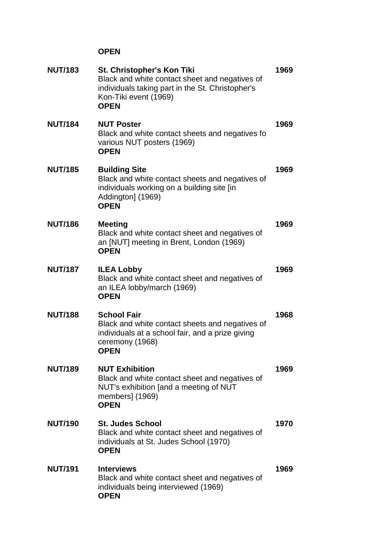| <b>NUT/183</b> | St. Christopher's Kon Tiki<br>Black and white contact sheet and negatives of<br>individuals taking part in the St. Christopher's<br>Kon-Tiki event (1969)<br><b>OPEN</b> | 1969 |
|----------------|--------------------------------------------------------------------------------------------------------------------------------------------------------------------------|------|
| <b>NUT/184</b> | <b>NUT Poster</b><br>Black and white contact sheets and negatives fo<br>various NUT posters (1969)<br><b>OPEN</b>                                                        | 1969 |
| <b>NUT/185</b> | <b>Building Site</b><br>Black and white contact sheets and negatives of<br>individuals working on a building site [in<br>Addington] (1969)<br><b>OPEN</b>                | 1969 |
| <b>NUT/186</b> | <b>Meeting</b><br>Black and white contact sheet and negatives of<br>an [NUT] meeting in Brent, London (1969)<br><b>OPEN</b>                                              | 1969 |
| <b>NUT/187</b> | <b>ILEA Lobby</b><br>Black and white contact sheet and negatives of<br>an ILEA lobby/march (1969)<br><b>OPEN</b>                                                         | 1969 |
| <b>NUT/188</b> | <b>School Fair</b><br>Black and white contact sheets and negatives of<br>individuals at a school fair, and a prize giving<br>ceremony (1968)<br><b>OPEN</b>              | 1968 |
| <b>NUT/189</b> | <b>NUT Exhibition</b><br>Black and white contact sheet and negatives of<br>NUT's exhibition [and a meeting of NUT<br>members] (1969)<br><b>OPEN</b>                      | 1969 |
| <b>NUT/190</b> | <b>St. Judes School</b><br>Black and white contact sheet and negatives of<br>individuals at St. Judes School (1970)<br><b>OPEN</b>                                       | 1970 |
| <b>NUT/191</b> | <b>Interviews</b><br>Black and white contact sheet and negatives of<br>individuals being interviewed (1969)<br><b>OPEN</b>                                               | 1969 |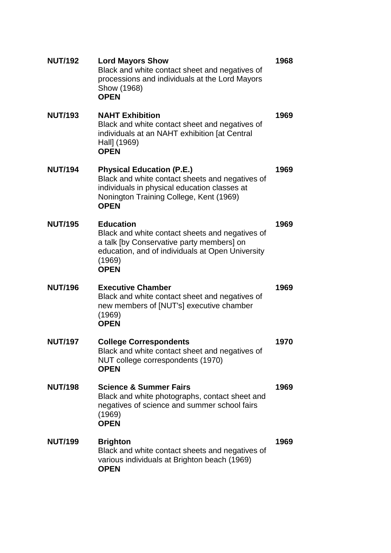| <b>NUT/192</b> | <b>Lord Mayors Show</b><br>Black and white contact sheet and negatives of<br>processions and individuals at the Lord Mayors<br>Show (1968)<br><b>OPEN</b>                                     | 1968 |
|----------------|-----------------------------------------------------------------------------------------------------------------------------------------------------------------------------------------------|------|
| <b>NUT/193</b> | <b>NAHT Exhibition</b><br>Black and white contact sheet and negatives of<br>individuals at an NAHT exhibition [at Central<br>Hall] (1969)<br><b>OPEN</b>                                      | 1969 |
| <b>NUT/194</b> | <b>Physical Education (P.E.)</b><br>Black and white contact sheets and negatives of<br>individuals in physical education classes at<br>Nonington Training College, Kent (1969)<br><b>OPEN</b> | 1969 |
| <b>NUT/195</b> | <b>Education</b><br>Black and white contact sheets and negatives of<br>a talk [by Conservative party members] on<br>education, and of individuals at Open University<br>(1969)<br><b>OPEN</b> | 1969 |
| <b>NUT/196</b> | <b>Executive Chamber</b><br>Black and white contact sheet and negatives of<br>new members of [NUT's] executive chamber<br>(1969)<br><b>OPEN</b>                                               | 1969 |
| <b>NUT/197</b> | <b>College Correspondents</b><br>Black and white contact sheet and negatives of<br>NUT college correspondents (1970)<br><b>OPEN</b>                                                           | 1970 |
| <b>NUT/198</b> | <b>Science &amp; Summer Fairs</b><br>Black and white photographs, contact sheet and<br>negatives of science and summer school fairs<br>(1969)<br><b>OPEN</b>                                  | 1969 |
| <b>NUT/199</b> | <b>Brighton</b><br>Black and white contact sheets and negatives of<br>various individuals at Brighton beach (1969)<br><b>OPEN</b>                                                             | 1969 |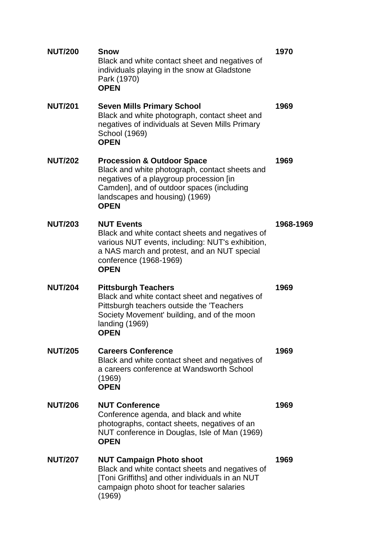| <b>NUT/200</b> | Snow<br>Black and white contact sheet and negatives of<br>individuals playing in the snow at Gladstone<br>Park (1970)<br><b>OPEN</b>                                                                                             | 1970      |
|----------------|----------------------------------------------------------------------------------------------------------------------------------------------------------------------------------------------------------------------------------|-----------|
| <b>NUT/201</b> | <b>Seven Mills Primary School</b><br>Black and white photograph, contact sheet and<br>negatives of individuals at Seven Mills Primary<br>School (1969)<br><b>OPEN</b>                                                            | 1969      |
| <b>NUT/202</b> | <b>Procession &amp; Outdoor Space</b><br>Black and white photograph, contact sheets and<br>negatives of a playgroup procession [in<br>Camden], and of outdoor spaces (including<br>landscapes and housing) (1969)<br><b>OPEN</b> | 1969      |
| <b>NUT/203</b> | <b>NUT Events</b><br>Black and white contact sheets and negatives of<br>various NUT events, including: NUT's exhibition,<br>a NAS march and protest, and an NUT special<br>conference (1968-1969)<br><b>OPEN</b>                 | 1968-1969 |
| <b>NUT/204</b> | <b>Pittsburgh Teachers</b><br>Black and white contact sheet and negatives of<br>Pittsburgh teachers outside the 'Teachers<br>Society Movement' building, and of the moon<br>landing (1969)<br><b>OPEN</b>                        | 1969      |
| <b>NUT/205</b> | <b>Careers Conference</b><br>Black and white contact sheet and negatives of<br>a careers conference at Wandsworth School<br>(1969)<br><b>OPEN</b>                                                                                | 1969      |
| <b>NUT/206</b> | <b>NUT Conference</b><br>Conference agenda, and black and white<br>photographs, contact sheets, negatives of an<br>NUT conference in Douglas, Isle of Man (1969)<br><b>OPEN</b>                                                  | 1969      |
| <b>NUT/207</b> | <b>NUT Campaign Photo shoot</b><br>Black and white contact sheets and negatives of<br>[Toni Griffiths] and other individuals in an NUT<br>campaign photo shoot for teacher salaries<br>(1969)                                    | 1969      |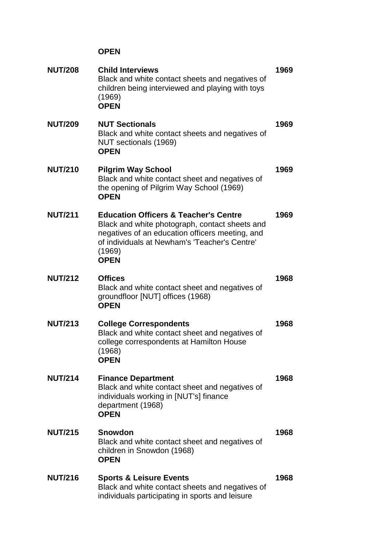| <b>NUT/208</b> | <b>Child Interviews</b><br>Black and white contact sheets and negatives of<br>children being interviewed and playing with toys<br>(1969)<br><b>OPEN</b>                                                                         | 1969 |
|----------------|---------------------------------------------------------------------------------------------------------------------------------------------------------------------------------------------------------------------------------|------|
| <b>NUT/209</b> | <b>NUT Sectionals</b><br>Black and white contact sheets and negatives of<br>NUT sectionals (1969)<br><b>OPEN</b>                                                                                                                | 1969 |
| <b>NUT/210</b> | <b>Pilgrim Way School</b><br>Black and white contact sheet and negatives of<br>the opening of Pilgrim Way School (1969)<br><b>OPEN</b>                                                                                          | 1969 |
| <b>NUT/211</b> | <b>Education Officers &amp; Teacher's Centre</b><br>Black and white photograph, contact sheets and<br>negatives of an education officers meeting, and<br>of individuals at Newham's 'Teacher's Centre'<br>(1969)<br><b>OPEN</b> | 1969 |
| <b>NUT/212</b> | <b>Offices</b><br>Black and white contact sheet and negatives of<br>groundfloor [NUT] offices (1968)<br><b>OPEN</b>                                                                                                             | 1968 |
| <b>NUT/213</b> | <b>College Correspondents</b><br>Black and white contact sheet and negatives of<br>college correspondents at Hamilton House<br>(1968)<br><b>OPEN</b>                                                                            | 1968 |
| <b>NUT/214</b> | <b>Finance Department</b><br>Black and white contact sheet and negatives of<br>individuals working in [NUT's] finance<br>department (1968)<br><b>OPEN</b>                                                                       | 1968 |
| <b>NUT/215</b> | <b>Snowdon</b><br>Black and white contact sheet and negatives of<br>children in Snowdon (1968)<br><b>OPEN</b>                                                                                                                   | 1968 |
| <b>NUT/216</b> | <b>Sports &amp; Leisure Events</b><br>Black and white contact sheets and negatives of<br>individuals participating in sports and leisure                                                                                        | 1968 |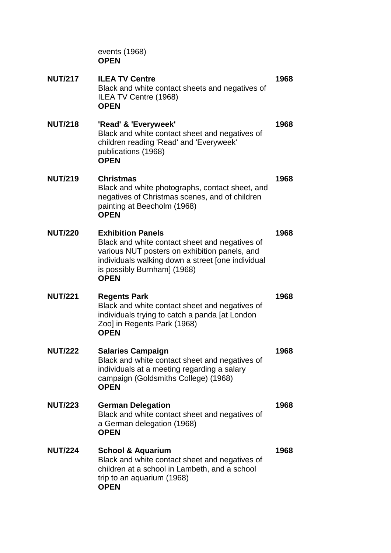events (1968) **OPEN**

**NUT/217 ILEA TV Centre 1968** Black and white contact sheets and negatives of ILEA TV Centre (1968) **OPEN NUT/218 'Read' & 'Everyweek' 1968** Black and white contact sheet and negatives of children reading 'Read' and 'Everyweek' publications (1968) **OPEN NUT/219 Christmas 1968** Black and white photographs, contact sheet, and negatives of Christmas scenes, and of children painting at Beecholm (1968) **OPEN NUT/220 Exhibition Panels 1968** Black and white contact sheet and negatives of various NUT posters on exhibition panels, and individuals walking down a street [one individual is possibly Burnham] (1968) **OPEN NUT/221 Regents Park 1968** Black and white contact sheet and negatives of individuals trying to catch a panda [at London Zoo] in Regents Park (1968) **OPEN NUT/222 Salaries Campaign 1968** Black and white contact sheet and negatives of individuals at a meeting regarding a salary campaign (Goldsmiths College) (1968) **OPEN NUT/223 German Delegation 1968** Black and white contact sheet and negatives of a German delegation (1968) **OPEN NUT/224 School & Aquarium 1968** Black and white contact sheet and negatives of children at a school in Lambeth, and a school trip to an aquarium (1968) **OPEN**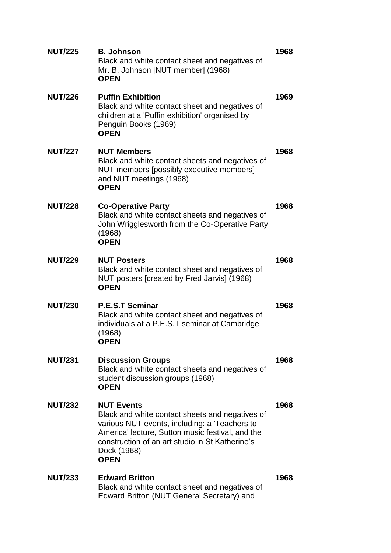| <b>NUT/225</b> | <b>B. Johnson</b><br>Black and white contact sheet and negatives of<br>Mr. B. Johnson [NUT member] (1968)<br><b>OPEN</b>                                                                                                                                   | 1968 |
|----------------|------------------------------------------------------------------------------------------------------------------------------------------------------------------------------------------------------------------------------------------------------------|------|
| <b>NUT/226</b> | <b>Puffin Exhibition</b><br>Black and white contact sheet and negatives of<br>children at a 'Puffin exhibition' organised by<br>Penguin Books (1969)<br><b>OPEN</b>                                                                                        | 1969 |
| <b>NUT/227</b> | <b>NUT Members</b><br>Black and white contact sheets and negatives of<br>NUT members [possibly executive members]<br>and NUT meetings (1968)<br><b>OPEN</b>                                                                                                | 1968 |
| <b>NUT/228</b> | <b>Co-Operative Party</b><br>Black and white contact sheets and negatives of<br>John Wrigglesworth from the Co-Operative Party<br>(1968)<br><b>OPEN</b>                                                                                                    | 1968 |
| <b>NUT/229</b> | <b>NUT Posters</b><br>Black and white contact sheet and negatives of<br>NUT posters [created by Fred Jarvis] (1968)<br><b>OPEN</b>                                                                                                                         | 1968 |
| <b>NUT/230</b> | <b>P.E.S.T Seminar</b><br>Black and white contact sheet and negatives of<br>individuals at a P.E.S.T seminar at Cambridge<br>(1968)<br>OPEN                                                                                                                | 1968 |
| <b>NUT/231</b> | <b>Discussion Groups</b><br>Black and white contact sheets and negatives of<br>student discussion groups (1968)<br><b>OPEN</b>                                                                                                                             | 1968 |
| <b>NUT/232</b> | <b>NUT Events</b><br>Black and white contact sheets and negatives of<br>various NUT events, including: a 'Teachers to<br>America' lecture, Sutton music festival, and the<br>construction of an art studio in St Katherine's<br>Dock (1968)<br><b>OPEN</b> | 1968 |
| <b>NUT/233</b> | <b>Edward Britton</b><br>Black and white contact sheet and negatives of<br>Edward Britton (NUT General Secretary) and                                                                                                                                      | 1968 |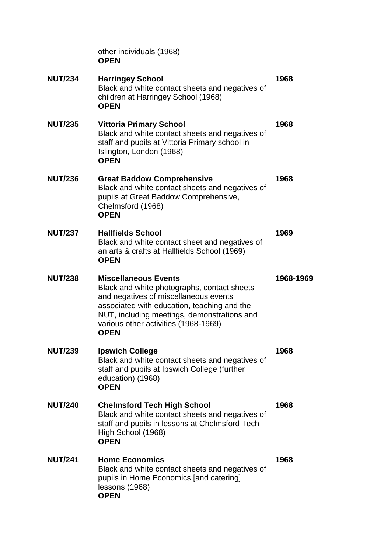other individuals (1968) **OPEN**

| <b>NUT/234</b> | <b>Harringey School</b><br>Black and white contact sheets and negatives of<br>children at Harringey School (1968)<br><b>OPEN</b>                                                                                                                                         | 1968      |
|----------------|--------------------------------------------------------------------------------------------------------------------------------------------------------------------------------------------------------------------------------------------------------------------------|-----------|
| <b>NUT/235</b> | <b>Vittoria Primary School</b><br>Black and white contact sheets and negatives of<br>staff and pupils at Vittoria Primary school in<br>Islington, London (1968)<br><b>OPEN</b>                                                                                           | 1968      |
| <b>NUT/236</b> | <b>Great Baddow Comprehensive</b><br>Black and white contact sheets and negatives of<br>pupils at Great Baddow Comprehensive,<br>Chelmsford (1968)<br><b>OPEN</b>                                                                                                        | 1968      |
| <b>NUT/237</b> | <b>Hallfields School</b><br>Black and white contact sheet and negatives of<br>an arts & crafts at Hallfields School (1969)<br><b>OPEN</b>                                                                                                                                | 1969      |
| <b>NUT/238</b> | <b>Miscellaneous Events</b><br>Black and white photographs, contact sheets<br>and negatives of miscellaneous events<br>associated with education, teaching and the<br>NUT, including meetings, demonstrations and<br>various other activities (1968-1969)<br><b>OPEN</b> | 1968-1969 |
| <b>NUT/239</b> | <b>Ipswich College</b><br>Black and white contact sheets and negatives of<br>staff and pupils at Ipswich College (further<br>education) (1968)<br><b>OPEN</b>                                                                                                            | 1968      |
| <b>NUT/240</b> | <b>Chelmsford Tech High School</b><br>Black and white contact sheets and negatives of<br>staff and pupils in lessons at Chelmsford Tech<br>High School (1968)<br><b>OPEN</b>                                                                                             | 1968      |
| <b>NUT/241</b> | <b>Home Economics</b><br>Black and white contact sheets and negatives of<br>pupils in Home Economics [and catering]<br>lessons (1968)<br><b>OPEN</b>                                                                                                                     | 1968      |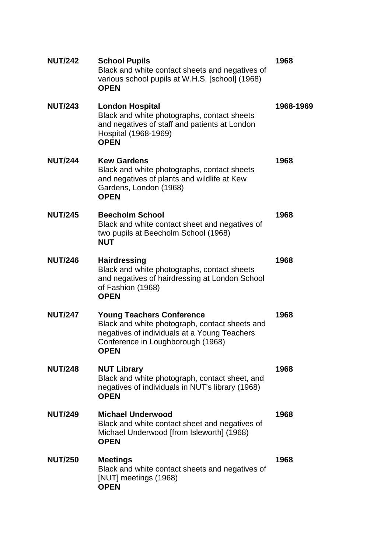| <b>NUT/242</b> | <b>School Pupils</b><br>Black and white contact sheets and negatives of<br>various school pupils at W.H.S. [school] (1968)<br><b>OPEN</b>                                       | 1968      |
|----------------|---------------------------------------------------------------------------------------------------------------------------------------------------------------------------------|-----------|
| <b>NUT/243</b> | <b>London Hospital</b><br>Black and white photographs, contact sheets<br>and negatives of staff and patients at London<br>Hospital (1968-1969)<br><b>OPEN</b>                   | 1968-1969 |
| <b>NUT/244</b> | <b>Kew Gardens</b><br>Black and white photographs, contact sheets<br>and negatives of plants and wildlife at Kew<br>Gardens, London (1968)<br><b>OPEN</b>                       | 1968      |
| <b>NUT/245</b> | <b>Beecholm School</b><br>Black and white contact sheet and negatives of<br>two pupils at Beecholm School (1968)<br><b>NUT</b>                                                  | 1968      |
| <b>NUT/246</b> | <b>Hairdressing</b><br>Black and white photographs, contact sheets<br>and negatives of hairdressing at London School<br>of Fashion (1968)<br><b>OPEN</b>                        | 1968      |
| <b>NUT/247</b> | <b>Young Teachers Conference</b><br>Black and white photograph, contact sheets and<br>negatives of individuals at a Young Teachers<br>Conference in Loughborough (1968)<br>OPEN | 1968      |
| <b>NUT/248</b> | <b>NUT Library</b><br>Black and white photograph, contact sheet, and<br>negatives of individuals in NUT's library (1968)<br><b>OPEN</b>                                         | 1968      |
| <b>NUT/249</b> | <b>Michael Underwood</b><br>Black and white contact sheet and negatives of<br>Michael Underwood [from Isleworth] (1968)<br><b>OPEN</b>                                          | 1968      |
| <b>NUT/250</b> | <b>Meetings</b><br>Black and white contact sheets and negatives of<br>[NUT] meetings (1968)<br><b>OPEN</b>                                                                      | 1968      |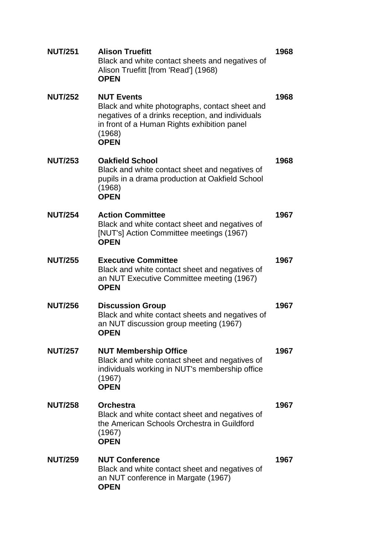| <b>NUT/251</b> | <b>Alison Truefitt</b><br>Black and white contact sheets and negatives of<br>Alison Truefitt [from 'Read'] (1968)<br><b>OPEN</b>                                                                | 1968 |
|----------------|-------------------------------------------------------------------------------------------------------------------------------------------------------------------------------------------------|------|
| <b>NUT/252</b> | <b>NUT Events</b><br>Black and white photographs, contact sheet and<br>negatives of a drinks reception, and individuals<br>in front of a Human Rights exhibition panel<br>(1968)<br><b>OPEN</b> | 1968 |
| <b>NUT/253</b> | <b>Oakfield School</b><br>Black and white contact sheet and negatives of<br>pupils in a drama production at Oakfield School<br>(1968)<br><b>OPEN</b>                                            | 1968 |
| <b>NUT/254</b> | <b>Action Committee</b><br>Black and white contact sheet and negatives of<br>[NUT's] Action Committee meetings (1967)<br><b>OPEN</b>                                                            | 1967 |
| <b>NUT/255</b> | <b>Executive Committee</b><br>Black and white contact sheet and negatives of<br>an NUT Executive Committee meeting (1967)<br><b>OPEN</b>                                                        | 1967 |
| <b>NUT/256</b> | <b>Discussion Group</b><br>Black and white contact sheets and negatives of<br>an NUT discussion group meeting (1967)<br><b>OPEN</b>                                                             | 1967 |
| <b>NUT/257</b> | <b>NUT Membership Office</b><br>Black and white contact sheet and negatives of<br>individuals working in NUT's membership office<br>(1967)<br><b>OPEN</b>                                       | 1967 |
| <b>NUT/258</b> | <b>Orchestra</b><br>Black and white contact sheet and negatives of<br>the American Schools Orchestra in Guildford<br>(1967)<br><b>OPEN</b>                                                      | 1967 |
| <b>NUT/259</b> | <b>NUT Conference</b><br>Black and white contact sheet and negatives of<br>an NUT conference in Margate (1967)<br><b>OPEN</b>                                                                   | 1967 |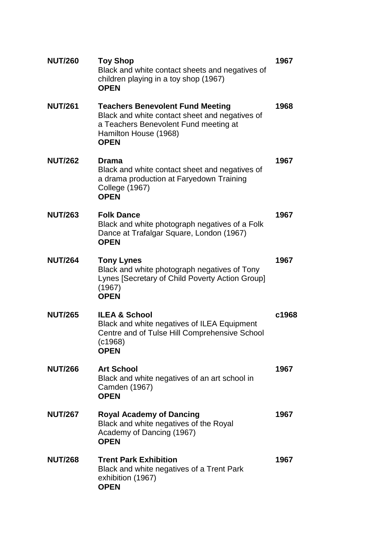| <b>NUT/260</b> | <b>Toy Shop</b><br>Black and white contact sheets and negatives of<br>children playing in a toy shop (1967)<br><b>OPEN</b>                                                 | 1967  |
|----------------|----------------------------------------------------------------------------------------------------------------------------------------------------------------------------|-------|
| <b>NUT/261</b> | <b>Teachers Benevolent Fund Meeting</b><br>Black and white contact sheet and negatives of<br>a Teachers Benevolent Fund meeting at<br>Hamilton House (1968)<br><b>OPEN</b> | 1968  |
| <b>NUT/262</b> | Drama<br>Black and white contact sheet and negatives of<br>a drama production at Faryedown Training<br><b>College (1967)</b><br><b>OPEN</b>                                | 1967  |
| <b>NUT/263</b> | <b>Folk Dance</b><br>Black and white photograph negatives of a Folk<br>Dance at Trafalgar Square, London (1967)<br><b>OPEN</b>                                             | 1967  |
| <b>NUT/264</b> | <b>Tony Lynes</b><br>Black and white photograph negatives of Tony<br>Lynes [Secretary of Child Poverty Action Group]<br>(1967)<br><b>OPEN</b>                              | 1967  |
| <b>NUT/265</b> | <b>ILEA &amp; School</b><br>Black and white negatives of ILEA Equipment<br>Centre and of Tulse Hill Comprehensive School<br>(c1968)<br>OPEN                                | c1968 |
| <b>NUT/266</b> | <b>Art School</b><br>Black and white negatives of an art school in<br>Camden (1967)<br><b>OPEN</b>                                                                         | 1967  |
| <b>NUT/267</b> | <b>Royal Academy of Dancing</b><br>Black and white negatives of the Royal<br>Academy of Dancing (1967)<br><b>OPEN</b>                                                      | 1967  |
| <b>NUT/268</b> | <b>Trent Park Exhibition</b><br>Black and white negatives of a Trent Park<br>exhibition (1967)<br><b>OPEN</b>                                                              | 1967  |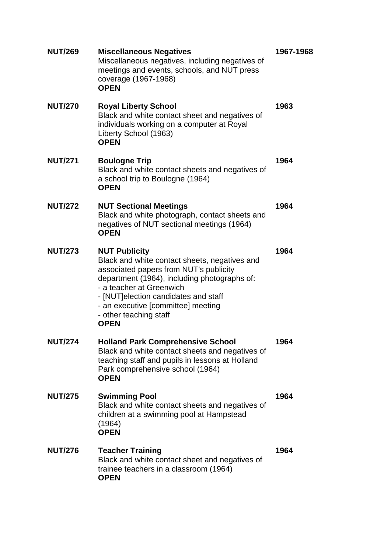| <b>NUT/269</b> | <b>Miscellaneous Negatives</b><br>Miscellaneous negatives, including negatives of<br>meetings and events, schools, and NUT press<br>coverage (1967-1968)<br><b>OPEN</b>                                                                                                                                             | 1967-1968 |
|----------------|---------------------------------------------------------------------------------------------------------------------------------------------------------------------------------------------------------------------------------------------------------------------------------------------------------------------|-----------|
| <b>NUT/270</b> | <b>Royal Liberty School</b><br>Black and white contact sheet and negatives of<br>individuals working on a computer at Royal<br>Liberty School (1963)<br><b>OPEN</b>                                                                                                                                                 | 1963      |
| <b>NUT/271</b> | <b>Boulogne Trip</b><br>Black and white contact sheets and negatives of<br>a school trip to Boulogne (1964)<br><b>OPEN</b>                                                                                                                                                                                          | 1964      |
| <b>NUT/272</b> | <b>NUT Sectional Meetings</b><br>Black and white photograph, contact sheets and<br>negatives of NUT sectional meetings (1964)<br><b>OPEN</b>                                                                                                                                                                        | 1964      |
| <b>NUT/273</b> | <b>NUT Publicity</b><br>Black and white contact sheets, negatives and<br>associated papers from NUT's publicity<br>department (1964), including photographs of:<br>- a teacher at Greenwich<br>- [NUT] election candidates and staff<br>- an executive [committee] meeting<br>- other teaching staff<br><b>OPEN</b> | 1964      |
| <b>NUT/274</b> | <b>Holland Park Comprehensive School</b><br>Black and white contact sheets and negatives of<br>teaching staff and pupils in lessons at Holland<br>Park comprehensive school (1964)<br><b>OPEN</b>                                                                                                                   | 1964      |
| <b>NUT/275</b> | <b>Swimming Pool</b><br>Black and white contact sheets and negatives of<br>children at a swimming pool at Hampstead<br>(1964)<br><b>OPEN</b>                                                                                                                                                                        | 1964      |
| <b>NUT/276</b> | <b>Teacher Training</b><br>Black and white contact sheet and negatives of<br>trainee teachers in a classroom (1964)<br><b>OPEN</b>                                                                                                                                                                                  | 1964      |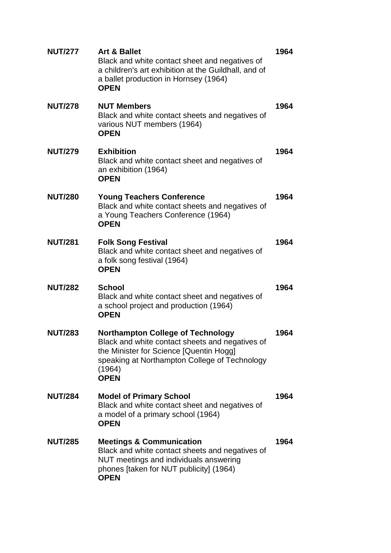| <b>NUT/277</b> | <b>Art &amp; Ballet</b><br>Black and white contact sheet and negatives of<br>a children's art exhibition at the Guildhall, and of<br>a ballet production in Hornsey (1964)<br><b>OPEN</b>                        | 1964 |
|----------------|------------------------------------------------------------------------------------------------------------------------------------------------------------------------------------------------------------------|------|
| <b>NUT/278</b> | <b>NUT Members</b><br>Black and white contact sheets and negatives of<br>various NUT members (1964)<br><b>OPEN</b>                                                                                               | 1964 |
| <b>NUT/279</b> | <b>Exhibition</b><br>Black and white contact sheet and negatives of<br>an exhibition (1964)<br><b>OPEN</b>                                                                                                       | 1964 |
| <b>NUT/280</b> | <b>Young Teachers Conference</b><br>Black and white contact sheets and negatives of<br>a Young Teachers Conference (1964)<br><b>OPEN</b>                                                                         | 1964 |
| <b>NUT/281</b> | <b>Folk Song Festival</b><br>Black and white contact sheet and negatives of<br>a folk song festival (1964)<br><b>OPEN</b>                                                                                        | 1964 |
| <b>NUT/282</b> | <b>School</b><br>Black and white contact sheet and negatives of<br>a school project and production (1964)<br><b>OPEN</b>                                                                                         | 1964 |
| <b>NUT/283</b> | <b>Northampton College of Technology</b><br>Black and white contact sheets and negatives of<br>the Minister for Science [Quentin Hogg]<br>speaking at Northampton College of Technology<br>(1964)<br><b>OPEN</b> | 1964 |
| <b>NUT/284</b> | <b>Model of Primary School</b><br>Black and white contact sheet and negatives of<br>a model of a primary school (1964)<br><b>OPEN</b>                                                                            | 1964 |
| <b>NUT/285</b> | <b>Meetings &amp; Communication</b><br>Black and white contact sheets and negatives of<br>NUT meetings and individuals answering<br>phones [taken for NUT publicity] (1964)<br><b>OPEN</b>                       | 1964 |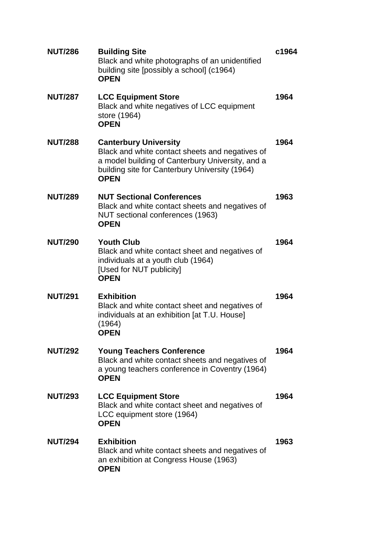| <b>NUT/286</b> | <b>Building Site</b><br>Black and white photographs of an unidentified<br>building site [possibly a school] (c1964)<br><b>OPEN</b>                                                                   | c1964 |
|----------------|------------------------------------------------------------------------------------------------------------------------------------------------------------------------------------------------------|-------|
| <b>NUT/287</b> | <b>LCC Equipment Store</b><br>Black and white negatives of LCC equipment<br>store (1964)<br><b>OPEN</b>                                                                                              | 1964  |
| <b>NUT/288</b> | <b>Canterbury University</b><br>Black and white contact sheets and negatives of<br>a model building of Canterbury University, and a<br>building site for Canterbury University (1964)<br><b>OPEN</b> | 1964  |
| <b>NUT/289</b> | <b>NUT Sectional Conferences</b><br>Black and white contact sheets and negatives of<br>NUT sectional conferences (1963)<br><b>OPEN</b>                                                               | 1963  |
| <b>NUT/290</b> | <b>Youth Club</b><br>Black and white contact sheet and negatives of<br>individuals at a youth club (1964)<br>[Used for NUT publicity]<br><b>OPEN</b>                                                 | 1964  |
| <b>NUT/291</b> | <b>Exhibition</b><br>Black and white contact sheet and negatives of<br>individuals at an exhibition [at T.U. House]<br>(1964)<br><b>OPEN</b>                                                         | 1964  |
| <b>NUT/292</b> | <b>Young Teachers Conference</b><br>Black and white contact sheets and negatives of<br>a young teachers conference in Coventry (1964)<br><b>OPEN</b>                                                 | 1964  |
| <b>NUT/293</b> | <b>LCC Equipment Store</b><br>Black and white contact sheet and negatives of<br>LCC equipment store (1964)<br><b>OPEN</b>                                                                            | 1964  |
| <b>NUT/294</b> | <b>Exhibition</b><br>Black and white contact sheets and negatives of<br>an exhibition at Congress House (1963)<br><b>OPEN</b>                                                                        | 1963  |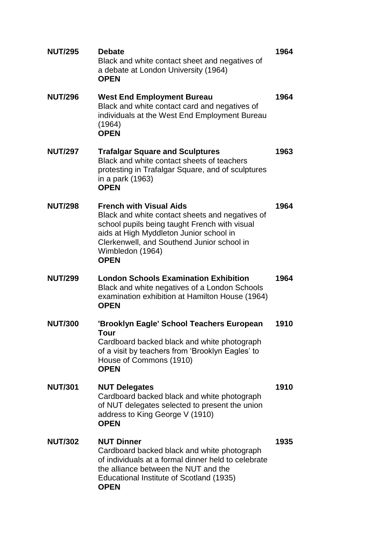| <b>NUT/295</b> | <b>Debate</b><br>Black and white contact sheet and negatives of<br>a debate at London University (1964)<br><b>OPEN</b>                                                                                                                                         | 1964 |
|----------------|----------------------------------------------------------------------------------------------------------------------------------------------------------------------------------------------------------------------------------------------------------------|------|
| <b>NUT/296</b> | <b>West End Employment Bureau</b><br>Black and white contact card and negatives of<br>individuals at the West End Employment Bureau<br>(1964)<br><b>OPEN</b>                                                                                                   | 1964 |
| <b>NUT/297</b> | <b>Trafalgar Square and Sculptures</b><br>Black and white contact sheets of teachers<br>protesting in Trafalgar Square, and of sculptures<br>in a park (1963)<br><b>OPEN</b>                                                                                   | 1963 |
| <b>NUT/298</b> | <b>French with Visual Aids</b><br>Black and white contact sheets and negatives of<br>school pupils being taught French with visual<br>aids at High Myddleton Junior school in<br>Clerkenwell, and Southend Junior school in<br>Wimbledon (1964)<br><b>OPEN</b> | 1964 |
| <b>NUT/299</b> | <b>London Schools Examination Exhibition</b>                                                                                                                                                                                                                   | 1964 |
|                | Black and white negatives of a London Schools<br>examination exhibition at Hamilton House (1964)<br><b>OPEN</b>                                                                                                                                                |      |
| <b>NUT/300</b> | 'Brooklyn Eagle' School Teachers European<br>Tour<br>Cardboard backed black and white photograph<br>of a visit by teachers from 'Brooklyn Eagles' to<br>House of Commons (1910)<br><b>OPEN</b>                                                                 | 1910 |
| <b>NUT/301</b> | <b>NUT Delegates</b><br>Cardboard backed black and white photograph<br>of NUT delegates selected to present the union<br>address to King George V (1910)<br><b>OPEN</b>                                                                                        | 1910 |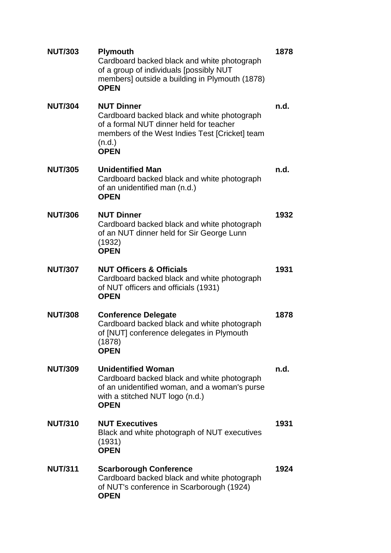| <b>NUT/303</b> | <b>Plymouth</b><br>Cardboard backed black and white photograph<br>of a group of individuals [possibly NUT<br>members] outside a building in Plymouth (1878)<br><b>OPEN</b>             | 1878 |
|----------------|----------------------------------------------------------------------------------------------------------------------------------------------------------------------------------------|------|
| <b>NUT/304</b> | <b>NUT Dinner</b><br>Cardboard backed black and white photograph<br>of a formal NUT dinner held for teacher<br>members of the West Indies Test [Cricket] team<br>(n.d.)<br><b>OPEN</b> | n.d. |
| <b>NUT/305</b> | <b>Unidentified Man</b><br>Cardboard backed black and white photograph<br>of an unidentified man (n.d.)<br><b>OPEN</b>                                                                 | n.d. |
| <b>NUT/306</b> | <b>NUT Dinner</b><br>Cardboard backed black and white photograph<br>of an NUT dinner held for Sir George Lunn<br>(1932)<br><b>OPEN</b>                                                 | 1932 |
| <b>NUT/307</b> | <b>NUT Officers &amp; Officials</b><br>Cardboard backed black and white photograph<br>of NUT officers and officials (1931)<br><b>OPEN</b>                                              | 1931 |
| <b>NUT/308</b> | <b>Conference Delegate</b><br>Cardboard backed black and white photograph<br>of [NUT] conference delegates in Plymouth<br>(1878)<br><b>OPEN</b>                                        | 1878 |
| <b>NUT/309</b> | <b>Unidentified Woman</b><br>Cardboard backed black and white photograph<br>of an unidentified woman, and a woman's purse<br>with a stitched NUT logo (n.d.)<br><b>OPEN</b>            | n.d. |
| <b>NUT/310</b> | <b>NUT Executives</b><br>Black and white photograph of NUT executives<br>(1931)<br><b>OPEN</b>                                                                                         | 1931 |
| <b>NUT/311</b> | <b>Scarborough Conference</b><br>Cardboard backed black and white photograph<br>of NUT's conference in Scarborough (1924)<br><b>OPEN</b>                                               | 1924 |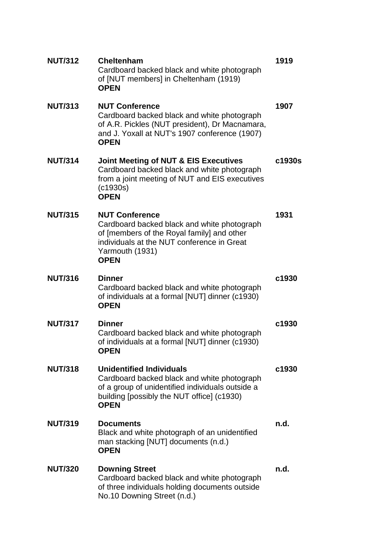| <b>NUT/312</b> | <b>Cheltenham</b><br>Cardboard backed black and white photograph<br>of [NUT members] in Cheltenham (1919)<br><b>OPEN</b>                                                                           | 1919   |
|----------------|----------------------------------------------------------------------------------------------------------------------------------------------------------------------------------------------------|--------|
| <b>NUT/313</b> | <b>NUT Conference</b><br>Cardboard backed black and white photograph<br>of A.R. Pickles (NUT president), Dr Macnamara,<br>and J. Yoxall at NUT's 1907 conference (1907)<br><b>OPEN</b>             | 1907   |
| <b>NUT/314</b> | <b>Joint Meeting of NUT &amp; EIS Executives</b><br>Cardboard backed black and white photograph<br>from a joint meeting of NUT and EIS executives<br>(c1930s)<br><b>OPEN</b>                       | c1930s |
| <b>NUT/315</b> | <b>NUT Conference</b><br>Cardboard backed black and white photograph<br>of [members of the Royal family] and other<br>individuals at the NUT conference in Great<br>Yarmouth (1931)<br><b>OPEN</b> | 1931   |
| <b>NUT/316</b> | <b>Dinner</b><br>Cardboard backed black and white photograph<br>of individuals at a formal [NUT] dinner (c1930)<br><b>OPEN</b>                                                                     | c1930  |
| <b>NUT/317</b> | <b>Dinner</b><br>Cardboard backed black and white photograph<br>of individuals at a formal [NUT] dinner (c1930)<br><b>OPEN</b>                                                                     | c1930  |
| <b>NUT/318</b> | <b>Unidentified Individuals</b><br>Cardboard backed black and white photograph<br>of a group of unidentified individuals outside a<br>building [possibly the NUT office] (c1930)<br><b>OPEN</b>    | c1930  |
| <b>NUT/319</b> | <b>Documents</b><br>Black and white photograph of an unidentified<br>man stacking [NUT] documents (n.d.)<br><b>OPEN</b>                                                                            | n.d.   |
| <b>NUT/320</b> | <b>Downing Street</b><br>Cardboard backed black and white photograph<br>of three individuals holding documents outside<br>No.10 Downing Street (n.d.)                                              | n.d.   |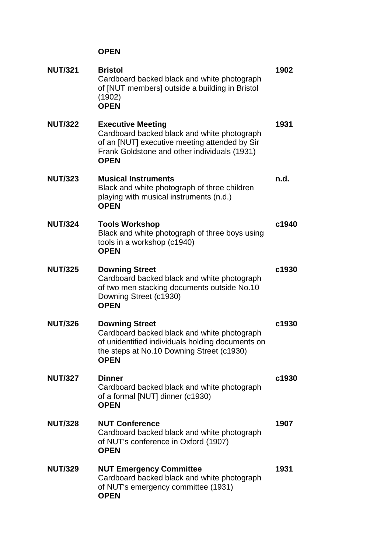| <b>NUT/321</b> | <b>Bristol</b><br>Cardboard backed black and white photograph<br>of [NUT members] outside a building in Bristol<br>(1902)<br><b>OPEN</b>                                                | 1902  |
|----------------|-----------------------------------------------------------------------------------------------------------------------------------------------------------------------------------------|-------|
| <b>NUT/322</b> | <b>Executive Meeting</b><br>Cardboard backed black and white photograph<br>of an [NUT] executive meeting attended by Sir<br>Frank Goldstone and other individuals (1931)<br><b>OPEN</b> | 1931  |
| <b>NUT/323</b> | <b>Musical Instruments</b><br>Black and white photograph of three children<br>playing with musical instruments (n.d.)<br><b>OPEN</b>                                                    | n.d.  |
| <b>NUT/324</b> | <b>Tools Workshop</b><br>Black and white photograph of three boys using<br>tools in a workshop (c1940)<br><b>OPEN</b>                                                                   | c1940 |
| <b>NUT/325</b> | <b>Downing Street</b><br>Cardboard backed black and white photograph<br>of two men stacking documents outside No.10<br>Downing Street (c1930)<br><b>OPEN</b>                            | c1930 |
| <b>NUT/326</b> | <b>Downing Street</b><br>Cardboard backed black and white photograph<br>of unidentified individuals holding documents on<br>the steps at No.10 Downing Street (c1930)<br><b>OPEN</b>    | c1930 |
| <b>NUT/327</b> | <b>Dinner</b><br>Cardboard backed black and white photograph<br>of a formal [NUT] dinner (c1930)<br><b>OPEN</b>                                                                         | c1930 |
| <b>NUT/328</b> | <b>NUT Conference</b><br>Cardboard backed black and white photograph<br>of NUT's conference in Oxford (1907)<br><b>OPEN</b>                                                             | 1907  |
| <b>NUT/329</b> | <b>NUT Emergency Committee</b><br>Cardboard backed black and white photograph<br>of NUT's emergency committee (1931)<br><b>OPEN</b>                                                     | 1931  |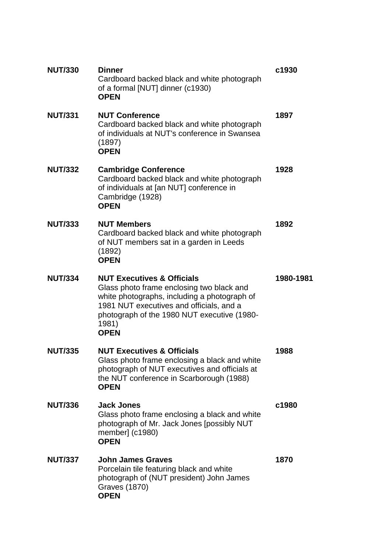| <b>NUT/330</b> | <b>Dinner</b><br>Cardboard backed black and white photograph<br>of a formal [NUT] dinner (c1930)<br><b>OPEN</b>                                                                                                                                       | c1930     |
|----------------|-------------------------------------------------------------------------------------------------------------------------------------------------------------------------------------------------------------------------------------------------------|-----------|
| <b>NUT/331</b> | <b>NUT Conference</b><br>Cardboard backed black and white photograph<br>of individuals at NUT's conference in Swansea<br>(1897)<br><b>OPEN</b>                                                                                                        | 1897      |
| <b>NUT/332</b> | <b>Cambridge Conference</b><br>Cardboard backed black and white photograph<br>of individuals at [an NUT] conference in<br>Cambridge (1928)<br><b>OPEN</b>                                                                                             | 1928      |
| <b>NUT/333</b> | <b>NUT Members</b><br>Cardboard backed black and white photograph<br>of NUT members sat in a garden in Leeds<br>(1892)<br><b>OPEN</b>                                                                                                                 | 1892      |
| <b>NUT/334</b> | <b>NUT Executives &amp; Officials</b><br>Glass photo frame enclosing two black and<br>white photographs, including a photograph of<br>1981 NUT executives and officials, and a<br>photograph of the 1980 NUT executive (1980-<br>1981)<br><b>OPEN</b> | 1980-1981 |
| <b>NUT/335</b> | <b>NUT Executives &amp; Officials</b><br>Glass photo frame enclosing a black and white<br>photograph of NUT executives and officials at<br>the NUT conference in Scarborough (1988)<br><b>OPEN</b>                                                    | 1988      |
| <b>NUT/336</b> | <b>Jack Jones</b><br>Glass photo frame enclosing a black and white<br>photograph of Mr. Jack Jones [possibly NUT<br>member] (c1980)<br><b>OPEN</b>                                                                                                    | c1980     |
| <b>NUT/337</b> | <b>John James Graves</b><br>Porcelain tile featuring black and white<br>photograph of (NUT president) John James<br><b>Graves (1870)</b><br><b>OPEN</b>                                                                                               | 1870      |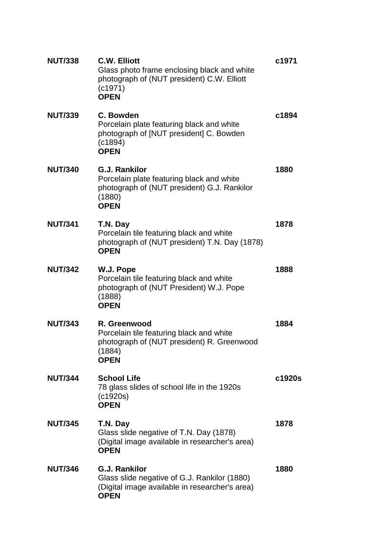| <b>NUT/338</b> | <b>C.W. Elliott</b><br>Glass photo frame enclosing black and white<br>photograph of (NUT president) C.W. Elliott<br>(c1971)<br><b>OPEN</b> | c1971  |
|----------------|--------------------------------------------------------------------------------------------------------------------------------------------|--------|
| <b>NUT/339</b> | C. Bowden<br>Porcelain plate featuring black and white<br>photograph of [NUT president] C. Bowden<br>(c1894)<br><b>OPEN</b>                | c1894  |
| <b>NUT/340</b> | <b>G.J. Rankilor</b><br>Porcelain plate featuring black and white<br>photograph of (NUT president) G.J. Rankilor<br>(1880)<br><b>OPEN</b>  | 1880   |
| <b>NUT/341</b> | T.N. Day<br>Porcelain tile featuring black and white<br>photograph of (NUT president) T.N. Day (1878)<br><b>OPEN</b>                       | 1878   |
| <b>NUT/342</b> | W.J. Pope<br>Porcelain tile featuring black and white<br>photograph of (NUT President) W.J. Pope<br>(1888)<br><b>OPEN</b>                  | 1888   |
| <b>NUT/343</b> | R. Greenwood<br>Porcelain tile featuring black and white<br>photograph of (NUT president) R. Greenwood<br>(1884)<br><b>OPEN</b>            | 1884   |
| <b>NUT/344</b> | <b>School Life</b><br>78 glass slides of school life in the 1920s<br>(c1920s)<br><b>OPEN</b>                                               | c1920s |
| <b>NUT/345</b> | T.N. Day<br>Glass slide negative of T.N. Day (1878)<br>(Digital image available in researcher's area)<br><b>OPEN</b>                       | 1878   |
| <b>NUT/346</b> | <b>G.J. Rankilor</b><br>Glass slide negative of G.J. Rankilor (1880)<br>(Digital image available in researcher's area)<br><b>OPEN</b>      | 1880   |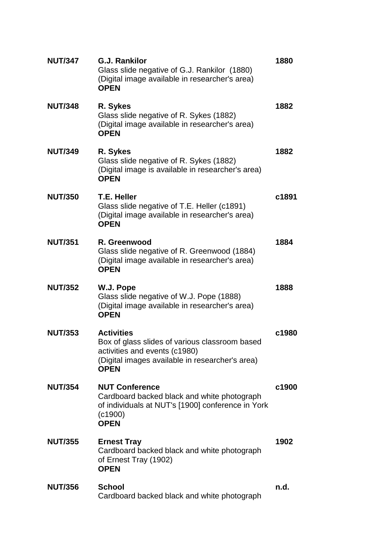| <b>NUT/347</b> | <b>G.J. Rankilor</b><br>Glass slide negative of G.J. Rankilor (1880)<br>(Digital image available in researcher's area)<br><b>OPEN</b>                                  | 1880  |
|----------------|------------------------------------------------------------------------------------------------------------------------------------------------------------------------|-------|
| <b>NUT/348</b> | R. Sykes<br>Glass slide negative of R. Sykes (1882)<br>(Digital image available in researcher's area)<br><b>OPEN</b>                                                   | 1882  |
| <b>NUT/349</b> | R. Sykes<br>Glass slide negative of R. Sykes (1882)<br>(Digital image is available in researcher's area)<br><b>OPEN</b>                                                | 1882  |
| <b>NUT/350</b> | T.E. Heller<br>Glass slide negative of T.E. Heller (c1891)<br>(Digital image available in researcher's area)<br><b>OPEN</b>                                            | c1891 |
| <b>NUT/351</b> | R. Greenwood<br>Glass slide negative of R. Greenwood (1884)<br>(Digital image available in researcher's area)<br><b>OPEN</b>                                           | 1884  |
| <b>NUT/352</b> | W.J. Pope<br>Glass slide negative of W.J. Pope (1888)<br>(Digital image available in researcher's area)<br><b>OPEN</b>                                                 | 1888  |
| <b>NUT/353</b> | <b>Activities</b><br>Box of glass slides of various classroom based<br>activities and events (c1980)<br>(Digital images available in researcher's area)<br><b>OPEN</b> | c1980 |
| <b>NUT/354</b> | <b>NUT Conference</b><br>Cardboard backed black and white photograph<br>of individuals at NUT's [1900] conference in York<br>(c1900)<br><b>OPEN</b>                    | c1900 |
| <b>NUT/355</b> | <b>Ernest Tray</b><br>Cardboard backed black and white photograph<br>of Ernest Tray (1902)<br><b>OPEN</b>                                                              | 1902  |
| <b>NUT/356</b> | <b>School</b><br>Cardboard backed black and white photograph                                                                                                           | n.d.  |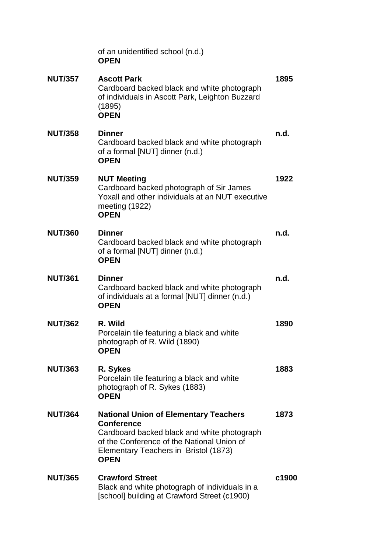|                | of an unidentified school (n.d.)<br><b>OPEN</b>                                                                                                                                                                        |       |
|----------------|------------------------------------------------------------------------------------------------------------------------------------------------------------------------------------------------------------------------|-------|
| <b>NUT/357</b> | <b>Ascott Park</b><br>Cardboard backed black and white photograph<br>of individuals in Ascott Park, Leighton Buzzard<br>(1895)<br><b>OPEN</b>                                                                          | 1895  |
| <b>NUT/358</b> | <b>Dinner</b><br>Cardboard backed black and white photograph<br>of a formal [NUT] dinner (n.d.)<br><b>OPEN</b>                                                                                                         | n.d.  |
| <b>NUT/359</b> | <b>NUT Meeting</b><br>Cardboard backed photograph of Sir James<br>Yoxall and other individuals at an NUT executive<br>meeting (1922)<br><b>OPEN</b>                                                                    | 1922  |
| <b>NUT/360</b> | <b>Dinner</b><br>Cardboard backed black and white photograph<br>of a formal [NUT] dinner (n.d.)<br><b>OPEN</b>                                                                                                         | n.d.  |
| <b>NUT/361</b> | <b>Dinner</b><br>Cardboard backed black and white photograph<br>of individuals at a formal [NUT] dinner (n.d.)<br><b>OPEN</b>                                                                                          | n.d.  |
| <b>NUT/362</b> | R. Wild<br>Porcelain tile featuring a black and white<br>photograph of R. Wild (1890)<br><b>OPEN</b>                                                                                                                   | 1890  |
| <b>NUT/363</b> | R. Sykes<br>Porcelain tile featuring a black and white<br>photograph of R. Sykes (1883)<br><b>OPEN</b>                                                                                                                 | 1883  |
| <b>NUT/364</b> | <b>National Union of Elementary Teachers</b><br><b>Conference</b><br>Cardboard backed black and white photograph<br>of the Conference of the National Union of<br>Elementary Teachers in Bristol (1873)<br><b>OPEN</b> | 1873  |
| <b>NUT/365</b> | <b>Crawford Street</b><br>Black and white photograph of individuals in a<br>[school] building at Crawford Street (c1900)                                                                                               | c1900 |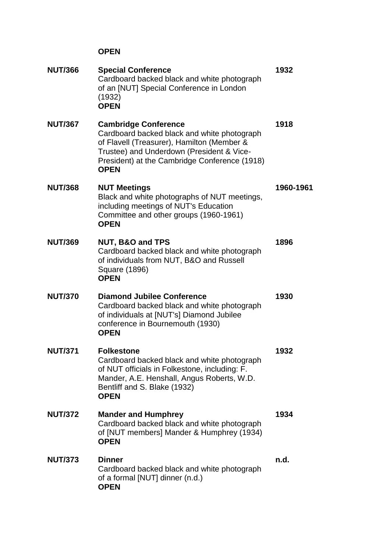| <b>NUT/366</b> | <b>Special Conference</b><br>Cardboard backed black and white photograph<br>of an [NUT] Special Conference in London<br>(1932)<br><b>OPEN</b>                                                                                         | 1932      |
|----------------|---------------------------------------------------------------------------------------------------------------------------------------------------------------------------------------------------------------------------------------|-----------|
| <b>NUT/367</b> | <b>Cambridge Conference</b><br>Cardboard backed black and white photograph<br>of Flavell (Treasurer), Hamilton (Member &<br>Trustee) and Underdown (President & Vice-<br>President) at the Cambridge Conference (1918)<br><b>OPEN</b> | 1918      |
| <b>NUT/368</b> | <b>NUT Meetings</b><br>Black and white photographs of NUT meetings,<br>including meetings of NUT's Education<br>Committee and other groups (1960-1961)<br><b>OPEN</b>                                                                 | 1960-1961 |
| <b>NUT/369</b> | NUT, B&O and TPS<br>Cardboard backed black and white photograph<br>of individuals from NUT, B&O and Russell<br>Square (1896)<br><b>OPEN</b>                                                                                           | 1896      |
| <b>NUT/370</b> | <b>Diamond Jubilee Conference</b><br>Cardboard backed black and white photograph<br>of individuals at [NUT's] Diamond Jubilee<br>conference in Bournemouth (1930)<br><b>OPEN</b>                                                      | 1930      |
| <b>NUT/371</b> | <b>Folkestone</b><br>Cardboard backed black and white photograph<br>of NUT officials in Folkestone, including: F.<br>Mander, A.E. Henshall, Angus Roberts, W.D.<br>Bentliff and S. Blake (1932)<br><b>OPEN</b>                        | 1932      |
| <b>NUT/372</b> | <b>Mander and Humphrey</b><br>Cardboard backed black and white photograph<br>of [NUT members] Mander & Humphrey (1934)<br><b>OPEN</b>                                                                                                 | 1934      |
| <b>NUT/373</b> | <b>Dinner</b><br>Cardboard backed black and white photograph<br>of a formal [NUT] dinner (n.d.)<br><b>OPEN</b>                                                                                                                        | n.d.      |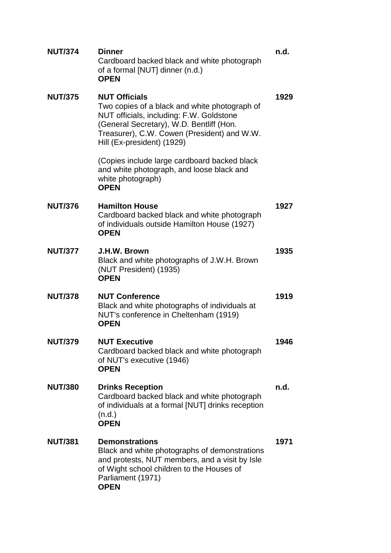| <b>NUT/374</b> | <b>Dinner</b><br>Cardboard backed black and white photograph<br>of a formal [NUT] dinner (n.d.)<br><b>OPEN</b>                                                                                                                             | n.d. |
|----------------|--------------------------------------------------------------------------------------------------------------------------------------------------------------------------------------------------------------------------------------------|------|
| <b>NUT/375</b> | <b>NUT Officials</b><br>Two copies of a black and white photograph of<br>NUT officials, including: F.W. Goldstone<br>(General Secretary), W.D. Bentliff (Hon.<br>Treasurer), C.W. Cowen (President) and W.W.<br>Hill (Ex-president) (1929) | 1929 |
|                | (Copies include large cardboard backed black<br>and white photograph, and loose black and<br>white photograph)<br><b>OPEN</b>                                                                                                              |      |
| <b>NUT/376</b> | <b>Hamilton House</b><br>Cardboard backed black and white photograph<br>of individuals outside Hamilton House (1927)<br><b>OPEN</b>                                                                                                        | 1927 |
| <b>NUT/377</b> | J.H.W. Brown<br>Black and white photographs of J.W.H. Brown<br>(NUT President) (1935)<br><b>OPEN</b>                                                                                                                                       | 1935 |
| <b>NUT/378</b> | <b>NUT Conference</b><br>Black and white photographs of individuals at<br>NUT's conference in Cheltenham (1919)<br><b>OPEN</b>                                                                                                             | 1919 |
| <b>NUT/379</b> | <b>NUT Executive</b><br>Cardboard backed black and white photograph<br>of NUT's executive (1946)<br><b>OPEN</b>                                                                                                                            | 1946 |
| <b>NUT/380</b> | <b>Drinks Reception</b><br>Cardboard backed black and white photograph<br>of individuals at a formal [NUT] drinks reception<br>(n.d.)<br><b>OPEN</b>                                                                                       | n.d. |
| <b>NUT/381</b> | <b>Demonstrations</b><br>Black and white photographs of demonstrations<br>and protests, NUT members, and a visit by Isle<br>of Wight school children to the Houses of<br>Parliament (1971)<br><b>OPEN</b>                                  | 1971 |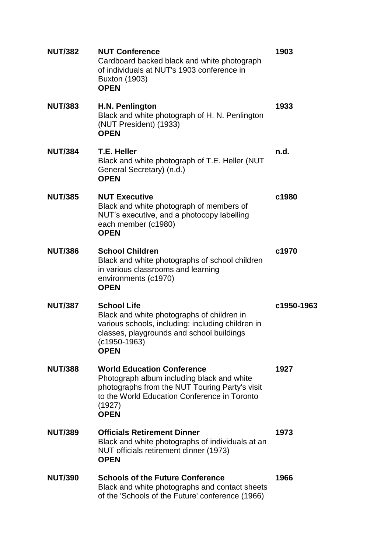| <b>NUT/382</b> | <b>NUT Conference</b><br>Cardboard backed black and white photograph<br>of individuals at NUT's 1903 conference in<br><b>Buxton (1903)</b><br><b>OPEN</b>                                                  | 1903       |
|----------------|------------------------------------------------------------------------------------------------------------------------------------------------------------------------------------------------------------|------------|
| <b>NUT/383</b> | H.N. Penlington<br>Black and white photograph of H. N. Penlington<br>(NUT President) (1933)<br><b>OPEN</b>                                                                                                 | 1933       |
| <b>NUT/384</b> | <b>T.E. Heller</b><br>Black and white photograph of T.E. Heller (NUT<br>General Secretary) (n.d.)<br><b>OPEN</b>                                                                                           | n.d.       |
| <b>NUT/385</b> | <b>NUT Executive</b><br>Black and white photograph of members of<br>NUT's executive, and a photocopy labelling<br>each member (c1980)<br><b>OPEN</b>                                                       | c1980      |
| <b>NUT/386</b> | <b>School Children</b><br>Black and white photographs of school children<br>in various classrooms and learning<br>environments (c1970)<br><b>OPEN</b>                                                      | c1970      |
| <b>NUT/387</b> | <b>School Life</b><br>Black and white photographs of children in<br>various schools, including: including children in<br>classes, playgrounds and school buildings<br>$(c1950-1963)$<br><b>OPEN</b>        | c1950-1963 |
| <b>NUT/388</b> | <b>World Education Conference</b><br>Photograph album including black and white<br>photographs from the NUT Touring Party's visit<br>to the World Education Conference in Toronto<br>(1927)<br><b>OPEN</b> | 1927       |
| <b>NUT/389</b> | <b>Officials Retirement Dinner</b><br>Black and white photographs of individuals at an<br>NUT officials retirement dinner (1973)<br><b>OPEN</b>                                                            | 1973       |
| <b>NUT/390</b> | <b>Schools of the Future Conference</b><br>Black and white photographs and contact sheets<br>of the 'Schools of the Future' conference (1966)                                                              | 1966       |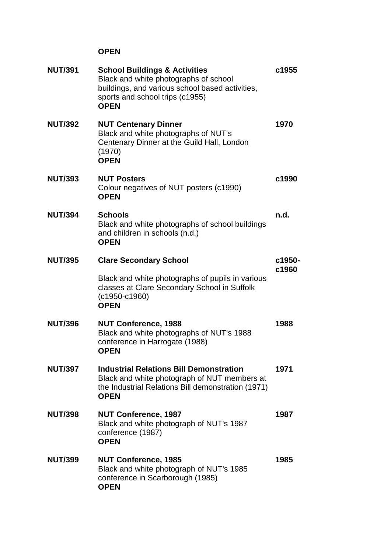| <b>NUT/391</b> | <b>School Buildings &amp; Activities</b><br>Black and white photographs of school<br>buildings, and various school based activities,<br>sports and school trips (c1955)<br><b>OPEN</b> | c1955  |
|----------------|----------------------------------------------------------------------------------------------------------------------------------------------------------------------------------------|--------|
| <b>NUT/392</b> | <b>NUT Centenary Dinner</b><br>Black and white photographs of NUT's<br>Centenary Dinner at the Guild Hall, London<br>(1970)<br><b>OPEN</b>                                             | 1970   |
| <b>NUT/393</b> | <b>NUT Posters</b><br>Colour negatives of NUT posters (c1990)<br><b>OPEN</b>                                                                                                           | c1990  |
| <b>NUT/394</b> | <b>Schools</b><br>Black and white photographs of school buildings<br>and children in schools (n.d.)<br><b>OPEN</b>                                                                     | n.d.   |
| <b>NUT/395</b> | <b>Clare Secondary School</b>                                                                                                                                                          | c1950- |
|                | Black and white photographs of pupils in various<br>classes at Clare Secondary School in Suffolk<br>$(c1950-c1960)$<br><b>OPEN</b>                                                     | c1960  |
| <b>NUT/396</b> | <b>NUT Conference, 1988</b><br>Black and white photographs of NUT's 1988<br>conference in Harrogate (1988)<br><b>OPEN</b>                                                              | 1988   |
| <b>NUT/397</b> | <b>Industrial Relations Bill Demonstration</b><br>Black and white photograph of NUT members at<br>the Industrial Relations Bill demonstration (1971)<br><b>OPEN</b>                    | 1971   |
| <b>NUT/398</b> | <b>NUT Conference, 1987</b><br>Black and white photograph of NUT's 1987<br>conference (1987)<br><b>OPEN</b>                                                                            | 1987   |
| <b>NUT/399</b> | <b>NUT Conference, 1985</b><br>Black and white photograph of NUT's 1985<br>conference in Scarborough (1985)<br><b>OPEN</b>                                                             | 1985   |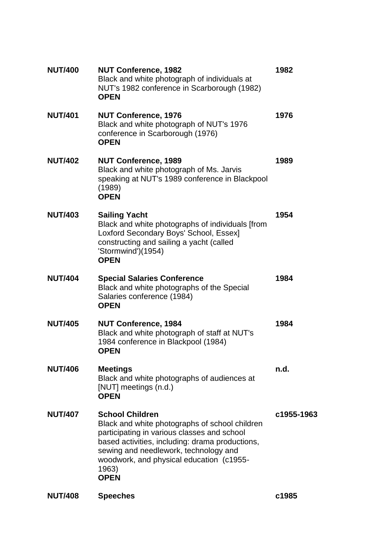| <b>NUT Conference, 1982</b><br>Black and white photograph of individuals at<br>NUT's 1982 conference in Scarborough (1982)<br><b>OPEN</b>                                                                                                                                               | 1982       |
|-----------------------------------------------------------------------------------------------------------------------------------------------------------------------------------------------------------------------------------------------------------------------------------------|------------|
| <b>NUT Conference, 1976</b><br>Black and white photograph of NUT's 1976<br>conference in Scarborough (1976)<br><b>OPEN</b>                                                                                                                                                              | 1976       |
| <b>NUT Conference, 1989</b><br>Black and white photograph of Ms. Jarvis<br>speaking at NUT's 1989 conference in Blackpool<br>(1989)<br><b>OPEN</b>                                                                                                                                      | 1989       |
| <b>Sailing Yacht</b><br>Black and white photographs of individuals [from<br>Loxford Secondary Boys' School, Essex]<br>constructing and sailing a yacht (called<br>'Stormwind')(1954)<br><b>OPEN</b>                                                                                     | 1954       |
| <b>Special Salaries Conference</b><br>Black and white photographs of the Special<br>Salaries conference (1984)<br><b>OPEN</b>                                                                                                                                                           | 1984       |
| <b>NUT Conference, 1984</b><br>Black and white photograph of staff at NUT's<br>1984 conference in Blackpool (1984)<br><b>OPEN</b>                                                                                                                                                       | 1984       |
| <b>Meetings</b><br>Black and white photographs of audiences at<br>[NUT] meetings (n.d.)<br><b>OPEN</b>                                                                                                                                                                                  | n.d.       |
| <b>School Children</b><br>Black and white photographs of school children<br>participating in various classes and school<br>based activities, including: drama productions,<br>sewing and needlework, technology and<br>woodwork, and physical education (c1955-<br>1963)<br><b>OPEN</b> | c1955-1963 |
|                                                                                                                                                                                                                                                                                         |            |

**NUT/408 Speeches c1985**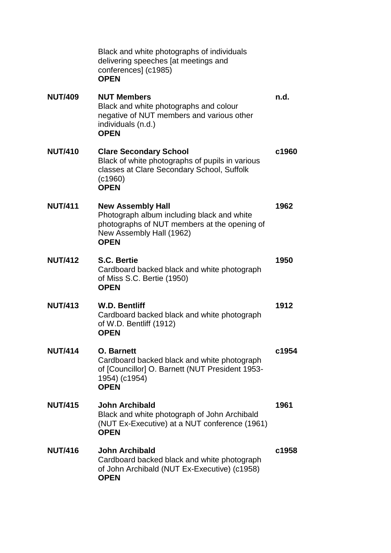|                | Black and white photographs of individuals<br>delivering speeches [at meetings and<br>conferences] (c1985)<br><b>OPEN</b>                                         |       |
|----------------|-------------------------------------------------------------------------------------------------------------------------------------------------------------------|-------|
| <b>NUT/409</b> | <b>NUT Members</b><br>Black and white photographs and colour<br>negative of NUT members and various other<br>individuals (n.d.)<br><b>OPEN</b>                    | n.d.  |
| <b>NUT/410</b> | <b>Clare Secondary School</b><br>Black of white photographs of pupils in various<br>classes at Clare Secondary School, Suffolk<br>(c1960)<br><b>OPEN</b>          | c1960 |
| <b>NUT/411</b> | <b>New Assembly Hall</b><br>Photograph album including black and white<br>photographs of NUT members at the opening of<br>New Assembly Hall (1962)<br><b>OPEN</b> | 1962  |
| <b>NUT/412</b> | <b>S.C. Bertie</b><br>Cardboard backed black and white photograph<br>of Miss S.C. Bertie (1950)<br><b>OPEN</b>                                                    | 1950  |
| <b>NUT/413</b> | <b>W.D. Bentliff</b><br>Cardboard backed black and white photograph<br>of W.D. Bentliff (1912)<br><b>OPEN</b>                                                     | 1912  |
| <b>NUT/414</b> | <b>O.</b> Barnett<br>Cardboard backed black and white photograph<br>of [Councillor] O. Barnett (NUT President 1953-<br>1954) (c1954)<br><b>OPEN</b>               | c1954 |
| <b>NUT/415</b> | <b>John Archibald</b><br>Black and white photograph of John Archibald<br>(NUT Ex-Executive) at a NUT conference (1961)<br><b>OPEN</b>                             | 1961  |
| <b>NUT/416</b> | <b>John Archibald</b><br>Cardboard backed black and white photograph<br>of John Archibald (NUT Ex-Executive) (c1958)<br><b>OPEN</b>                               | c1958 |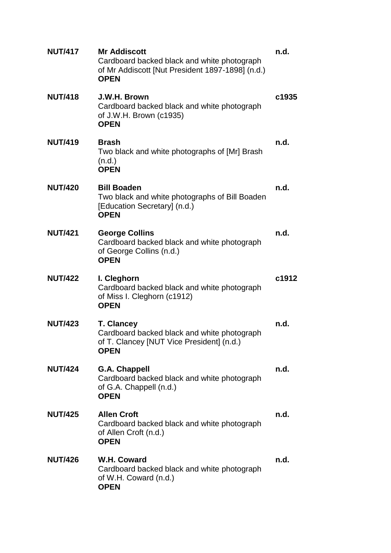| <b>NUT/417</b> | <b>Mr Addiscott</b><br>Cardboard backed black and white photograph<br>of Mr Addiscott [Nut President 1897-1898] (n.d.)<br><b>OPEN</b> | n.d.  |
|----------------|---------------------------------------------------------------------------------------------------------------------------------------|-------|
| <b>NUT/418</b> | J.W.H. Brown<br>Cardboard backed black and white photograph<br>of J.W.H. Brown (c1935)<br><b>OPEN</b>                                 | c1935 |
| <b>NUT/419</b> | <b>Brash</b><br>Two black and white photographs of [Mr] Brash<br>(n.d.)<br><b>OPEN</b>                                                | n.d.  |
| <b>NUT/420</b> | <b>Bill Boaden</b><br>Two black and white photographs of Bill Boaden<br>[Education Secretary] (n.d.)<br><b>OPEN</b>                   | n.d.  |
| <b>NUT/421</b> | <b>George Collins</b><br>Cardboard backed black and white photograph<br>of George Collins (n.d.)<br><b>OPEN</b>                       | n.d.  |
| <b>NUT/422</b> | I. Cleghorn<br>Cardboard backed black and white photograph<br>of Miss I. Cleghorn (c1912)<br><b>OPEN</b>                              | c1912 |
| <b>NUT/423</b> | <b>T. Clancey</b><br>Cardboard backed black and white photograph<br>of T. Clancey [NUT Vice President] (n.d.)<br><b>OPEN</b>          | n.d.  |
| <b>NUT/424</b> | <b>G.A. Chappell</b><br>Cardboard backed black and white photograph<br>of G.A. Chappell (n.d.)<br><b>OPEN</b>                         | n.d.  |
| <b>NUT/425</b> | <b>Allen Croft</b><br>Cardboard backed black and white photograph<br>of Allen Croft (n.d.)<br><b>OPEN</b>                             | n.d.  |
| <b>NUT/426</b> | W.H. Coward<br>Cardboard backed black and white photograph<br>of W.H. Coward (n.d.)<br><b>OPEN</b>                                    | n.d.  |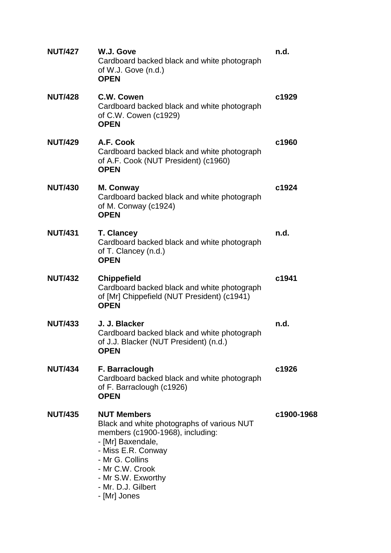| <b>NUT/427</b> | W.J. Gove<br>Cardboard backed black and white photograph<br>of W.J. Gove (n.d.)<br><b>OPEN</b>                                                                                                                                                    | n.d.       |
|----------------|---------------------------------------------------------------------------------------------------------------------------------------------------------------------------------------------------------------------------------------------------|------------|
| <b>NUT/428</b> | C.W. Cowen<br>Cardboard backed black and white photograph<br>of C.W. Cowen (c1929)<br><b>OPEN</b>                                                                                                                                                 | c1929      |
| <b>NUT/429</b> | A.F. Cook<br>Cardboard backed black and white photograph<br>of A.F. Cook (NUT President) (c1960)<br><b>OPEN</b>                                                                                                                                   | c1960      |
| <b>NUT/430</b> | M. Conway<br>Cardboard backed black and white photograph<br>of M. Conway (c1924)<br><b>OPEN</b>                                                                                                                                                   | c1924      |
| <b>NUT/431</b> | <b>T. Clancey</b><br>Cardboard backed black and white photograph<br>of T. Clancey (n.d.)<br><b>OPEN</b>                                                                                                                                           | n.d.       |
| <b>NUT/432</b> | <b>Chippefield</b><br>Cardboard backed black and white photograph<br>of [Mr] Chippefield (NUT President) (c1941)<br><b>OPEN</b>                                                                                                                   | c1941      |
| <b>NUT/433</b> | J. J. Blacker<br>Cardboard backed black and white photograph<br>of J.J. Blacker (NUT President) (n.d.)<br><b>OPEN</b>                                                                                                                             | n.d.       |
| <b>NUT/434</b> | F. Barraclough<br>Cardboard backed black and white photograph<br>of F. Barraclough (c1926)<br><b>OPEN</b>                                                                                                                                         | c1926      |
| <b>NUT/435</b> | <b>NUT Members</b><br>Black and white photographs of various NUT<br>members (c1900-1968), including:<br>- [Mr] Baxendale,<br>- Miss E.R. Conway<br>- Mr G. Collins<br>- Mr C.W. Crook<br>- Mr S.W. Exworthy<br>- Mr. D.J. Gilbert<br>- [Mr] Jones | c1900-1968 |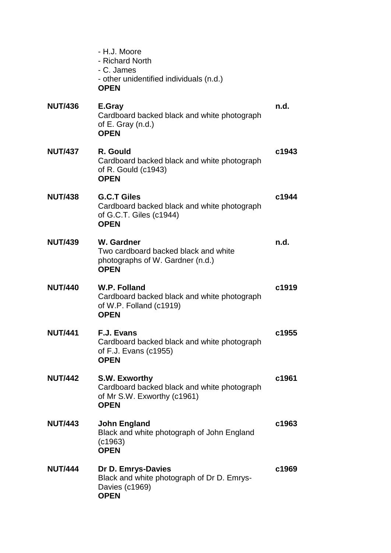|                | - H.J. Moore<br>- Richard North<br>- C. James<br>- other unidentified individuals (n.d.)<br><b>OPEN</b>     |       |
|----------------|-------------------------------------------------------------------------------------------------------------|-------|
| <b>NUT/436</b> | E.Gray<br>Cardboard backed black and white photograph<br>of $E$ . Gray $(n.d.)$<br><b>OPEN</b>              | n.d.  |
| <b>NUT/437</b> | R. Gould<br>Cardboard backed black and white photograph<br>of R. Gould (c1943)<br><b>OPEN</b>               | c1943 |
| <b>NUT/438</b> | <b>G.C.T Giles</b><br>Cardboard backed black and white photograph<br>of G.C.T. Giles (c1944)<br><b>OPEN</b> | c1944 |
| <b>NUT/439</b> | W. Gardner<br>Two cardboard backed black and white<br>photographs of W. Gardner (n.d.)<br><b>OPEN</b>       | n.d.  |
| <b>NUT/440</b> | W.P. Folland<br>Cardboard backed black and white photograph<br>of W.P. Folland (c1919)<br><b>OPEN</b>       | c1919 |
| <b>NUT/441</b> | <b>F.J. Evans</b><br>Cardboard backed black and white photograph<br>of F.J. Evans (c1955)<br><b>OPEN</b>    | c1955 |
| <b>NUT/442</b> | S.W. Exworthy<br>Cardboard backed black and white photograph<br>of Mr S.W. Exworthy (c1961)<br><b>OPEN</b>  | c1961 |
| <b>NUT/443</b> | <b>John England</b><br>Black and white photograph of John England<br>(c1963)<br><b>OPEN</b>                 | c1963 |
| <b>NUT/444</b> | Dr D. Emrys-Davies<br>Black and white photograph of Dr D. Emrys-<br>Davies (c1969)<br><b>OPEN</b>           | c1969 |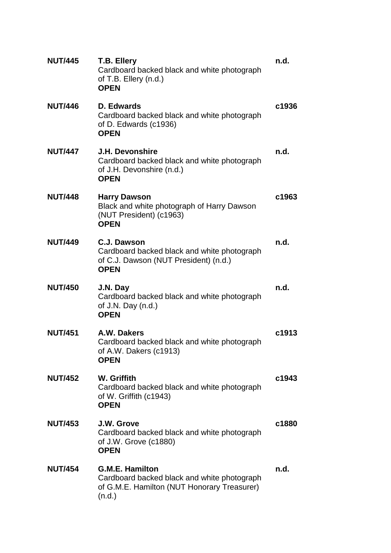| <b>NUT/445</b> | T.B. Ellery<br>Cardboard backed black and white photograph<br>of T.B. Ellery (n.d.)<br><b>OPEN</b>                             | n.d.  |
|----------------|--------------------------------------------------------------------------------------------------------------------------------|-------|
| <b>NUT/446</b> | D. Edwards<br>Cardboard backed black and white photograph<br>of D. Edwards (c1936)<br><b>OPEN</b>                              | c1936 |
| <b>NUT/447</b> | <b>J.H. Devonshire</b><br>Cardboard backed black and white photograph<br>of J.H. Devonshire (n.d.)<br><b>OPEN</b>              | n.d.  |
| <b>NUT/448</b> | <b>Harry Dawson</b><br>Black and white photograph of Harry Dawson<br>(NUT President) (c1963)<br><b>OPEN</b>                    | c1963 |
| <b>NUT/449</b> | C.J. Dawson<br>Cardboard backed black and white photograph<br>of C.J. Dawson (NUT President) (n.d.)<br><b>OPEN</b>             | n.d.  |
| <b>NUT/450</b> | J.N. Day<br>Cardboard backed black and white photograph<br>of J.N. Day $(n.d.)$<br><b>OPEN</b>                                 | n.d.  |
| <b>NUT/451</b> | A.W. Dakers<br>Cardboard backed black and white photograph<br>of A.W. Dakers $(c1913)$<br><b>OPEN</b>                          | c1913 |
| <b>NUT/452</b> | W. Griffith<br>Cardboard backed black and white photograph<br>of W. Griffith (c1943)<br><b>OPEN</b>                            | c1943 |
| <b>NUT/453</b> | J.W. Grove<br>Cardboard backed black and white photograph<br>of J.W. Grove (c1880)<br><b>OPEN</b>                              | c1880 |
| <b>NUT/454</b> | <b>G.M.E. Hamilton</b><br>Cardboard backed black and white photograph<br>of G.M.E. Hamilton (NUT Honorary Treasurer)<br>(n.d.) | n.d.  |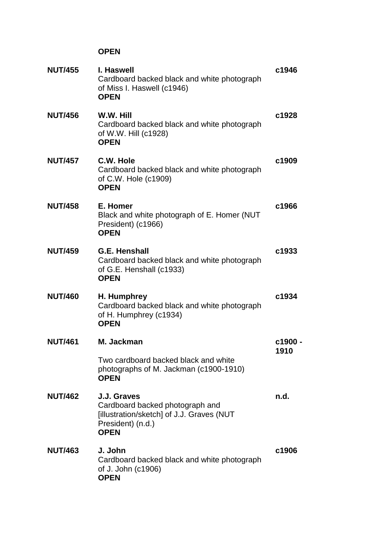| <b>NUT/455</b> | I. Haswell<br>Cardboard backed black and white photograph<br>of Miss I. Haswell (c1946)<br><b>OPEN</b>                          | c1946           |
|----------------|---------------------------------------------------------------------------------------------------------------------------------|-----------------|
| <b>NUT/456</b> | W.W. Hill<br>Cardboard backed black and white photograph<br>of W.W. Hill (c1928)<br><b>OPEN</b>                                 | c1928           |
| <b>NUT/457</b> | C.W. Hole<br>Cardboard backed black and white photograph<br>of C.W. Hole (c1909)<br><b>OPEN</b>                                 | c1909           |
| <b>NUT/458</b> | E. Homer<br>Black and white photograph of E. Homer (NUT<br>President) (c1966)<br><b>OPEN</b>                                    | c1966           |
| <b>NUT/459</b> | <b>G.E. Henshall</b><br>Cardboard backed black and white photograph<br>of G.E. Henshall (c1933)<br><b>OPEN</b>                  | c1933           |
| <b>NUT/460</b> | H. Humphrey<br>Cardboard backed black and white photograph<br>of H. Humphrey (c1934)<br><b>OPEN</b>                             | c1934           |
| <b>NUT/461</b> | M. Jackman                                                                                                                      | c1900 -<br>1910 |
|                | Two cardboard backed black and white<br>photographs of M. Jackman (c1900-1910)<br><b>OPEN</b>                                   |                 |
| <b>NUT/462</b> | J.J. Graves<br>Cardboard backed photograph and<br>[illustration/sketch] of J.J. Graves (NUT<br>President) (n.d.)<br><b>OPEN</b> | n.d.            |
| <b>NUT/463</b> | J. John<br>Cardboard backed black and white photograph<br>of J. John (c1906)<br><b>OPEN</b>                                     | c1906           |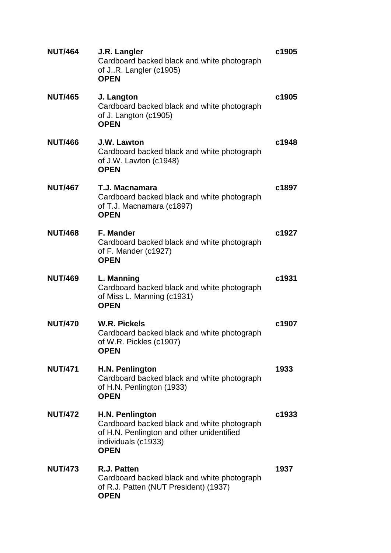| <b>NUT/464</b> | J.R. Langler<br>Cardboard backed black and white photograph<br>of JR. Langler (c1905)<br><b>OPEN</b>                                              | c1905 |
|----------------|---------------------------------------------------------------------------------------------------------------------------------------------------|-------|
| <b>NUT/465</b> | J. Langton<br>Cardboard backed black and white photograph<br>of J. Langton (c1905)<br><b>OPEN</b>                                                 | c1905 |
| <b>NUT/466</b> | J.W. Lawton<br>Cardboard backed black and white photograph<br>of J.W. Lawton (c1948)<br><b>OPEN</b>                                               | c1948 |
| <b>NUT/467</b> | T.J. Macnamara<br>Cardboard backed black and white photograph<br>of T.J. Macnamara (c1897)<br><b>OPEN</b>                                         | c1897 |
| <b>NUT/468</b> | <b>F. Mander</b><br>Cardboard backed black and white photograph<br>of F. Mander (c1927)<br><b>OPEN</b>                                            | c1927 |
| <b>NUT/469</b> | L. Manning<br>Cardboard backed black and white photograph<br>of Miss L. Manning (c1931)<br><b>OPEN</b>                                            | c1931 |
| <b>NUT/470</b> | <b>W.R. Pickels</b><br>Cardboard backed black and white photograph<br>of W.R. Pickles (c1907)<br><b>OPEN</b>                                      | c1907 |
| <b>NUT/471</b> | H.N. Penlington<br>Cardboard backed black and white photograph<br>of H.N. Penlington (1933)<br><b>OPEN</b>                                        | 1933  |
| <b>NUT/472</b> | H.N. Penlington<br>Cardboard backed black and white photograph<br>of H.N. Penlington and other unidentified<br>individuals (c1933)<br><b>OPEN</b> | c1933 |
| <b>NUT/473</b> | R.J. Patten<br>Cardboard backed black and white photograph<br>of R.J. Patten (NUT President) (1937)<br><b>OPEN</b>                                | 1937  |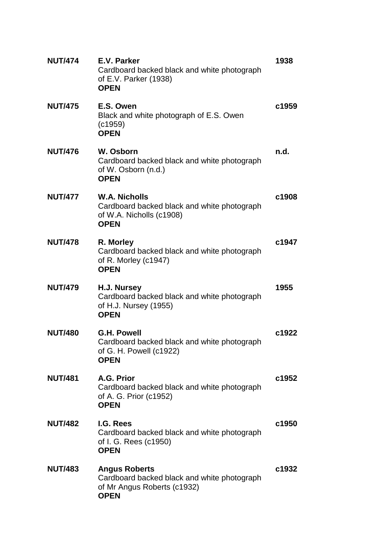| <b>NUT/474</b> | E.V. Parker<br>Cardboard backed black and white photograph<br>of E.V. Parker (1938)<br><b>OPEN</b>                | 1938  |
|----------------|-------------------------------------------------------------------------------------------------------------------|-------|
| <b>NUT/475</b> | E.S. Owen<br>Black and white photograph of E.S. Owen<br>(c1959)<br><b>OPEN</b>                                    | c1959 |
| <b>NUT/476</b> | W. Osborn<br>Cardboard backed black and white photograph<br>of W. Osborn (n.d.)<br><b>OPEN</b>                    | n.d.  |
| <b>NUT/477</b> | <b>W.A. Nicholls</b><br>Cardboard backed black and white photograph<br>of W.A. Nicholls (c1908)<br><b>OPEN</b>    | c1908 |
| <b>NUT/478</b> | R. Morley<br>Cardboard backed black and white photograph<br>of R. Morley (c1947)<br><b>OPEN</b>                   | c1947 |
| <b>NUT/479</b> | H.J. Nursey<br>Cardboard backed black and white photograph<br>of H.J. Nursey (1955)<br><b>OPEN</b>                | 1955  |
| <b>NUT/480</b> | <b>G.H. Powell</b><br>Cardboard backed black and white photograph<br>of G. H. Powell $(c1922)$<br><b>OPEN</b>     | c1922 |
| <b>NUT/481</b> | A.G. Prior<br>Cardboard backed black and white photograph<br>of A. G. Prior (c1952)<br><b>OPEN</b>                | c1952 |
| <b>NUT/482</b> | I.G. Rees<br>Cardboard backed black and white photograph<br>of I. G. Rees (c1950)<br><b>OPEN</b>                  | c1950 |
| <b>NUT/483</b> | <b>Angus Roberts</b><br>Cardboard backed black and white photograph<br>of Mr Angus Roberts (c1932)<br><b>OPEN</b> | c1932 |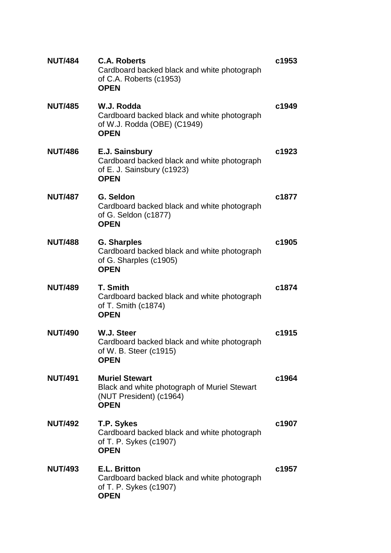| <b>NUT/484</b> | <b>C.A. Roberts</b><br>Cardboard backed black and white photograph<br>of C.A. Roberts (c1953)<br><b>OPEN</b>    | c1953 |
|----------------|-----------------------------------------------------------------------------------------------------------------|-------|
| <b>NUT/485</b> | W.J. Rodda<br>Cardboard backed black and white photograph<br>of W.J. Rodda (OBE) (C1949)<br><b>OPEN</b>         | c1949 |
| <b>NUT/486</b> | E.J. Sainsbury<br>Cardboard backed black and white photograph<br>of E. J. Sainsbury (c1923)<br><b>OPEN</b>      | c1923 |
| <b>NUT/487</b> | G. Seldon<br>Cardboard backed black and white photograph<br>of G. Seldon (c1877)<br><b>OPEN</b>                 | c1877 |
| <b>NUT/488</b> | <b>G. Sharples</b><br>Cardboard backed black and white photograph<br>of G. Sharples (c1905)<br><b>OPEN</b>      | c1905 |
| <b>NUT/489</b> | <b>T. Smith</b><br>Cardboard backed black and white photograph<br>of T. Smith $(c1874)$<br><b>OPEN</b>          | c1874 |
| <b>NUT/490</b> | W.J. Steer<br>Cardboard backed black and white photograph<br>of W. B. Steer (c1915)<br><b>OPEN</b>              | c1915 |
| <b>NUT/491</b> | <b>Muriel Stewart</b><br>Black and white photograph of Muriel Stewart<br>(NUT President) (c1964)<br><b>OPEN</b> | c1964 |
| <b>NUT/492</b> | T.P. Sykes<br>Cardboard backed black and white photograph<br>of T. P. Sykes (c1907)<br><b>OPEN</b>              | c1907 |
| <b>NUT/493</b> | E.L. Britton<br>Cardboard backed black and white photograph<br>of T. P. Sykes (c1907)<br><b>OPEN</b>            | c1957 |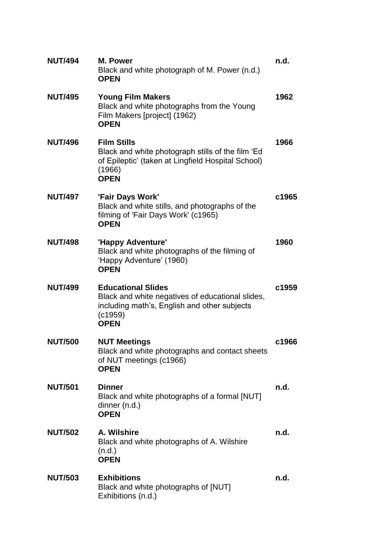| <b>NUT/494</b> | <b>M. Power</b><br>Black and white photograph of M. Power (n.d.)<br><b>OPEN</b>                                                                         | n.d.  |
|----------------|---------------------------------------------------------------------------------------------------------------------------------------------------------|-------|
| <b>NUT/495</b> | <b>Young Film Makers</b><br>Black and white photographs from the Young<br>Film Makers [project] (1962)<br><b>OPEN</b>                                   | 1962  |
| <b>NUT/496</b> | <b>Film Stills</b><br>Black and white photograph stills of the film 'Ed<br>of Epileptic' (taken at Lingfield Hospital School)<br>(1966)<br><b>OPEN</b>  | 1966  |
| <b>NUT/497</b> | 'Fair Days Work'<br>Black and white stills, and photographs of the<br>filming of 'Fair Days Work' (c1965)<br><b>OPEN</b>                                | c1965 |
| <b>NUT/498</b> | 'Happy Adventure'<br>Black and white photographs of the filming of<br>'Happy Adventure' (1960)<br><b>OPEN</b>                                           | 1960  |
| <b>NUT/499</b> | <b>Educational Slides</b><br>Black and white negatives of educational slides,<br>including math's, English and other subjects<br>(c1959)<br><b>OPEN</b> | c1959 |
| <b>NUT/500</b> | <b>NUT Meetings</b><br>Black and white photographs and contact sheets<br>of NUT meetings (c1966)<br><b>OPEN</b>                                         | c1966 |
| <b>NUT/501</b> | <b>Dinner</b><br>Black and white photographs of a formal [NUT]<br>dinner (n.d.)<br><b>OPEN</b>                                                          | n.d.  |
| <b>NUT/502</b> | A. Wilshire<br>Black and white photographs of A. Wilshire<br>(n.d.)<br><b>OPEN</b>                                                                      | n.d.  |
| <b>NUT/503</b> | <b>Exhibitions</b><br>Black and white photographs of [NUT]<br>Exhibitions (n.d.)                                                                        | n.d.  |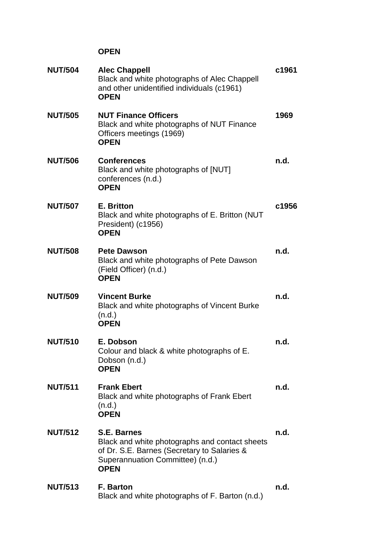| <b>NUT/504</b> | <b>Alec Chappell</b><br>Black and white photographs of Alec Chappell<br>and other unidentified individuals (c1961)<br><b>OPEN</b>                                      | c1961 |
|----------------|------------------------------------------------------------------------------------------------------------------------------------------------------------------------|-------|
| <b>NUT/505</b> | <b>NUT Finance Officers</b><br>Black and white photographs of NUT Finance<br>Officers meetings (1969)<br><b>OPEN</b>                                                   | 1969  |
| <b>NUT/506</b> | <b>Conferences</b><br>Black and white photographs of [NUT]<br>conferences (n.d.)<br><b>OPEN</b>                                                                        | n.d.  |
| <b>NUT/507</b> | E. Britton<br>Black and white photographs of E. Britton (NUT<br>President) (c1956)<br><b>OPEN</b>                                                                      | c1956 |
| <b>NUT/508</b> | <b>Pete Dawson</b><br>Black and white photographs of Pete Dawson<br>(Field Officer) (n.d.)<br><b>OPEN</b>                                                              | n.d.  |
| <b>NUT/509</b> | <b>Vincent Burke</b><br>Black and white photographs of Vincent Burke<br>(n.d.)<br><b>OPEN</b>                                                                          | n.d.  |
| <b>NUT/510</b> | E. Dobson<br>Colour and black & white photographs of E.<br>Dobson (n.d.)<br><b>OPEN</b>                                                                                | n.d.  |
| <b>NUT/511</b> | <b>Frank Ebert</b><br>Black and white photographs of Frank Ebert<br>(n.d.)<br><b>OPEN</b>                                                                              | n.d.  |
| <b>NUT/512</b> | <b>S.E. Barnes</b><br>Black and white photographs and contact sheets<br>of Dr. S.E. Barnes (Secretary to Salaries &<br>Superannuation Committee) (n.d.)<br><b>OPEN</b> | n.d.  |
| <b>NUT/513</b> | <b>F. Barton</b><br>Black and white photographs of F. Barton (n.d.)                                                                                                    | n.d.  |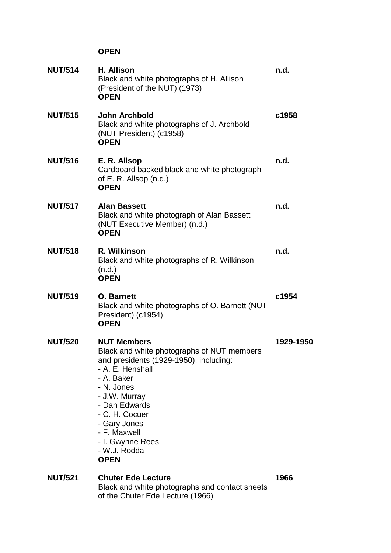| <b>NUT/514</b> | H. Allison<br>Black and white photographs of H. Allison<br>(President of the NUT) (1973)<br><b>OPEN</b>                                                                                                                                                                                           | n.d.      |
|----------------|---------------------------------------------------------------------------------------------------------------------------------------------------------------------------------------------------------------------------------------------------------------------------------------------------|-----------|
| <b>NUT/515</b> | <b>John Archbold</b><br>Black and white photographs of J. Archbold<br>(NUT President) (c1958)<br><b>OPEN</b>                                                                                                                                                                                      | c1958     |
| <b>NUT/516</b> | E. R. Allsop<br>Cardboard backed black and white photograph<br>of E. R. Allsop (n.d.)<br><b>OPEN</b>                                                                                                                                                                                              | n.d.      |
| <b>NUT/517</b> | <b>Alan Bassett</b><br>Black and white photograph of Alan Bassett<br>(NUT Executive Member) (n.d.)<br><b>OPEN</b>                                                                                                                                                                                 | n.d.      |
| <b>NUT/518</b> | R. Wilkinson<br>Black and white photographs of R. Wilkinson<br>(n.d.)<br><b>OPEN</b>                                                                                                                                                                                                              | n.d.      |
| <b>NUT/519</b> | <b>O.</b> Barnett<br>Black and white photographs of O. Barnett (NUT<br>President) (c1954)<br><b>OPEN</b>                                                                                                                                                                                          | c1954     |
| <b>NUT/520</b> | <b>NUT Members</b><br>Black and white photographs of NUT members<br>and presidents (1929-1950), including:<br>- A. E. Henshall<br>- A. Baker<br>- N. Jones<br>- J.W. Murray<br>- Dan Edwards<br>- C. H. Cocuer<br>- Gary Jones<br>- F. Maxwell<br>- I. Gwynne Rees<br>- W.J. Rodda<br><b>OPEN</b> | 1929-1950 |
| <b>NUT/521</b> | <b>Chuter Ede Lecture</b><br>Black and white photographs and contact sheets<br>of the Chuter Ede Lecture (1966)                                                                                                                                                                                   | 1966      |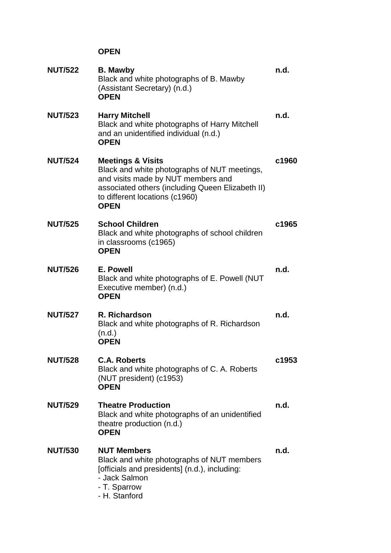| <b>NUT/522</b> | <b>B. Mawby</b><br>Black and white photographs of B. Mawby<br>(Assistant Secretary) (n.d.)<br><b>OPEN</b>                                                                                                               | n.d.  |
|----------------|-------------------------------------------------------------------------------------------------------------------------------------------------------------------------------------------------------------------------|-------|
| <b>NUT/523</b> | <b>Harry Mitchell</b><br>Black and white photographs of Harry Mitchell<br>and an unidentified individual (n.d.)<br><b>OPEN</b>                                                                                          | n.d.  |
| <b>NUT/524</b> | <b>Meetings &amp; Visits</b><br>Black and white photographs of NUT meetings,<br>and visits made by NUT members and<br>associated others (including Queen Elizabeth II)<br>to different locations (c1960)<br><b>OPEN</b> | c1960 |
| <b>NUT/525</b> | <b>School Children</b><br>Black and white photographs of school children<br>in classrooms (c1965)<br><b>OPEN</b>                                                                                                        | c1965 |
| <b>NUT/526</b> | E. Powell<br>Black and white photographs of E. Powell (NUT<br>Executive member) (n.d.)<br><b>OPEN</b>                                                                                                                   | n.d.  |
| <b>NUT/527</b> | R. Richardson<br>Black and white photographs of R. Richardson<br>(n.d.)<br><b>OPEN</b>                                                                                                                                  | n.d.  |
| <b>NUT/528</b> | <b>C.A. Roberts</b><br>Black and white photographs of C. A. Roberts<br>(NUT president) (c1953)<br><b>OPEN</b>                                                                                                           | c1953 |
| <b>NUT/529</b> | <b>Theatre Production</b><br>Black and white photographs of an unidentified<br>theatre production (n.d.)<br><b>OPEN</b>                                                                                                 | n.d.  |
| <b>NUT/530</b> | <b>NUT Members</b><br>Black and white photographs of NUT members<br>[officials and presidents] (n.d.), including:<br>- Jack Salmon<br>- T. Sparrow<br>- H. Stanford                                                     | n.d.  |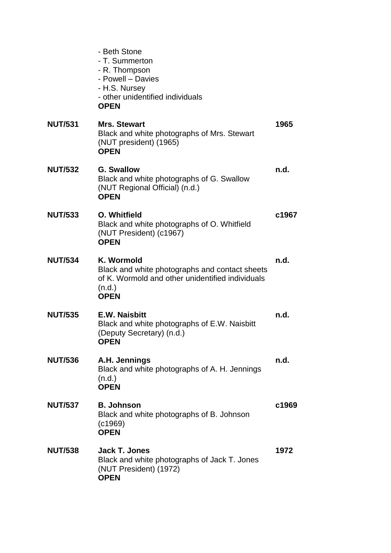|                | - Beth Stone<br>- T. Summerton<br>- R. Thompson<br>- Powell - Davies<br>- H.S. Nursey<br>- other unidentified individuals<br><b>OPEN</b>  |       |
|----------------|-------------------------------------------------------------------------------------------------------------------------------------------|-------|
| <b>NUT/531</b> | <b>Mrs. Stewart</b><br>Black and white photographs of Mrs. Stewart<br>(NUT president) (1965)<br><b>OPEN</b>                               | 1965  |
| <b>NUT/532</b> | <b>G. Swallow</b><br>Black and white photographs of G. Swallow<br>(NUT Regional Official) (n.d.)<br><b>OPEN</b>                           | n.d.  |
| <b>NUT/533</b> | O. Whitfield<br>Black and white photographs of O. Whitfield<br>(NUT President) (c1967)<br><b>OPEN</b>                                     | c1967 |
| <b>NUT/534</b> | K. Wormold<br>Black and white photographs and contact sheets<br>of K. Wormold and other unidentified individuals<br>(n.d.)<br><b>OPEN</b> | n.d.  |
| <b>NUT/535</b> | <b>E.W. Naisbitt</b><br>Black and white photographs of E.W. Naisbitt<br>(Deputy Secretary) (n.d.)<br><b>OPEN</b>                          | n.d.  |
| <b>NUT/536</b> | A.H. Jennings<br>Black and white photographs of A. H. Jennings<br>(n.d.)<br><b>OPEN</b>                                                   | n.d.  |
| <b>NUT/537</b> | <b>B. Johnson</b><br>Black and white photographs of B. Johnson<br>(c1969)<br><b>OPEN</b>                                                  | c1969 |
| <b>NUT/538</b> | <b>Jack T. Jones</b><br>Black and white photographs of Jack T. Jones<br>(NUT President) (1972)<br><b>OPEN</b>                             | 1972  |
|                |                                                                                                                                           |       |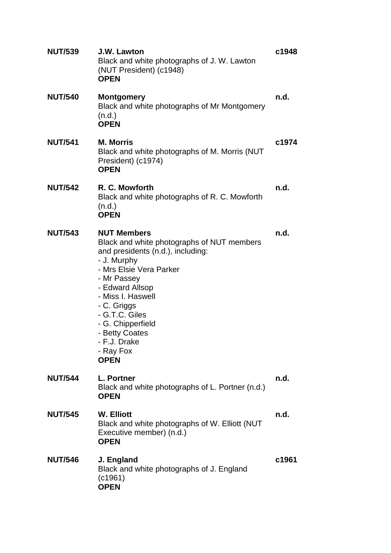| <b>NUT/539</b> | J.W. Lawton<br>Black and white photographs of J. W. Lawton<br>(NUT President) (c1948)<br><b>OPEN</b>                                                                                                                                                                                                                       | c1948 |
|----------------|----------------------------------------------------------------------------------------------------------------------------------------------------------------------------------------------------------------------------------------------------------------------------------------------------------------------------|-------|
| <b>NUT/540</b> | <b>Montgomery</b><br>Black and white photographs of Mr Montgomery<br>(n.d.)<br><b>OPEN</b>                                                                                                                                                                                                                                 | n.d.  |
| <b>NUT/541</b> | <b>M. Morris</b><br>Black and white photographs of M. Morris (NUT<br>President) (c1974)<br><b>OPEN</b>                                                                                                                                                                                                                     | c1974 |
| <b>NUT/542</b> | R. C. Mowforth<br>Black and white photographs of R. C. Mowforth<br>(n.d.)<br><b>OPEN</b>                                                                                                                                                                                                                                   | n.d.  |
| <b>NUT/543</b> | <b>NUT Members</b><br>Black and white photographs of NUT members<br>and presidents (n.d.), including:<br>- J. Murphy<br>- Mrs Elsie Vera Parker<br>- Mr Passey<br>- Edward Allsop<br>- Miss I. Haswell<br>- C. Griggs<br>- G.T.C. Giles<br>- G. Chipperfield<br>- Betty Coates<br>- F.J. Drake<br>- Ray Fox<br><b>OPEN</b> | n.d.  |
| <b>NUT/544</b> | L. Portner<br>Black and white photographs of L. Portner (n.d.)<br><b>OPEN</b>                                                                                                                                                                                                                                              | n.d.  |
| <b>NUT/545</b> | <b>W. Elliott</b><br>Black and white photographs of W. Elliott (NUT<br>Executive member) (n.d.)<br><b>OPEN</b>                                                                                                                                                                                                             | n.d.  |
| <b>NUT/546</b> | J. England<br>Black and white photographs of J. England<br>(c1961)<br><b>OPEN</b>                                                                                                                                                                                                                                          | c1961 |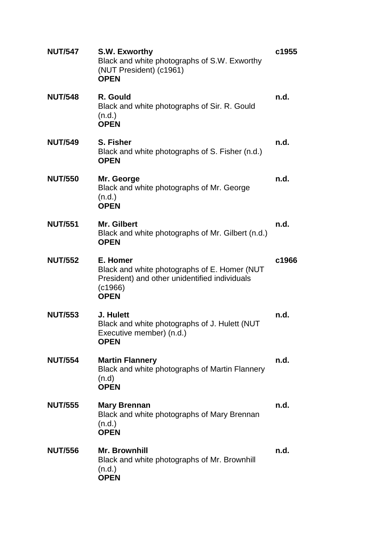| <b>NUT/547</b> | S.W. Exworthy<br>Black and white photographs of S.W. Exworthy<br>(NUT President) (c1961)<br><b>OPEN</b>                             | c1955 |
|----------------|-------------------------------------------------------------------------------------------------------------------------------------|-------|
| <b>NUT/548</b> | R. Gould<br>Black and white photographs of Sir. R. Gould<br>(n.d.)<br><b>OPEN</b>                                                   | n.d.  |
| <b>NUT/549</b> | S. Fisher<br>Black and white photographs of S. Fisher (n.d.)<br><b>OPEN</b>                                                         | n.d.  |
| <b>NUT/550</b> | Mr. George<br>Black and white photographs of Mr. George<br>(n.d.)<br><b>OPEN</b>                                                    | n.d.  |
| <b>NUT/551</b> | <b>Mr. Gilbert</b><br>Black and white photographs of Mr. Gilbert (n.d.)<br><b>OPEN</b>                                              | n.d.  |
| <b>NUT/552</b> | E. Homer<br>Black and white photographs of E. Homer (NUT<br>President) and other unidentified individuals<br>(c1966)<br><b>OPEN</b> | c1966 |
| <b>NUT/553</b> | J. Hulett<br>Black and white photographs of J. Hulett (NUT<br>Executive member) (n.d.)<br>OPEN                                      | n.d.  |
| <b>NUT/554</b> | <b>Martin Flannery</b><br>Black and white photographs of Martin Flannery<br>(n.d)<br><b>OPEN</b>                                    | n.d.  |
| <b>NUT/555</b> | <b>Mary Brennan</b><br>Black and white photographs of Mary Brennan<br>(n.d.)<br><b>OPEN</b>                                         | n.d.  |
| <b>NUT/556</b> | <b>Mr. Brownhill</b><br>Black and white photographs of Mr. Brownhill<br>(n.d.)<br><b>OPEN</b>                                       | n.d.  |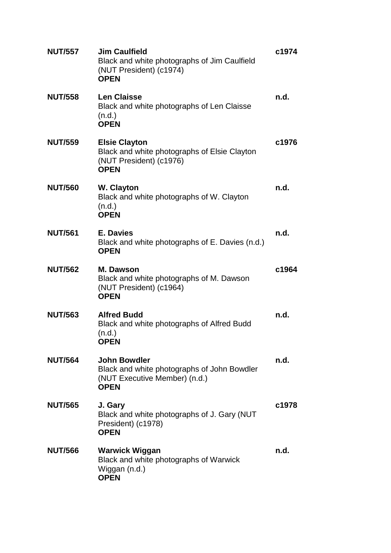| <b>NUT/557</b> | <b>Jim Caulfield</b><br>Black and white photographs of Jim Caulfield<br>(NUT President) (c1974)<br><b>OPEN</b>     | c1974 |
|----------------|--------------------------------------------------------------------------------------------------------------------|-------|
| <b>NUT/558</b> | <b>Len Claisse</b><br>Black and white photographs of Len Claisse<br>(n.d.)<br><b>OPEN</b>                          | n.d.  |
| <b>NUT/559</b> | <b>Elsie Clayton</b><br>Black and white photographs of Elsie Clayton<br>(NUT President) (c1976)<br><b>OPEN</b>     | c1976 |
| <b>NUT/560</b> | <b>W. Clayton</b><br>Black and white photographs of W. Clayton<br>(n.d.)<br><b>OPEN</b>                            | n.d.  |
| <b>NUT/561</b> | <b>E. Davies</b><br>Black and white photographs of E. Davies (n.d.)<br><b>OPEN</b>                                 | n.d.  |
| <b>NUT/562</b> | <b>M. Dawson</b><br>Black and white photographs of M. Dawson<br>(NUT President) (c1964)<br><b>OPEN</b>             | c1964 |
| <b>NUT/563</b> | <b>Alfred Budd</b><br>Black and white photographs of Alfred Budd<br>(n.d.)<br><b>OPEN</b>                          | n.d.  |
| <b>NUT/564</b> | <b>John Bowdler</b><br>Black and white photographs of John Bowdler<br>(NUT Executive Member) (n.d.)<br><b>OPEN</b> | n.d.  |
| <b>NUT/565</b> | J. Gary<br>Black and white photographs of J. Gary (NUT<br>President) (c1978)<br><b>OPEN</b>                        | c1978 |
| <b>NUT/566</b> | <b>Warwick Wiggan</b><br>Black and white photographs of Warwick<br>Wiggan (n.d.)<br><b>OPEN</b>                    | n.d.  |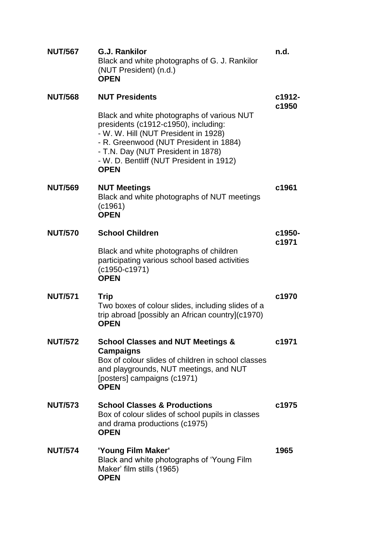| <b>NUT/567</b> | <b>G.J. Rankilor</b><br>Black and white photographs of G. J. Rankilor<br>(NUT President) (n.d.)<br><b>OPEN</b>                                                                                                                                                        | n.d.            |
|----------------|-----------------------------------------------------------------------------------------------------------------------------------------------------------------------------------------------------------------------------------------------------------------------|-----------------|
| <b>NUT/568</b> | <b>NUT Presidents</b>                                                                                                                                                                                                                                                 | c1912-          |
|                | Black and white photographs of various NUT<br>presidents (c1912-c1950), including:<br>- W. W. Hill (NUT President in 1928)<br>- R. Greenwood (NUT President in 1884)<br>- T.N. Day (NUT President in 1878)<br>- W. D. Bentliff (NUT President in 1912)<br><b>OPEN</b> | c1950           |
| <b>NUT/569</b> | <b>NUT Meetings</b><br>Black and white photographs of NUT meetings<br>(c1961)<br><b>OPEN</b>                                                                                                                                                                          | c1961           |
| <b>NUT/570</b> | <b>School Children</b>                                                                                                                                                                                                                                                | c1950-<br>c1971 |
|                | Black and white photographs of children<br>participating various school based activities<br>$(c1950-c1971)$<br><b>OPEN</b>                                                                                                                                            |                 |
| <b>NUT/571</b> | <b>Trip</b><br>Two boxes of colour slides, including slides of a<br>trip abroad [possibly an African country](c1970)<br><b>OPEN</b>                                                                                                                                   | c1970           |
| <b>NUT/572</b> | <b>School Classes and NUT Meetings &amp;</b><br><b>Campaigns</b><br>Box of colour slides of children in school classes<br>and playgrounds, NUT meetings, and NUT<br>[posters] campaigns (c1971)<br><b>OPEN</b>                                                        | c1971           |
| <b>NUT/573</b> | <b>School Classes &amp; Productions</b><br>Box of colour slides of school pupils in classes<br>and drama productions (c1975)<br><b>OPEN</b>                                                                                                                           | c1975           |
| <b>NUT/574</b> | 'Young Film Maker'<br>Black and white photographs of 'Young Film<br>Maker' film stills (1965)<br><b>OPEN</b>                                                                                                                                                          | 1965            |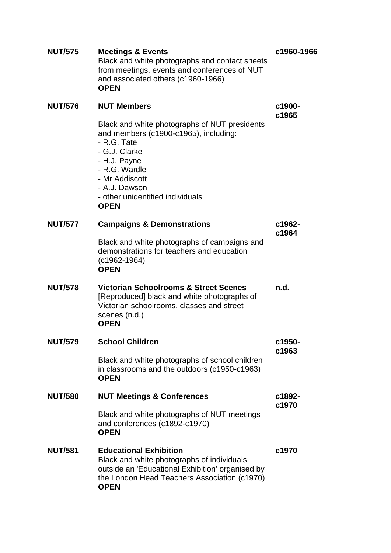| <b>NUT/575</b> | <b>Meetings &amp; Events</b><br>Black and white photographs and contact sheets<br>from meetings, events and conferences of NUT<br>and associated others (c1960-1966)<br><b>OPEN</b>                                                           | c1960-1966      |
|----------------|-----------------------------------------------------------------------------------------------------------------------------------------------------------------------------------------------------------------------------------------------|-----------------|
| <b>NUT/576</b> | <b>NUT Members</b>                                                                                                                                                                                                                            | c1900-          |
|                | Black and white photographs of NUT presidents<br>and members (c1900-c1965), including:<br>- R.G. Tate<br>- G.J. Clarke<br>- H.J. Payne<br>- R.G. Wardle<br>- Mr Addiscott<br>- A.J. Dawson<br>- other unidentified individuals<br><b>OPEN</b> | c1965           |
| <b>NUT/577</b> | <b>Campaigns &amp; Demonstrations</b>                                                                                                                                                                                                         | c1962-<br>c1964 |
|                | Black and white photographs of campaigns and<br>demonstrations for teachers and education<br>(c1962-1964)<br><b>OPEN</b>                                                                                                                      |                 |
| <b>NUT/578</b> | <b>Victorian Schoolrooms &amp; Street Scenes</b><br>[Reproduced] black and white photographs of<br>Victorian schoolrooms, classes and street<br>scenes (n.d.)<br><b>OPEN</b>                                                                  | n.d.            |
| <b>NUT/579</b> | <b>School Children</b>                                                                                                                                                                                                                        | c1950-          |
|                | Black and white photographs of school children<br>in classrooms and the outdoors (c1950-c1963)<br><b>OPEN</b>                                                                                                                                 | c1963           |
| <b>NUT/580</b> | <b>NUT Meetings &amp; Conferences</b>                                                                                                                                                                                                         | c1892-<br>c1970 |
|                | Black and white photographs of NUT meetings<br>and conferences (c1892-c1970)<br><b>OPEN</b>                                                                                                                                                   |                 |
| <b>NUT/581</b> | <b>Educational Exhibition</b><br>Black and white photographs of individuals<br>outside an 'Educational Exhibition' organised by<br>the London Head Teachers Association (c1970)<br><b>OPEN</b>                                                | c1970           |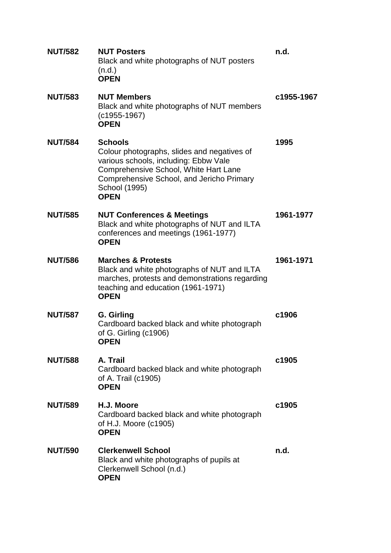| <b>NUT/582</b> | <b>NUT Posters</b><br>Black and white photographs of NUT posters<br>(n.d.)<br><b>OPEN</b>                                                                                                                                    | n.d.       |
|----------------|------------------------------------------------------------------------------------------------------------------------------------------------------------------------------------------------------------------------------|------------|
| <b>NUT/583</b> | <b>NUT Members</b><br>Black and white photographs of NUT members<br>$(c1955-1967)$<br><b>OPEN</b>                                                                                                                            | c1955-1967 |
| <b>NUT/584</b> | <b>Schools</b><br>Colour photographs, slides and negatives of<br>various schools, including: Ebbw Vale<br>Comprehensive School, White Hart Lane<br>Comprehensive School, and Jericho Primary<br>School (1995)<br><b>OPEN</b> | 1995       |
| <b>NUT/585</b> | <b>NUT Conferences &amp; Meetings</b><br>Black and white photographs of NUT and ILTA<br>conferences and meetings (1961-1977)<br><b>OPEN</b>                                                                                  | 1961-1977  |
| <b>NUT/586</b> | <b>Marches &amp; Protests</b><br>Black and white photographs of NUT and ILTA<br>marches, protests and demonstrations regarding<br>teaching and education (1961-1971)<br><b>OPEN</b>                                          | 1961-1971  |
| <b>NUT/587</b> | G. Girling<br>Cardboard backed black and white photograph<br>of G. Girling (c1906)<br><b>OPEN</b>                                                                                                                            | c1906      |
| <b>NUT/588</b> | A. Trail<br>Cardboard backed black and white photograph<br>of A. Trail (c1905)<br><b>OPEN</b>                                                                                                                                | c1905      |
| <b>NUT/589</b> | H.J. Moore<br>Cardboard backed black and white photograph<br>of H.J. Moore (c1905)<br><b>OPEN</b>                                                                                                                            | c1905      |
| <b>NUT/590</b> | <b>Clerkenwell School</b><br>Black and white photographs of pupils at<br>Clerkenwell School (n.d.)<br><b>OPEN</b>                                                                                                            | n.d.       |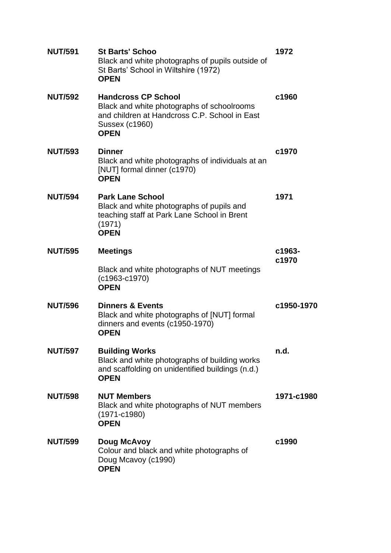| <b>NUT/591</b> | <b>St Barts' Schoo</b><br>Black and white photographs of pupils outside of<br>St Barts' School in Wiltshire (1972)<br><b>OPEN</b>                                 | 1972       |
|----------------|-------------------------------------------------------------------------------------------------------------------------------------------------------------------|------------|
| <b>NUT/592</b> | <b>Handcross CP School</b><br>Black and white photographs of schoolrooms<br>and children at Handcross C.P. School in East<br><b>Sussex (c1960)</b><br><b>OPEN</b> | c1960      |
| <b>NUT/593</b> | <b>Dinner</b><br>Black and white photographs of individuals at an<br>[NUT] formal dinner (c1970)<br><b>OPEN</b>                                                   | c1970      |
| <b>NUT/594</b> | <b>Park Lane School</b><br>Black and white photographs of pupils and<br>teaching staff at Park Lane School in Brent<br>(1971)<br><b>OPEN</b>                      | 1971       |
| <b>NUT/595</b> | <b>Meetings</b>                                                                                                                                                   | c1963-     |
|                | Black and white photographs of NUT meetings<br>$(c1963-c1970)$<br><b>OPEN</b>                                                                                     | c1970      |
| <b>NUT/596</b> | <b>Dinners &amp; Events</b><br>Black and white photographs of [NUT] formal<br>dinners and events (c1950-1970)<br><b>OPEN</b>                                      | c1950-1970 |
| <b>NUT/597</b> | <b>Building Works</b><br>Black and white photographs of building works<br>and scaffolding on unidentified buildings (n.d.)<br><b>OPEN</b>                         | n.d.       |
| <b>NUT/598</b> | <b>NUT Members</b><br>Black and white photographs of NUT members<br>$(1971-c1980)$<br><b>OPEN</b>                                                                 | 1971-c1980 |
| <b>NUT/599</b> | Doug McAvoy<br>Colour and black and white photographs of<br>Doug Mcavoy (c1990)<br><b>OPEN</b>                                                                    | c1990      |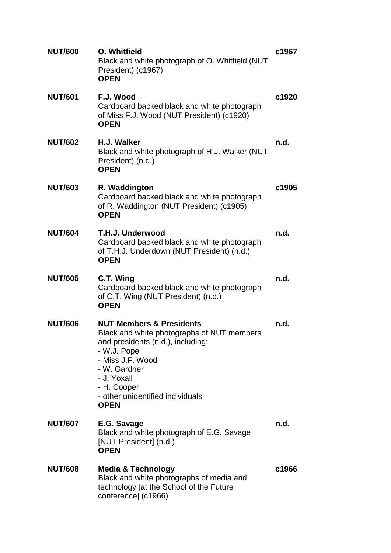| <b>NUT/600</b> | O. Whitfield<br>Black and white photograph of O. Whitfield (NUT<br>President) (c1967)<br><b>OPEN</b>                                                                                                                                                       | c1967 |
|----------------|------------------------------------------------------------------------------------------------------------------------------------------------------------------------------------------------------------------------------------------------------------|-------|
| <b>NUT/601</b> | F.J. Wood<br>Cardboard backed black and white photograph<br>of Miss F.J. Wood (NUT President) (c1920)<br><b>OPEN</b>                                                                                                                                       | c1920 |
| <b>NUT/602</b> | H.J. Walker<br>Black and white photograph of H.J. Walker (NUT<br>President) (n.d.)<br><b>OPEN</b>                                                                                                                                                          | n.d.  |
| <b>NUT/603</b> | R. Waddington<br>Cardboard backed black and white photograph<br>of R. Waddington (NUT President) (c1905)<br><b>OPEN</b>                                                                                                                                    | c1905 |
| <b>NUT/604</b> | T.H.J. Underwood<br>Cardboard backed black and white photograph<br>of T.H.J. Underdown (NUT President) (n.d.)<br><b>OPEN</b>                                                                                                                               | n.d.  |
| <b>NUT/605</b> | C.T. Wing<br>Cardboard backed black and white photograph<br>of C.T. Wing (NUT President) (n.d.)<br><b>OPEN</b>                                                                                                                                             | n.d.  |
| <b>NUT/606</b> | <b>NUT Members &amp; Presidents</b><br>Black and white photographs of NUT members<br>and presidents (n.d.), including:<br>- W.J. Pope<br>- Miss J.F. Wood<br>- W. Gardner<br>- J. Yoxall<br>- H. Cooper<br>- other unidentified individuals<br><b>OPEN</b> | n.d.  |
| <b>NUT/607</b> | E.G. Savage<br>Black and white photograph of E.G. Savage<br>[NUT President] (n.d.)<br><b>OPEN</b>                                                                                                                                                          | n.d.  |
| <b>NUT/608</b> | <b>Media &amp; Technology</b><br>Black and white photographs of media and<br>technology [at the School of the Future<br>conference] (c1966)                                                                                                                | c1966 |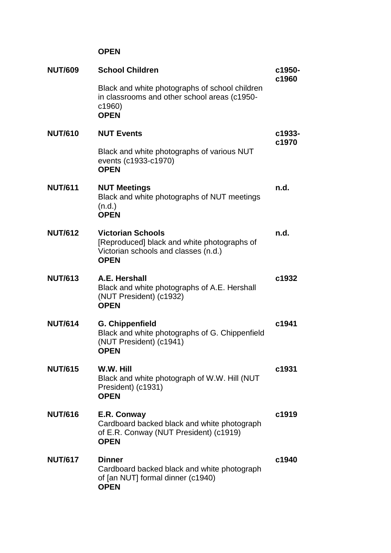## **OPEN**

| <b>NUT/609</b> | <b>School Children</b>                                                                                                         | c1950-<br>c1960 |
|----------------|--------------------------------------------------------------------------------------------------------------------------------|-----------------|
|                | Black and white photographs of school children<br>in classrooms and other school areas (c1950-<br>c1960)<br><b>OPEN</b>        |                 |
| <b>NUT/610</b> | <b>NUT Events</b>                                                                                                              | c1933-          |
|                | Black and white photographs of various NUT<br>events (c1933-c1970)<br><b>OPEN</b>                                              | c1970           |
| <b>NUT/611</b> | <b>NUT Meetings</b><br>Black and white photographs of NUT meetings<br>(n.d.)<br><b>OPEN</b>                                    | n.d.            |
| <b>NUT/612</b> | <b>Victorian Schools</b><br>[Reproduced] black and white photographs of<br>Victorian schools and classes (n.d.)<br><b>OPEN</b> | n.d.            |
| <b>NUT/613</b> | A.E. Hershall<br>Black and white photographs of A.E. Hershall<br>(NUT President) (c1932)<br><b>OPEN</b>                        | c1932           |
| <b>NUT/614</b> | <b>G. Chippenfield</b><br>Black and white photographs of G. Chippenfield<br>(NUT President) (c1941)<br><b>OPEN</b>             | c1941           |
| <b>NUT/615</b> | W.W. Hill<br>Black and white photograph of W.W. Hill (NUT<br>President) (c1931)<br><b>OPEN</b>                                 | c1931           |
| <b>NUT/616</b> | E.R. Conway<br>Cardboard backed black and white photograph<br>of E.R. Conway (NUT President) (c1919)<br><b>OPEN</b>            | c1919           |
| <b>NUT/617</b> | <b>Dinner</b><br>Cardboard backed black and white photograph<br>of [an NUT] formal dinner (c1940)<br><b>OPEN</b>               | c1940           |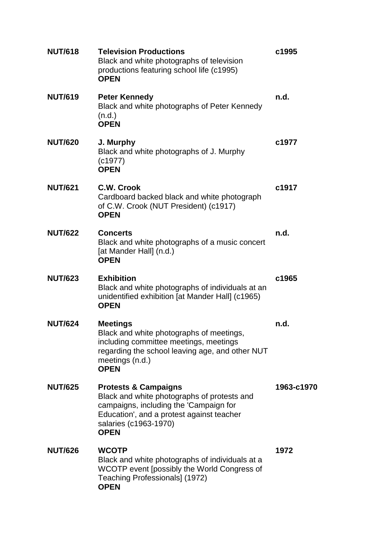| <b>NUT/618</b> | <b>Television Productions</b><br>Black and white photographs of television<br>productions featuring school life (c1995)<br><b>OPEN</b>                                                                        | c1995      |
|----------------|---------------------------------------------------------------------------------------------------------------------------------------------------------------------------------------------------------------|------------|
| <b>NUT/619</b> | <b>Peter Kennedy</b><br>Black and white photographs of Peter Kennedy<br>(n.d.)<br><b>OPEN</b>                                                                                                                 | n.d.       |
| <b>NUT/620</b> | J. Murphy<br>Black and white photographs of J. Murphy<br>(c1977)<br><b>OPEN</b>                                                                                                                               | c1977      |
| <b>NUT/621</b> | C.W. Crook<br>Cardboard backed black and white photograph<br>of C.W. Crook (NUT President) (c1917)<br><b>OPEN</b>                                                                                             | c1917      |
| <b>NUT/622</b> | <b>Concerts</b><br>Black and white photographs of a music concert<br>[at Mander Hall] (n.d.)<br><b>OPEN</b>                                                                                                   | n.d.       |
| <b>NUT/623</b> | <b>Exhibition</b><br>Black and white photographs of individuals at an<br>unidentified exhibition [at Mander Hall] (c1965)<br><b>OPEN</b>                                                                      | c1965      |
| <b>NUT/624</b> | <b>Meetings</b><br>Black and white photographs of meetings,<br>including committee meetings, meetings<br>regarding the school leaving age, and other NUT<br>meetings (n.d.)<br><b>OPEN</b>                    | n.d.       |
| <b>NUT/625</b> | <b>Protests &amp; Campaigns</b><br>Black and white photographs of protests and<br>campaigns, including the 'Campaign for<br>Education', and a protest against teacher<br>salaries (c1963-1970)<br><b>OPEN</b> | 1963-c1970 |
| <b>NUT/626</b> | <b>WCOTP</b><br>Black and white photographs of individuals at a<br>WCOTP event [possibly the World Congress of<br>Teaching Professionals] (1972)<br><b>OPEN</b>                                               | 1972       |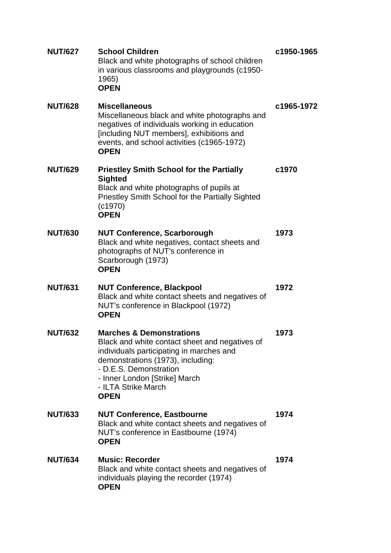| <b>NUT/627</b> | <b>School Children</b><br>Black and white photographs of school children<br>in various classrooms and playgrounds (c1950-<br>1965)<br><b>OPEN</b>                                                                                                                       | c1950-1965 |
|----------------|-------------------------------------------------------------------------------------------------------------------------------------------------------------------------------------------------------------------------------------------------------------------------|------------|
| <b>NUT/628</b> | <b>Miscellaneous</b><br>Miscellaneous black and white photographs and<br>negatives of individuals working in education<br>[including NUT members], exhibitions and<br>events, and school activities (c1965-1972)<br><b>OPEN</b>                                         | c1965-1972 |
| <b>NUT/629</b> | <b>Priestley Smith School for the Partially</b><br><b>Sighted</b><br>Black and white photographs of pupils at<br>Priestley Smith School for the Partially Sighted<br>(c1970)<br><b>OPEN</b>                                                                             | c1970      |
| <b>NUT/630</b> | <b>NUT Conference, Scarborough</b><br>Black and white negatives, contact sheets and<br>photographs of NUT's conference in<br>Scarborough (1973)<br><b>OPEN</b>                                                                                                          | 1973       |
| <b>NUT/631</b> | <b>NUT Conference, Blackpool</b><br>Black and white contact sheets and negatives of<br>NUT's conference in Blackpool (1972)<br><b>OPEN</b>                                                                                                                              | 1972       |
| <b>NUT/632</b> | <b>Marches &amp; Demonstrations</b><br>Black and white contact sheet and negatives of<br>individuals participating in marches and<br>demonstrations (1973), including:<br>- D.E.S. Demonstration<br>- Inner London [Strike] March<br>- ILTA Strike March<br><b>OPEN</b> | 1973       |
| <b>NUT/633</b> | <b>NUT Conference, Eastbourne</b><br>Black and white contact sheets and negatives of<br>NUT's conference in Eastbourne (1974)<br><b>OPEN</b>                                                                                                                            | 1974       |
| <b>NUT/634</b> | <b>Music: Recorder</b><br>Black and white contact sheets and negatives of<br>individuals playing the recorder (1974)<br><b>OPEN</b>                                                                                                                                     | 1974       |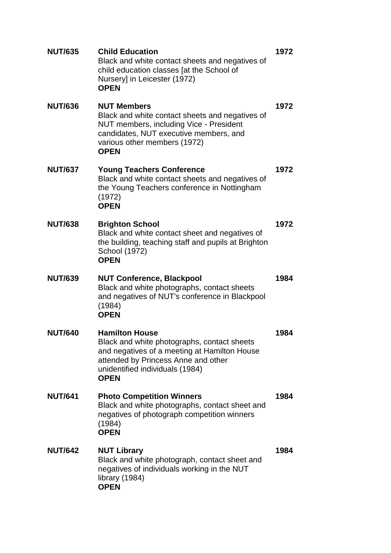| <b>NUT/635</b> | <b>Child Education</b><br>Black and white contact sheets and negatives of<br>child education classes [at the School of<br>Nursery] in Leicester (1972)<br><b>OPEN</b>                                         | 1972 |
|----------------|---------------------------------------------------------------------------------------------------------------------------------------------------------------------------------------------------------------|------|
| <b>NUT/636</b> | <b>NUT Members</b><br>Black and white contact sheets and negatives of<br>NUT members, including Vice - President<br>candidates, NUT executive members, and<br>various other members (1972)<br><b>OPEN</b>     | 1972 |
| <b>NUT/637</b> | <b>Young Teachers Conference</b><br>Black and white contact sheets and negatives of<br>the Young Teachers conference in Nottingham<br>(1972)<br><b>OPEN</b>                                                   | 1972 |
| <b>NUT/638</b> | <b>Brighton School</b><br>Black and white contact sheet and negatives of<br>the building, teaching staff and pupils at Brighton<br>School (1972)<br><b>OPEN</b>                                               | 1972 |
| <b>NUT/639</b> | <b>NUT Conference, Blackpool</b><br>Black and white photographs, contact sheets<br>and negatives of NUT's conference in Blackpool<br>(1984)<br><b>OPEN</b>                                                    | 1984 |
| <b>NUT/640</b> | <b>Hamilton House</b><br>Black and white photographs, contact sheets<br>and negatives of a meeting at Hamilton House<br>attended by Princess Anne and other<br>unidentified individuals (1984)<br><b>OPEN</b> | 1984 |
| <b>NUT/641</b> | <b>Photo Competition Winners</b><br>Black and white photographs, contact sheet and<br>negatives of photograph competition winners<br>(1984)<br><b>OPEN</b>                                                    | 1984 |
| <b>NUT/642</b> | <b>NUT Library</b><br>Black and white photograph, contact sheet and<br>negatives of individuals working in the NUT<br>library (1984)<br><b>OPEN</b>                                                           | 1984 |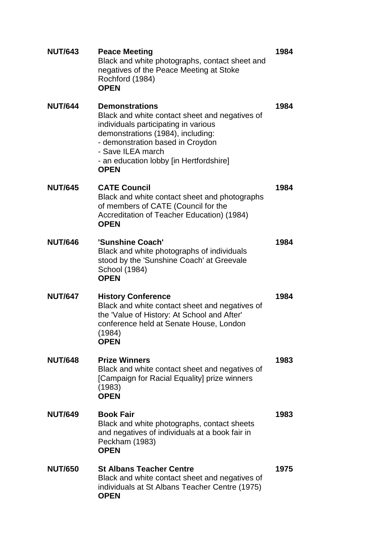| <b>NUT/643</b> | <b>Peace Meeting</b><br>Black and white photographs, contact sheet and<br>negatives of the Peace Meeting at Stoke<br>Rochford (1984)<br><b>OPEN</b>                                                                                                                     | 1984 |
|----------------|-------------------------------------------------------------------------------------------------------------------------------------------------------------------------------------------------------------------------------------------------------------------------|------|
| <b>NUT/644</b> | <b>Demonstrations</b><br>Black and white contact sheet and negatives of<br>individuals participating in various<br>demonstrations (1984), including:<br>- demonstration based in Croydon<br>- Save ILEA march<br>- an education lobby [in Hertfordshire]<br><b>OPEN</b> | 1984 |
| <b>NUT/645</b> | <b>CATE Council</b><br>Black and white contact sheet and photographs<br>of members of CATE (Council for the<br>Accreditation of Teacher Education) (1984)<br><b>OPEN</b>                                                                                                | 1984 |
| <b>NUT/646</b> | 'Sunshine Coach'<br>Black and white photographs of individuals<br>stood by the 'Sunshine Coach' at Greevale<br>School (1984)<br><b>OPEN</b>                                                                                                                             | 1984 |
| <b>NUT/647</b> | <b>History Conference</b><br>Black and white contact sheet and negatives of<br>the 'Value of History: At School and After'<br>conference held at Senate House, London<br>(1984)<br><b>OPEN</b>                                                                          | 1984 |
| <b>NUT/648</b> | <b>Prize Winners</b><br>Black and white contact sheet and negatives of<br>[Campaign for Racial Equality] prize winners<br>(1983)<br><b>OPEN</b>                                                                                                                         | 1983 |
| <b>NUT/649</b> | <b>Book Fair</b><br>Black and white photographs, contact sheets<br>and negatives of individuals at a book fair in<br>Peckham (1983)<br><b>OPEN</b>                                                                                                                      | 1983 |
| <b>NUT/650</b> | <b>St Albans Teacher Centre</b><br>Black and white contact sheet and negatives of<br>individuals at St Albans Teacher Centre (1975)<br><b>OPEN</b>                                                                                                                      | 1975 |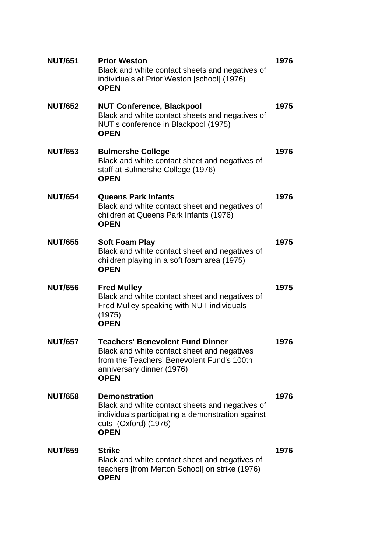| <b>NUT/651</b> | <b>Prior Weston</b><br>Black and white contact sheets and negatives of<br>individuals at Prior Weston [school] (1976)<br><b>OPEN</b>                                             | 1976 |
|----------------|----------------------------------------------------------------------------------------------------------------------------------------------------------------------------------|------|
| <b>NUT/652</b> | <b>NUT Conference, Blackpool</b><br>Black and white contact sheets and negatives of<br>NUT's conference in Blackpool (1975)<br><b>OPEN</b>                                       | 1975 |
| <b>NUT/653</b> | <b>Bulmershe College</b><br>Black and white contact sheet and negatives of<br>staff at Bulmershe College (1976)<br><b>OPEN</b>                                                   | 1976 |
| <b>NUT/654</b> | <b>Queens Park Infants</b><br>Black and white contact sheet and negatives of<br>children at Queens Park Infants (1976)<br><b>OPEN</b>                                            | 1976 |
| <b>NUT/655</b> | <b>Soft Foam Play</b><br>Black and white contact sheet and negatives of<br>children playing in a soft foam area (1975)<br><b>OPEN</b>                                            | 1975 |
| <b>NUT/656</b> | <b>Fred Mulley</b><br>Black and white contact sheet and negatives of<br>Fred Mulley speaking with NUT individuals<br>(1975)<br><b>OPEN</b>                                       | 1975 |
| <b>NUT/657</b> | <b>Teachers' Benevolent Fund Dinner</b><br>Black and white contact sheet and negatives<br>from the Teachers' Benevolent Fund's 100th<br>anniversary dinner (1976)<br><b>OPEN</b> | 1976 |
| <b>NUT/658</b> | <b>Demonstration</b><br>Black and white contact sheets and negatives of<br>individuals participating a demonstration against<br>cuts (Oxford) (1976)<br><b>OPEN</b>              | 1976 |
| <b>NUT/659</b> | <b>Strike</b><br>Black and white contact sheet and negatives of<br>teachers [from Merton School] on strike (1976)<br><b>OPEN</b>                                                 | 1976 |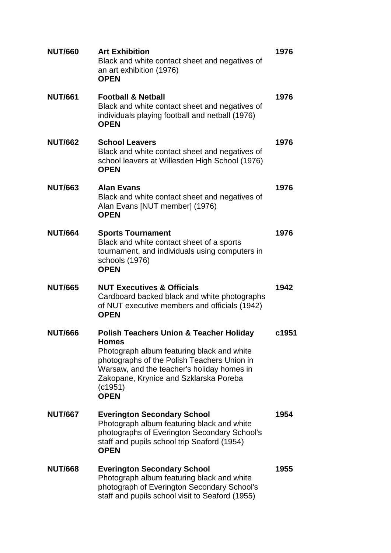| <b>NUT/660</b> | <b>Art Exhibition</b><br>Black and white contact sheet and negatives of<br>an art exhibition (1976)<br><b>OPEN</b>                                                                                                                                                                | 1976  |
|----------------|-----------------------------------------------------------------------------------------------------------------------------------------------------------------------------------------------------------------------------------------------------------------------------------|-------|
| <b>NUT/661</b> | <b>Football &amp; Netball</b><br>Black and white contact sheet and negatives of<br>individuals playing football and netball (1976)<br><b>OPEN</b>                                                                                                                                 | 1976  |
| <b>NUT/662</b> | <b>School Leavers</b><br>Black and white contact sheet and negatives of<br>school leavers at Willesden High School (1976)<br><b>OPEN</b>                                                                                                                                          | 1976  |
| <b>NUT/663</b> | <b>Alan Evans</b><br>Black and white contact sheet and negatives of<br>Alan Evans [NUT member] (1976)<br><b>OPEN</b>                                                                                                                                                              | 1976  |
| <b>NUT/664</b> | <b>Sports Tournament</b><br>Black and white contact sheet of a sports<br>tournament, and individuals using computers in<br>schools (1976)<br><b>OPEN</b>                                                                                                                          | 1976  |
| <b>NUT/665</b> | <b>NUT Executives &amp; Officials</b><br>Cardboard backed black and white photographs<br>of NUT executive members and officials (1942)<br><b>OPEN</b>                                                                                                                             | 1942  |
|                |                                                                                                                                                                                                                                                                                   |       |
| <b>NUT/666</b> | <b>Polish Teachers Union &amp; Teacher Holiday</b><br><b>Homes</b><br>Photograph album featuring black and white<br>photographs of the Polish Teachers Union in<br>Warsaw, and the teacher's holiday homes in<br>Zakopane, Krynice and Szklarska Poreba<br>(c1951)<br><b>OPEN</b> | c1951 |
| <b>NUT/667</b> | <b>Everington Secondary School</b><br>Photograph album featuring black and white<br>photographs of Everington Secondary School's<br>staff and pupils school trip Seaford (1954)<br><b>OPEN</b>                                                                                    | 1954  |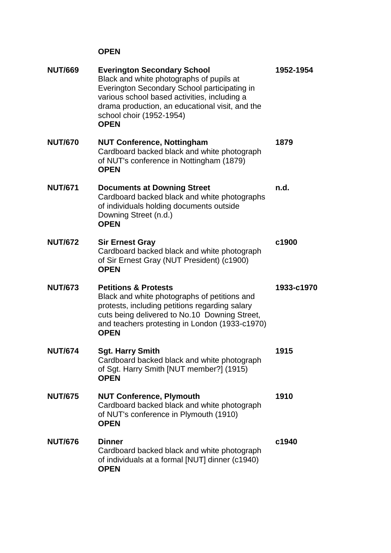## **OPEN**

| <b>NUT/669</b> | <b>Everington Secondary School</b><br>Black and white photographs of pupils at<br>Everington Secondary School participating in<br>various school based activities, including a<br>drama production, an educational visit, and the<br>school choir (1952-1954)<br><b>OPEN</b> | 1952-1954  |
|----------------|------------------------------------------------------------------------------------------------------------------------------------------------------------------------------------------------------------------------------------------------------------------------------|------------|
| <b>NUT/670</b> | <b>NUT Conference, Nottingham</b><br>Cardboard backed black and white photograph<br>of NUT's conference in Nottingham (1879)<br><b>OPEN</b>                                                                                                                                  | 1879       |
| <b>NUT/671</b> | <b>Documents at Downing Street</b><br>Cardboard backed black and white photographs<br>of individuals holding documents outside<br>Downing Street (n.d.)<br><b>OPEN</b>                                                                                                       | n.d.       |
| <b>NUT/672</b> | <b>Sir Ernest Gray</b><br>Cardboard backed black and white photograph<br>of Sir Ernest Gray (NUT President) (c1900)<br><b>OPEN</b>                                                                                                                                           | c1900      |
| <b>NUT/673</b> | <b>Petitions &amp; Protests</b><br>Black and white photographs of petitions and<br>protests, including petitions regarding salary<br>cuts being delivered to No.10 Downing Street,<br>and teachers protesting in London (1933-c1970)<br><b>OPEN</b>                          | 1933-c1970 |
| <b>NUT/674</b> | <b>Sgt. Harry Smith</b><br>Cardboard backed black and white photograph<br>of Sgt. Harry Smith [NUT member?] (1915)<br><b>OPEN</b>                                                                                                                                            | 1915       |
| <b>NUT/675</b> | <b>NUT Conference, Plymouth</b><br>Cardboard backed black and white photograph<br>of NUT's conference in Plymouth (1910)<br><b>OPEN</b>                                                                                                                                      | 1910       |
| <b>NUT/676</b> | <b>Dinner</b><br>Cardboard backed black and white photograph<br>of individuals at a formal [NUT] dinner (c1940)<br><b>OPEN</b>                                                                                                                                               | c1940      |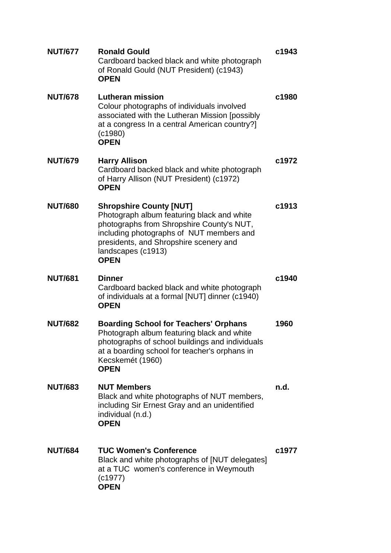| <b>NUT/677</b> | <b>Ronald Gould</b><br>Cardboard backed black and white photograph<br>of Ronald Gould (NUT President) (c1943)<br><b>OPEN</b>                                                                                                                         | c1943 |
|----------------|------------------------------------------------------------------------------------------------------------------------------------------------------------------------------------------------------------------------------------------------------|-------|
| <b>NUT/678</b> | <b>Lutheran mission</b><br>Colour photographs of individuals involved<br>associated with the Lutheran Mission [possibly<br>at a congress In a central American country?]<br>(c1980)<br><b>OPEN</b>                                                   | c1980 |
| <b>NUT/679</b> | <b>Harry Allison</b><br>Cardboard backed black and white photograph<br>of Harry Allison (NUT President) (c1972)<br><b>OPEN</b>                                                                                                                       | c1972 |
| <b>NUT/680</b> | <b>Shropshire County [NUT]</b><br>Photograph album featuring black and white<br>photographs from Shropshire County's NUT,<br>including photographs of NUT members and<br>presidents, and Shropshire scenery and<br>landscapes (c1913)<br><b>OPEN</b> | c1913 |
| <b>NUT/681</b> | <b>Dinner</b><br>Cardboard backed black and white photograph<br>of individuals at a formal [NUT] dinner (c1940)<br><b>OPEN</b>                                                                                                                       | c1940 |
| <b>NUT/682</b> | <b>Boarding School for Teachers' Orphans</b><br>Photograph album featuring black and white<br>photographs of school buildings and individuals<br>at a boarding school for teacher's orphans in<br>Kecskemét (1960)<br><b>OPEN</b>                    | 1960  |
| <b>NUT/683</b> | <b>NUT Members</b><br>Black and white photographs of NUT members,<br>including Sir Ernest Gray and an unidentified<br>individual (n.d.)<br><b>OPEN</b>                                                                                               | n.d.  |
| <b>NUT/684</b> | <b>TUC Women's Conference</b><br>Black and white photographs of [NUT delegates]<br>at a TUC women's conference in Weymouth<br>(c1977)<br><b>OPEN</b>                                                                                                 | c1977 |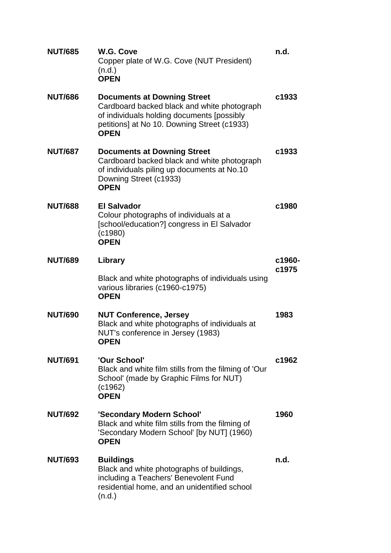| <b>NUT/685</b> | W.G. Cove<br>Copper plate of W.G. Cove (NUT President)<br>(n.d.)<br><b>OPEN</b>                                                                                                               | n.d.   |
|----------------|-----------------------------------------------------------------------------------------------------------------------------------------------------------------------------------------------|--------|
| <b>NUT/686</b> | <b>Documents at Downing Street</b><br>Cardboard backed black and white photograph<br>of individuals holding documents [possibly<br>petitions] at No 10. Downing Street (c1933)<br><b>OPEN</b> | c1933  |
| <b>NUT/687</b> | <b>Documents at Downing Street</b><br>Cardboard backed black and white photograph<br>of individuals piling up documents at No.10<br>Downing Street (c1933)<br><b>OPEN</b>                     | c1933  |
| <b>NUT/688</b> | <b>El Salvador</b><br>Colour photographs of individuals at a<br>[school/education?] congress in El Salvador<br>(c1980)<br><b>OPEN</b>                                                         | c1980  |
| <b>NUT/689</b> | Library                                                                                                                                                                                       | c1960- |
|                | Black and white photographs of individuals using<br>various libraries (c1960-c1975)<br><b>OPEN</b>                                                                                            | c1975  |
| <b>NUT/690</b> | <b>NUT Conference, Jersey</b><br>Black and white photographs of individuals at<br>NUT's conference in Jersey (1983)<br>OPEN                                                                   | 1983   |
| <b>NUT/691</b> | 'Our School'<br>Black and white film stills from the filming of 'Our<br>School' (made by Graphic Films for NUT)<br>(c1962)<br><b>OPEN</b>                                                     | c1962  |
| <b>NUT/692</b> | 'Secondary Modern School'<br>Black and white film stills from the filming of<br>'Secondary Modern School' [by NUT] (1960)<br><b>OPEN</b>                                                      | 1960   |
| <b>NUT/693</b> | <b>Buildings</b><br>Black and white photographs of buildings,<br>including a Teachers' Benevolent Fund<br>residential home, and an unidentified school<br>(n.d.)                              | n.d.   |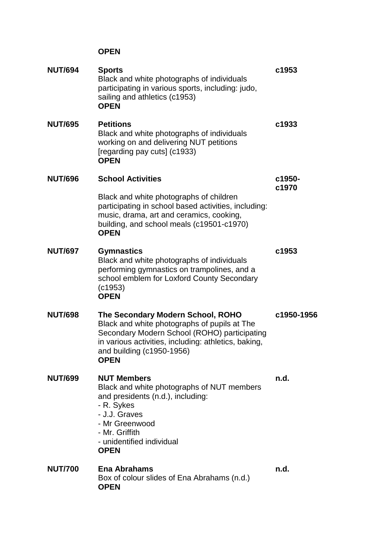## **OPEN**

| <b>NUT/694</b> | <b>Sports</b><br>Black and white photographs of individuals<br>participating in various sports, including: judo,<br>sailing and athletics (c1953)<br><b>OPEN</b>                                                                      | c1953           |
|----------------|---------------------------------------------------------------------------------------------------------------------------------------------------------------------------------------------------------------------------------------|-----------------|
| <b>NUT/695</b> | <b>Petitions</b><br>Black and white photographs of individuals<br>working on and delivering NUT petitions<br>[regarding pay cuts] (c1933)<br><b>OPEN</b>                                                                              | c1933           |
| <b>NUT/696</b> | <b>School Activities</b>                                                                                                                                                                                                              | c1950-<br>c1970 |
|                | Black and white photographs of children<br>participating in school based activities, including:<br>music, drama, art and ceramics, cooking,<br>building, and school meals (c19501-c1970)<br><b>OPEN</b>                               |                 |
| <b>NUT/697</b> | <b>Gymnastics</b><br>Black and white photographs of individuals<br>performing gymnastics on trampolines, and a<br>school emblem for Loxford County Secondary<br>(c1953)<br><b>OPEN</b>                                                | c1953           |
| <b>NUT/698</b> | The Secondary Modern School, ROHO<br>Black and white photographs of pupils at The<br>Secondary Modern School (ROHO) participating<br>in various activities, including: athletics, baking,<br>and building (c1950-1956)<br><b>OPEN</b> | c1950-1956      |
| <b>NUT/699</b> | <b>NUT Members</b><br>Black and white photographs of NUT members<br>and presidents (n.d.), including:<br>- R. Sykes<br>- J.J. Graves<br>- Mr Greenwood<br>- Mr. Griffith<br>- unidentified individual<br><b>OPEN</b>                  | n.d.            |
| <b>NUT/700</b> | <b>Ena Abrahams</b><br>Box of colour slides of Ena Abrahams (n.d.)<br><b>OPEN</b>                                                                                                                                                     | n.d.            |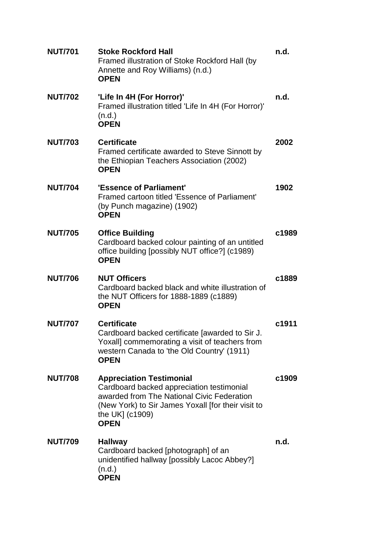| <b>NUT/701</b> | <b>Stoke Rockford Hall</b><br>Framed illustration of Stoke Rockford Hall (by<br>Annette and Roy Williams) (n.d.)<br><b>OPEN</b>                                                                                    | n.d.  |
|----------------|--------------------------------------------------------------------------------------------------------------------------------------------------------------------------------------------------------------------|-------|
| <b>NUT/702</b> | 'Life In 4H (For Horror)'<br>Framed illustration titled 'Life In 4H (For Horror)'<br>(n.d.)<br><b>OPEN</b>                                                                                                         | n.d.  |
| <b>NUT/703</b> | <b>Certificate</b><br>Framed certificate awarded to Steve Sinnott by<br>the Ethiopian Teachers Association (2002)<br><b>OPEN</b>                                                                                   | 2002  |
| <b>NUT/704</b> | 'Essence of Parliament'<br>Framed cartoon titled 'Essence of Parliament'<br>(by Punch magazine) (1902)<br><b>OPEN</b>                                                                                              | 1902  |
| <b>NUT/705</b> | <b>Office Building</b><br>Cardboard backed colour painting of an untitled<br>office building [possibly NUT office?] (c1989)<br><b>OPEN</b>                                                                         | c1989 |
| <b>NUT/706</b> | <b>NUT Officers</b><br>Cardboard backed black and white illustration of<br>the NUT Officers for 1888-1889 (c1889)<br><b>OPEN</b>                                                                                   | c1889 |
| <b>NUT/707</b> | <b>Certificate</b><br>Cardboard backed certificate [awarded to Sir J.<br>Yoxall] commemorating a visit of teachers from<br>western Canada to 'the Old Country' (1911)<br><b>OPEN</b>                               | c1911 |
| <b>NUT/708</b> | <b>Appreciation Testimonial</b><br>Cardboard backed appreciation testimonial<br>awarded from The National Civic Federation<br>(New York) to Sir James Yoxall [for their visit to<br>the UK] (c1909)<br><b>OPEN</b> | c1909 |
| <b>NUT/709</b> | <b>Hallway</b><br>Cardboard backed [photograph] of an<br>unidentified hallway [possibly Lacoc Abbey?]<br>(n.d.)<br><b>OPEN</b>                                                                                     | n.d.  |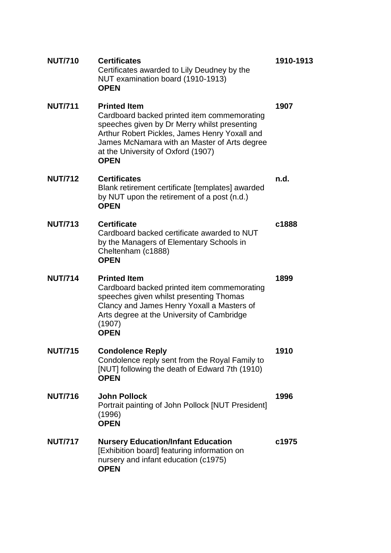| <b>NUT/710</b> | <b>Certificates</b><br>Certificates awarded to Lily Deudney by the<br>NUT examination board (1910-1913)<br><b>OPEN</b>                                                                                                                                                   | 1910-1913 |
|----------------|--------------------------------------------------------------------------------------------------------------------------------------------------------------------------------------------------------------------------------------------------------------------------|-----------|
| <b>NUT/711</b> | <b>Printed Item</b><br>Cardboard backed printed item commemorating<br>speeches given by Dr Merry whilst presenting<br>Arthur Robert Pickles, James Henry Yoxall and<br>James McNamara with an Master of Arts degree<br>at the University of Oxford (1907)<br><b>OPEN</b> | 1907      |
| <b>NUT/712</b> | <b>Certificates</b><br>Blank retirement certificate [templates] awarded<br>by NUT upon the retirement of a post (n.d.)<br><b>OPEN</b>                                                                                                                                    | n.d.      |
| <b>NUT/713</b> | <b>Certificate</b><br>Cardboard backed certificate awarded to NUT<br>by the Managers of Elementary Schools in<br>Cheltenham (c1888)<br><b>OPEN</b>                                                                                                                       | c1888     |
| <b>NUT/714</b> | <b>Printed Item</b><br>Cardboard backed printed item commemorating<br>speeches given whilst presenting Thomas<br>Clancy and James Henry Yoxall a Masters of<br>Arts degree at the University of Cambridge<br>(1907)<br><b>OPEN</b>                                       | 1899      |
| <b>NUT/715</b> | <b>Condolence Reply</b><br>Condolence reply sent from the Royal Family to<br>[NUT] following the death of Edward 7th (1910)<br><b>OPEN</b>                                                                                                                               | 1910      |
| <b>NUT/716</b> | <b>John Pollock</b><br>Portrait painting of John Pollock [NUT President]<br>(1996)<br><b>OPEN</b>                                                                                                                                                                        | 1996      |
| <b>NUT/717</b> | <b>Nursery Education/Infant Education</b><br>[Exhibition board] featuring information on<br>nursery and infant education (c1975)<br><b>OPEN</b>                                                                                                                          | c1975     |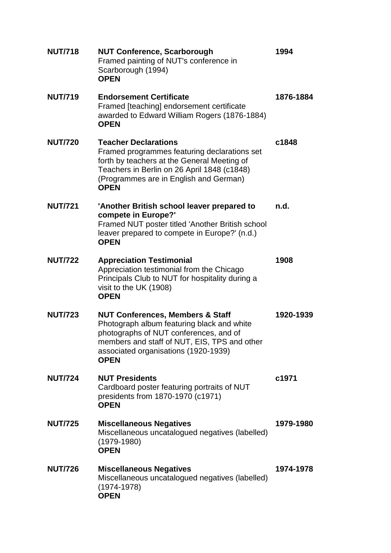| <b>NUT/718</b> | <b>NUT Conference, Scarborough</b><br>Framed painting of NUT's conference in<br>Scarborough (1994)<br><b>OPEN</b>                                                                                                                          | 1994      |
|----------------|--------------------------------------------------------------------------------------------------------------------------------------------------------------------------------------------------------------------------------------------|-----------|
| <b>NUT/719</b> | <b>Endorsement Certificate</b><br>Framed [teaching] endorsement certificate<br>awarded to Edward William Rogers (1876-1884)<br><b>OPEN</b>                                                                                                 | 1876-1884 |
| <b>NUT/720</b> | <b>Teacher Declarations</b><br>Framed programmes featuring declarations set<br>forth by teachers at the General Meeting of<br>Teachers in Berlin on 26 April 1848 (c1848)<br>(Programmes are in English and German)<br><b>OPEN</b>         | c1848     |
| <b>NUT/721</b> | 'Another British school leaver prepared to<br>compete in Europe?'<br>Framed NUT poster titled 'Another British school<br>leaver prepared to compete in Europe?' (n.d.)<br><b>OPEN</b>                                                      | n.d.      |
| <b>NUT/722</b> | <b>Appreciation Testimonial</b><br>Appreciation testimonial from the Chicago<br>Principals Club to NUT for hospitality during a<br>visit to the UK (1908)<br><b>OPEN</b>                                                                   | 1908      |
| <b>NUT/723</b> | <b>NUT Conferences, Members &amp; Staff</b><br>Photograph album featuring black and white<br>photographs of NUT conferences, and of<br>members and staff of NUT, EIS, TPS and other<br>associated organisations (1920-1939)<br><b>OPEN</b> | 1920-1939 |
| <b>NUT/724</b> | <b>NUT Presidents</b><br>Cardboard poster featuring portraits of NUT<br>presidents from 1870-1970 (c1971)<br><b>OPEN</b>                                                                                                                   | c1971     |
| <b>NUT/725</b> | <b>Miscellaneous Negatives</b><br>Miscellaneous uncatalogued negatives (labelled)<br>$(1979-1980)$<br><b>OPEN</b>                                                                                                                          | 1979-1980 |
| <b>NUT/726</b> | <b>Miscellaneous Negatives</b><br>Miscellaneous uncatalogued negatives (labelled)<br>$(1974 - 1978)$<br><b>OPEN</b>                                                                                                                        | 1974-1978 |